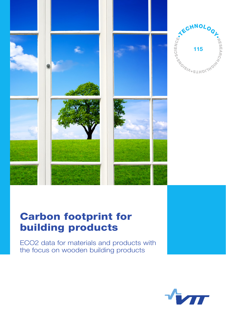

# Carbon footprint for building products

ECO2 data for materials and products with the focus on wooden building products

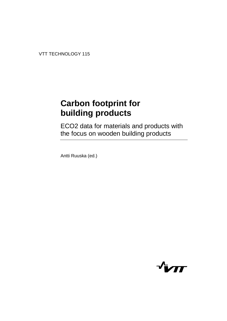VTT TECHNOLOGY 115

# **Carbon footprint for building products**

ECO2 data for materials and products with the focus on wooden building products

Antti Ruuska (ed.)

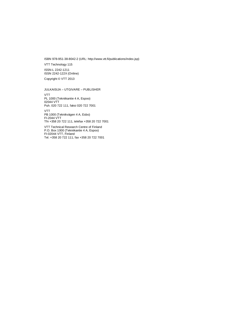ISBN 978-951-38-8042-2 (URL: [http://www.vtt.fi/publications/index.jsp\)](http://www.vtt.fi/publications/index.jsp)

VTT Technology 115

ISSN-L 2242-1211 ISSN 2242-122X (Online)

Copyright © VTT 2013

#### JULKAISIJA – UTGIVARE – PUBLISHER

VTT PL 1000 (Tekniikantie 4 A, Espoo) 02044 VTT Puh. 020 722 111, faksi 020 722 7001

VTT PB 1000 (Teknikvägen 4 A, Esbo) FI-2044 VTT Tfn +358 20 722 111, telefax +358 20 722 7001

VTT Technical Research Centre of Finland P.O. Box 1000 (Tekniikantie 4 A, Espoo) FI-02044 VTT, Finland Tel. +358 20 722 111, fax +358 20 722 7001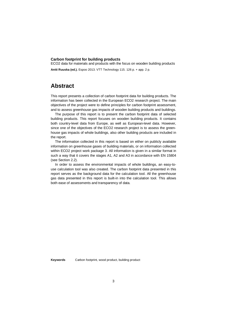#### **Carbon footprint for building products**

ECO2 data for materials and products with the focus on wooden building products

**Antti Ruuska (ed.).** Espoo 2013. VTT Technology 115. 126 p. + app. 2 p.

### <span id="page-4-0"></span>**Abstract**

This report presents a collection of carbon footprint data for building products. The information has been collected in the European ECO2 research project. The main objectives of the project were to define principles for carbon footprint assessment, and to assess greenhouse gas impacts of wooden building products and buildings.

The purpose of this report is to present the carbon footprint data of selected building products. This report focuses on wooden building products. It contains both country-level data from Europe, as well as European-level data. However, since one of the objectives of the ECO2 research project is to assess the greenhouse gas impacts of whole buildings, also other building products are included in the report.

The information collected in this report is based on either on publicly available information on greenhouse gases of building materials, or on information collected within ECO2 project work package 3. All information is given in a similar format in such a way that it covers the stages A1, A2 and A3 in accordance with EN 15804 (see Section 2.2).

In order to assess the environmental impacts of whole buildings, an easy-touse calculation tool was also created. The carbon footprint data presented in this report serves as the background data for the calculation tool. All the greenhouse gas data presented in this report is built-in into the calculation tool. This allows both ease of assessments and transparency of data.

**Keywords** Carbon footprint, wood product, building product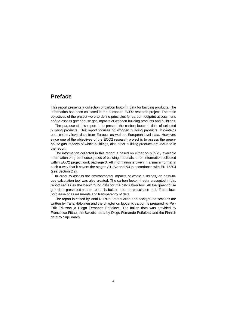## <span id="page-5-0"></span>**Preface**

This report presents a collection of carbon footprint data for building products. The information has been collected in the European ECO2 research project. The main objectives of the project were to define principles for carbon footprint assessment, and to assess greenhouse gas impacts of wooden building products and buildings.

The purpose of this report is to present the carbon footprint data of selected building products. This report focuses on wooden building products. It contains both country-level data from Europe, as well as European-level data. However, since one of the objectives of the ECO2 research project is to assess the greenhouse gas impacts of whole buildings, also other building products are included in the report.

The information collected in this report is based on either on publicly available information on greenhouse gases of building materials, or on information collected within ECO2 project work package 3. All information is given in a similar format in such a way that it covers the stages A1, A2 and A3 in accordance with EN 15804 (see Section 2.2).

In order to assess the environmental impacts of whole buildings, an easy-touse calculation tool was also created. The carbon footprint data presented in this report serves as the background data for the calculation tool. All the greenhouse gas data presented in this report is built-in into the calculation tool. This allows both ease of assessments and transparency of data.

The report is edited by Antti Ruuska. Introduction and background sections are written by Tarja Häkkinen and the chapter on biogenic carbon is prepared by Per-Erik Eriksson ja Diego Fernando Peñaloza. The Italian data was provided by Francesco Pittau, the Swedish data by Diego Fernando Peñaloza and the Finnish data by Sirie Vares.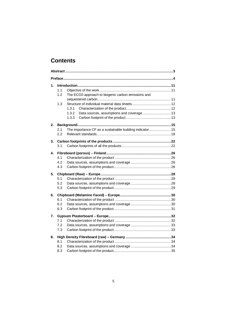## **Contents**

| 1. | 1.1<br>The ECO2-approach to biogenic carbon emissions and<br>1.2<br>1.3<br>1.3.1<br>Data sources, assumptions and coverage  13<br>1.3.2<br>1.3.3 |  |
|----|--------------------------------------------------------------------------------------------------------------------------------------------------|--|
| 2. | The importance CF as a sustainable building indicator15<br>2.1<br>2.2                                                                            |  |
| 3. | 3.1                                                                                                                                              |  |
| 4. | 4.1<br>4.2<br>4.3                                                                                                                                |  |
| 5. | 5.1<br>5.2<br>5.3                                                                                                                                |  |
| 6. | 6.1<br>6.2<br>6.3                                                                                                                                |  |
| 7. | 7.1<br>7.2<br>7.3                                                                                                                                |  |
| 8. | 8.1<br>8.2<br>8.3                                                                                                                                |  |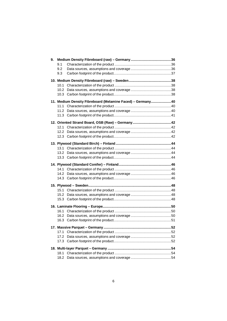| 9. |      |                                                            |  |
|----|------|------------------------------------------------------------|--|
|    | 9.1  |                                                            |  |
|    | 9.2  |                                                            |  |
|    | 9.3  |                                                            |  |
|    |      |                                                            |  |
|    | 10.1 |                                                            |  |
|    | 10.2 |                                                            |  |
|    | 10.3 |                                                            |  |
|    |      | 11. Medium Density Fibreboard (Melamine Faced) - Germany40 |  |
|    | 11.1 |                                                            |  |
|    | 11.2 |                                                            |  |
|    | 11.3 |                                                            |  |
|    |      |                                                            |  |
|    | 12.1 |                                                            |  |
|    | 12.2 |                                                            |  |
|    | 12.3 |                                                            |  |
|    |      |                                                            |  |
|    | 13.1 |                                                            |  |
|    | 13.2 |                                                            |  |
|    |      |                                                            |  |
|    |      |                                                            |  |
|    | 14.1 |                                                            |  |
|    | 14.2 |                                                            |  |
|    | 14.3 |                                                            |  |
|    |      |                                                            |  |
|    |      |                                                            |  |
|    | 15.2 |                                                            |  |
|    | 15.3 |                                                            |  |
|    |      |                                                            |  |
|    | 16.1 |                                                            |  |
|    | 16.2 |                                                            |  |
|    | 16.3 |                                                            |  |
|    |      |                                                            |  |
|    | 17.1 |                                                            |  |
|    | 17.2 |                                                            |  |
|    | 17.3 |                                                            |  |
|    |      |                                                            |  |
|    | 18.1 |                                                            |  |
|    | 18.2 |                                                            |  |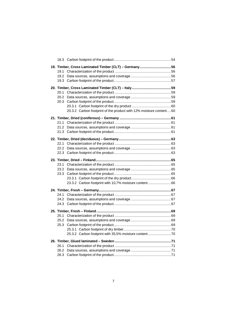|      | 19. Timber, Cross Laminated Timber (CLT) - Germany56               |  |
|------|--------------------------------------------------------------------|--|
| 19.1 |                                                                    |  |
| 19.2 |                                                                    |  |
|      |                                                                    |  |
|      |                                                                    |  |
| 20.1 |                                                                    |  |
| 20.2 |                                                                    |  |
| 20.3 |                                                                    |  |
|      |                                                                    |  |
|      | 20.3.2 Carbon footprint of the product with 12% moisture content60 |  |
|      |                                                                    |  |
| 21.1 |                                                                    |  |
| 21.2 |                                                                    |  |
| 21.3 |                                                                    |  |
|      |                                                                    |  |
| 22.1 |                                                                    |  |
| 22.2 |                                                                    |  |
| 22.3 |                                                                    |  |
|      |                                                                    |  |
| 23.1 |                                                                    |  |
| 23.2 |                                                                    |  |
| 23.3 |                                                                    |  |
|      |                                                                    |  |
|      | 23.3.2 Carbon footprint with 10,7% moisture content66              |  |
|      |                                                                    |  |
| 24.1 |                                                                    |  |
| 24.2 |                                                                    |  |
| 24.3 |                                                                    |  |
|      |                                                                    |  |
| 25.1 |                                                                    |  |
| 25.2 |                                                                    |  |
| 25.3 |                                                                    |  |
|      |                                                                    |  |
|      | 25.3.2 Carbon footprint with 35,5% moisture content70              |  |
|      |                                                                    |  |
| 26.1 |                                                                    |  |
| 26.2 |                                                                    |  |
| 26.3 |                                                                    |  |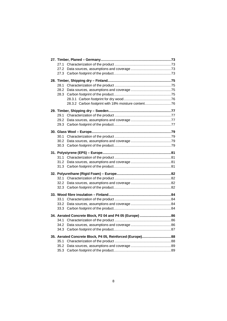| 27.1 |                                                          |  |
|------|----------------------------------------------------------|--|
| 27.2 |                                                          |  |
| 27.3 |                                                          |  |
|      |                                                          |  |
| 28.1 |                                                          |  |
| 28.2 |                                                          |  |
| 28.3 |                                                          |  |
|      |                                                          |  |
|      | 28.3.2 Carbon footprint with 18% moisture content76      |  |
|      |                                                          |  |
| 29.1 |                                                          |  |
| 29.2 |                                                          |  |
| 29.3 |                                                          |  |
|      |                                                          |  |
| 30.1 |                                                          |  |
| 30.2 |                                                          |  |
| 30.3 |                                                          |  |
|      |                                                          |  |
| 31.1 |                                                          |  |
| 31.2 |                                                          |  |
| 31.3 |                                                          |  |
|      |                                                          |  |
| 32.1 |                                                          |  |
| 32.2 |                                                          |  |
| 32.3 |                                                          |  |
|      |                                                          |  |
| 33.1 |                                                          |  |
| 33.2 |                                                          |  |
| 33.3 |                                                          |  |
|      | 34. Aerated Concrete Block, P2 04 and P4 05 (Europe) 86  |  |
| 34.1 |                                                          |  |
| 34.2 |                                                          |  |
| 34.3 |                                                          |  |
|      | 35. Aerated Concrete Block, P4 05, Reinforced (Europe)88 |  |
| 35.1 |                                                          |  |
| 35.2 |                                                          |  |
| 35.3 |                                                          |  |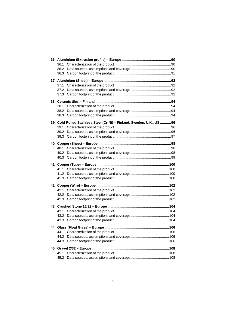| 36.2         |                                                                       |  |
|--------------|-----------------------------------------------------------------------|--|
| 36.3         |                                                                       |  |
|              |                                                                       |  |
| 37.1         |                                                                       |  |
| 37.2         |                                                                       |  |
| 37.3         |                                                                       |  |
|              |                                                                       |  |
| 38.1         |                                                                       |  |
| 38.2         |                                                                       |  |
| 38.3         |                                                                       |  |
|              | 39. Cold Rolled Stainless Steel (Cr-Ni) - Finland, Sweden, U.K., US96 |  |
| 39.1         |                                                                       |  |
| 39.2         |                                                                       |  |
| 39.3         |                                                                       |  |
|              |                                                                       |  |
| 40.1         |                                                                       |  |
| 40.2         |                                                                       |  |
| 40.3         |                                                                       |  |
|              |                                                                       |  |
|              |                                                                       |  |
| 41.2         |                                                                       |  |
|              |                                                                       |  |
|              |                                                                       |  |
| 42.1         |                                                                       |  |
| 42.2         |                                                                       |  |
| 42.3         |                                                                       |  |
|              |                                                                       |  |
| 43.1         |                                                                       |  |
| 43.2         |                                                                       |  |
| 43.3         |                                                                       |  |
|              |                                                                       |  |
| 44.1         |                                                                       |  |
| 44.2         |                                                                       |  |
| 44.3         |                                                                       |  |
|              |                                                                       |  |
|              |                                                                       |  |
| 45.1<br>45.2 |                                                                       |  |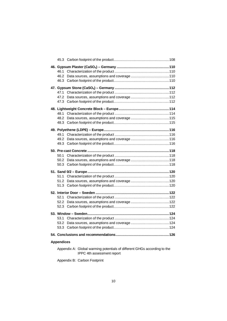| 46.1<br>46.2<br>46.3 |  |
|----------------------|--|
| 47.1<br>47.2<br>47.3 |  |
| 48.1<br>48.2<br>48.3 |  |
| 49.1<br>49.2<br>49.3 |  |
| 50.1<br>50.2<br>50.3 |  |
| 51.1<br>51.2<br>51.3 |  |
| 52.1<br>52.2<br>52.3 |  |
| 53.1<br>53.2<br>53.3 |  |
| <b>Appendices</b>    |  |

Appendix A: Global warming potentials of different GHGs according to the IPPC 4th assessment report

Appendix B: Carbon Footprint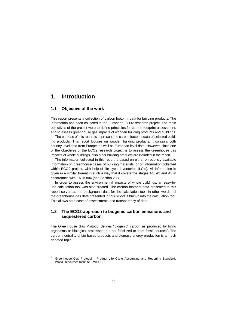## <span id="page-12-0"></span>**1. Introduction**

#### **1.1 Objective of the work**

<span id="page-12-1"></span>This report presents a collection of carbon footprint data for building products. The information has been collected in the European ECO2 research project. The main objectives of the project were to define principles for carbon footprint assessment, and to assess greenhouse gas impacts of wooden building products and buildings.

The purpose of this report is to present the carbon footprint data of selected building products. This report focuses on wooden building products. It contains both country-level data from Europe, as well as European-level data. However, since one of the objectives of the ECO2 research project is to assess the greenhouse gas impacts of whole buildings, also other building products are included in the report.

The information collected in this report is based on either on publicly available information on greenhouse gases of building materials, or on information collected within ECO2 project, with help of life cycle inventories (LCIs). All information is given in a similar format in such a way that it covers the stages A1, A2 and A3 in accordance with EN 15804 (see Section 2.2).

In order to assess the environmental impacts of whole buildings, an easy-touse calculation tool was also created. The carbon footprint data presented in this report serves as the background data for the calculation tool. In other words, all the greenhouse gas data presented in this report is built-in into the calculation tool. This allows both ease of assessments and transparency of data.

#### <span id="page-12-2"></span>**1.2 The ECO2-approach to biogenic carbon emissions and sequestered carbon**

The Greenhouse Gas Protocol defines "biogenic" carbon as produced by living organisms or biological processes, but not fossilized or from fossil sources<sup>1</sup>[.](#page-12-3) The carbon neutrality of bio-based products and biomass energy production is a much debated topic.

<span id="page-12-3"></span><sup>1</sup> Greenhouse Gas Protocol – Product Life Cycle Accounting and Reporting Standard. World Resources Institute – WBCSD.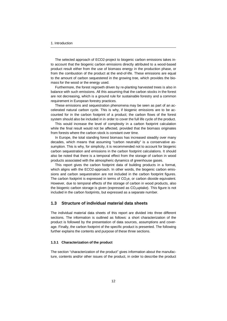The selected approach of ECO2-project to biogenic carbon emissions takes into account that the biogenic carbon emissions directly attributed to a wood-based product result either from the use of biomass energy in the production phase, or from the combustion of the product at the end-of-life. These emissions are equal to the amount of carbon sequestered in the growing tree, which provides the biomass for the wood or the energy used.

Furthermore, the forest regrowth driven by re-planting harvested trees is also in balance with such emissions. All this assuming that the carbon stocks in the forest are not decreasing, which is a ground rule for sustainable forestry and a common requirement in European forestry practices.

These emissions and sequestration phenomena may be seen as part of an accelerated natural carbon cycle. This is why, if biogenic emissions are to be accounted for in the carbon footprint of a product; the carbon flows of the forest system should also be included in in order to cover the full life cycle of the product.

This would increase the level of complexity in a carbon footprint calculation while the final result would not be affected, provided that the biomass originates from forests where the carbon stock is constant over time.

In Europe, the total standing forest biomass has increased steadily over many decades, which means that assuming "carbon neutrality" is a conservative assumption. This is why, for simplicity, it is recommended not to account for biogenic carbon sequestration and emissions in the carbon footprint calculations. It should also be noted that there is a temporal effect from the storage of carbon in wood products associated with the atmospheric dynamics of greenhouse gases.

This report gives the carbon footprint data of building products in a format, which aligns with the ECO2-approach. In other words, the biogenic carbon emissions and carbon sequestration are not included in the carbon footprint figures. The carbon footprint is expressed in terms of  $CO<sub>2</sub>e$ , or carbon dioxide equivalent. However, due to temporal effects of the storage of carbon in wood products, also the biogenic carbon storage is given (expressed as  $CO<sub>2</sub>$ uptake). This figure is not included in the carbon footprints, but expressed as a separate number.

#### <span id="page-13-0"></span>**1.3 Structure of individual material data sheets**

The individual material data sheets of this report are divided into three different sections. The information is outlined as follows: a short characterization of the product is followed by the presentation of data sources, assumptions and coverage. Finally, the carbon footprint of the specific product is presented. The following further explains the contents and purpose of these three sections.

#### <span id="page-13-1"></span>**1.3.1 Characterization of the product**

The section "characterization of the product" gives information about the manufacture, contents and/or other issues of the product, in order to describe the product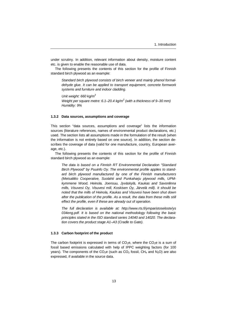under scrutiny. In addition, relevant information about density, moisture content etc. is given to enable the reasonable use of data.

The following presents the contents of this section for the profile of Finnish standard birch plywood as an example:

*Standard birch plywood consists of birch veneer and mainly phenol formaldehyde glue. It can be applied to transport equipment, concrete formwork systems and furniture and indoor cladding.*

*Unit weight: 660 kg/m<sup>3</sup> Weight per square metre: 6.1–20.4 kg/m<sup>2</sup> (with a thickness of 9–30 mm) Humidity: 9%*

#### <span id="page-14-0"></span>**1.3.2 Data sources, assumptions and coverage**

This section "data sources, assumptions and coverage" lists the information sources (literature references, names of environmental product declarations, etc.) used. The section lists all assumptions made in the formulation of the result (when the information is not entirely based on one source). In addition, the section describes the coverage of data (valid for one manufacture, country, European average, etc.).

The following presents the contents of this section for the profile of Finnish standard birch plywood as an example:

*The data is based on a Finnish RT Environmental Declaration "Standard Birch Plywood" by Puuinfo Oy. The environmental profile applies to standard birch plywood manufactured by one of the Finnish manufacturers (Metsaliitto Cooperative, Suolahti and Punkaharju plywood mills, UPMkymmene Wood, Heinola, Joensuu, Jyväskylä, Kaukas and Savonlinna mills, Visuvesi Oy, Visuvesi mill, Koskisen Oy, Järvelä mill). It should be noted that the mills of Heinola, Kaukas and Visuvesi have been shut down after the publication of the profile. As a result, the data from these mills still effect the profile, even if these are already out of operation.*

*[The full declaration is available at: http://www.rts.fi/ymparistoseloste/ys](http://www.rts.fi/ymparistoseloste/ys034eng.pdf) 034eng.pdf. It is based on the national methodology following the basic principles stated in the ISO standard series 14040 and 14020. The declaration covers the product stage A1–A3 (Cradle to Gate).*

#### <span id="page-14-1"></span>**1.3.3 Carbon footprint of the product**

The carbon footprint is expressed in terms of  $CO<sub>2</sub>e$ , where the  $CO<sub>2</sub>e$  is a sum of fossil based emissions calculated with help of IPPC weighting factors (for 100 years). The components of the  $CO<sub>2</sub>e$  (such as  $CO<sub>2</sub>$  fossil,  $CH<sub>4</sub>$  and  $N<sub>2</sub>O$ ) are also expressed, if available in the source data.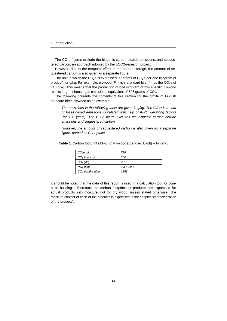The  $CO<sub>2</sub>e$  figures exclude the biogenic carbon dioxide emissions, and sequestered carbon, an approach adopted by the ECO2-research project.

However, due to the temporal effect of the carbon storage, the amount of sequestered carbon is also given as a separate figure.

The unit in which the  $CO<sub>2</sub>e$  is expressed is "grams of  $CO<sub>2</sub>e$  per one kilogram of product", or g/kg. For example, plywood (Finnish, standard birch), has the  $CO<sub>2</sub>e$  of 718 g/kg. This means that the production of one kilogram of this specific plywood results in greenhouse gas emissions, equivalent of 605 grams of  $CO<sub>2</sub>$ .

The following presents the contents of this section for the profile of Finnish standard birch plywood as an example:

*The emissions in the following table are given in g/kg. The CO2e is a sum of fossil based emissions calculated with help of IPPC weighting factors (for 100 years). The CO2e figure excludes the biogenic carbon dioxide emissions and sequestered carbon.*

*However, the amount of sequestered carbon is also given as a separate figure, named as CO2uptake.*

| CO <sub>2</sub> e g/kg | 718                  |
|------------------------|----------------------|
| $CO2$ fossil g/kg      | 650                  |
| $CH_4 g/kg$            | 2.7                  |
| $N_2O g/kg$            | $3.3 \times 10^{-3}$ |
| $CO2$ uptake g/kg      | 1188                 |

**Table 1.** Carbon footprint (A1–3) of Plywood (Standard Birch) – Finland.

It should be noted that the data of this report is used in a calculation tool for complete buildings. Therefore, the carbon footprints of products are expressed for actual products with moisture, not for dry wood, unless stated otherwise. The moisture content of each of the products is expressed in the chapter "characterization of the product".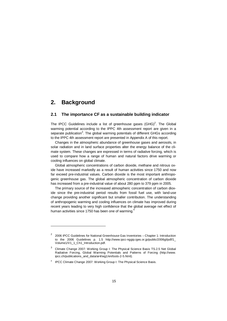## <span id="page-16-0"></span>**2. Background**

#### **2.1 The importance CF as a sustainable building indicator**

<span id="page-16-1"></span>The IPCC Guidelines include a list of greenhouse gases  $(\text{GHG})^2$  $(\text{GHG})^2$ . The Global warming potential according to the IPPC 4th assessment report are given in a separate publication<sup>3</sup>[.](#page-16-3) The global warming potentials of different GHGs according to the IPPC 4th assessment report are presented in Appendix A of this report.

Changes in the atmospheric abundance of greenhouse gases and aerosols, in solar radiation and in land surface properties alter the energy balance of the climate system. These changes are expressed in terms of radiative forcing, which is used to compare how a range of human and natural factors drive warming or cooling influences on global climate.

Global atmospheric concentrations of carbon dioxide, methane and nitrous oxide have increased markedly as a result of human activities since 1750 and now far exceed pre-industrial values. Carbon dioxide is the most important anthropogenic greenhouse gas. The global atmospheric concentration of carbon dioxide has increased from a pre-industrial value of about 280 ppm to 379 ppm in 2005.

The primary source of the increased atmospheric concentration of carbon dioxide since the pre-industrial period results from fossil fuel use, with land-use change providing another significant but smaller contribution. The understanding of anthropogenic warming and cooling influences on climate has improved during recent years leading to very high confidence that the global average net effect of human activities since 1750 has been one of warming.<sup>4</sup>

<span id="page-16-2"></span><sup>2</sup> 2006 IPCC Guidelines for National Greenhouse Gas Inventories – Chapter 1: Introduction [to the 2006 Guidelines p. 1.5 http://www.ipcc-nggip.iges.or.jp/public/2006gl/pdf/1\\_](http://www.ipcc-nggip.iges.or.jp/public/2006gl/pdf/1_Volume1/V1_1_Ch1_Introduction.pdf) Volume1/V1\_1\_Ch1\_Introduction.pdf.

<span id="page-16-3"></span> $3$  Climate Change 2007: Working Group I: The Physical Science Basis TS.2.5 Net Global [Radiative Forcing, Global Warming Potentials and Patterns of Forcing \(http://www.](http://www.ipcc.ch/publications_and_data/ar4/wg1/en/tssts-2-5.html) ipcc.ch/publications\_and\_data/ar4/wg1/en/tssts-2-5.html).

<sup>4</sup> IPCC Climate Change 2007: Working Group I: The Physical Science Basis.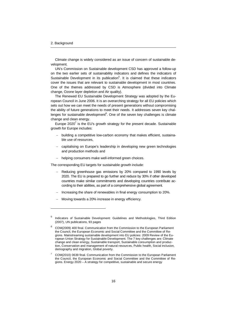Climate change is widely considered as an issue of concern of sustainable development.

UN's Commission on Sustainable development CSD has approved a follow-up on the two earlier sets of sustainability indicators and defines the indicators of Sustainable Development in its publication<sup>5</sup>[.](#page-17-0) It is claimed that these indicators cover the issues that are relevant to sustainable development in most countries. One of the themes addressed by CSD is Atmosphere (divided into Climate change, Ozone layer depletion and Air quality).

The Renewed EU Sustainable Development Strategy was adopted by the European Council in June 2006. It is an overarching strategy for all EU policies which sets out how we can meet the needs of present generations without compromising the ability of future generations to meet their needs. It addresses seven key chal-lenges for sustainable development<sup>6</sup>[.](#page-17-1) One of the seven key challenges is climate change and clean energy.

Europe2020 $^7$  is the EU's growth strategy for the present decade. Sustainable growth for Europe includes:

- building a competitive low-carbon economy that makes efficient, sustainable use of resources,
- capitalising on Europe's leadership in developing new green technologies and production methods and
- helping consumers make well-informed green choices.

The corresponding EU targets for sustainable growth include:

- Reducing greenhouse gas emissions by 20% compared to 1990 levels by 2020. The EU is prepared to go further and reduce by 30% if other developed countries make similar commitments and developing countries contribute according to their abilities, as part of a comprehensive global agreement.
- Increasing the share of renewables in final energy consumption to 20%.
- Moving towards a 20% increase in energy efficiency.

<span id="page-17-0"></span><sup>5</sup> Indicators of Sustainable Development: Guidelines and Methodologies, Third Edition (2007), UN publications, 93 pages

<span id="page-17-1"></span> $6$  COM(2009) 400 final. Communication from the Commission to the European Parliament the Council, the European Economic and Social Committee and the Committee of Regions. Mainstreaming sustainable development into EU policies: 2009 Review of the European Union Strategy for Sustainable Development. The 7 key challenges are: Climate change and clean energy, Sustainable transport, Sustainable consumption and production, Conservation and management of natural resources, Public health, Social inclusion, demography and migration, Global poverty.

<span id="page-17-2"></span><sup>7</sup> COM(2010) 0639 final. Communication from the Commission to the European Parliament the Council, the European Economic and Social Committee and the Committee of Regions. Energy 2020 – A strategy for competitive, sustainable and secure energy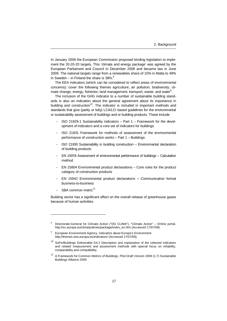In January 2008 the European Commission proposed binding legislation to implement the 20-20-20 targets. This 'climate and energy package' was agreed by the European Parliament and Council in December 2008 and became law in June 2009. The national targets range from a renewables share of 10% in Malta to 49% in Sweden – in Finland the share is  $38\%$ .<sup>8</sup>

The EEA indicators (which can be considered to reflect areas of environmental concerns): cover the following themes agriculture; air pollution; biodiversity; climate change; energy; fisheries; land management; transport; waste; and water<sup>9</sup>.

The inclusion of the GHG indicator to a number of sustainable building standards is also an indication about the general agreement about its importance in building and construction<sup>[10](#page-18-0)</sup>. The indicator is included in important methods and standards that give (partly or fully) LCA/LCI based guidelines for the environmental or sustainability assessment of buildings and or building products. These include

- ISO 21929-1 Sustainability indicators Part 1 Framework for the development of indicators and a core set of indicators for buildings
- ISO 21931 Framework for methods of assessment of the environmental performance of construction works – Part 1 – Buildings
- ISO 21930 Sustainability in building construction Environmental declaration of building products
- EN 15978 Assessment of environmental performance of buildings Calculation method
- EN 15804 Environmental product declarations Core rules for the product category of construction products
- EN 15942 Environmental product declarations Communication format business-to-business
- $-$  SBA common metric<sup>[1](#page-18-1)1</sup>

Building sector has a significant effect on the overall release of greenhouse gases because of human activities.

<sup>8</sup> [Directorate-General for Climate Action \("DG CLIMA"\), "Climate Action" – Online porta](http://ec.europa.eu/clima/policies/package/index_en.htm)l. http://ec.europa.eu/clima/policies/package/index\_en.htm (Accessed 17/07/09).

<sup>9</sup> European Environment Agency. Indicators about Europe's Environment [http://themes.eea.europa.eu/indicators/ \(A](http://themes.eea.europa.eu/indicators/)ccessed 17/07/09).

<span id="page-18-0"></span> $10$  SuPerBuildings Deliverable D4.2 Description and explanation of the selected indicators and related measurement and assessment methods with special focus on reliability, comparability and compatibility.

<span id="page-18-1"></span><sup>11</sup> A Framework for Common Metrics of Buildings. Pilot Draft Version 2009 (1.7) Sustainable Buildings Alliance 2009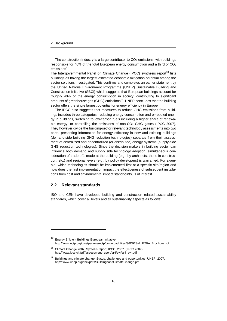The construction industry is a large contributor to  $CO<sub>2</sub>$  emissions, with buildings responsible for 40% of the total European energy consumption and a third of  $CO<sub>2</sub>$ emissions<sup>[12](#page-19-1)</sup>.

The Intergovernmental Panel on Climate Change (IPCC) synthesis report<sup>[13](#page-19-2)</sup> lists buildings as having the largest estimated economic mitigation potential among the sector solutions investigated. This confirms and completes an earlier statement by the United Nations Environment Programme (UNEP) Sustainable Building and Construction Initiative (SBCI) which suggests that European buildings account for roughly 40% of the energy consumption in society, contributing to significant amounts of greenhouse gas (GHG) emissions<sup>[14](#page-19-3)</sup>. UNEP concludes that the building sector offers the single largest potential for energy efficiency in Europe.

The IPCC also suggests that measures to reduce GHG emissions from buildings includes three categories: reducing energy consumption and embodied energy in buildings, switching to low-carbon fuels including a higher share of renewable energy, or controlling the emissions of non- $CO<sub>2</sub>$  GHG gases (IPCC 2007). They however divide the building-sector relevant technology assessments into two parts: presenting information for energy efficiency in new and existing buildings (demand-side building GHG reduction technologies) separate from their assessment of centralized and decentralized (or distributed) energy systems (supply-side GHG reduction technologies). Since the decision makers in building sector can influence both demand and supply side technology adoption, simultaneous consideration of trade-offs made at the building (e.g., by architects, those in construction, etc.) and regional levels (e.g., by policy developers) is warranted. For example, which technologies should be implemented first at a specific site/region and how does the first implementation impact the effectiveness of subsequent installations from cost and environmental impact standpoints, is of interest.

#### <span id="page-19-0"></span>**2.2 Relevant standards**

ISO and CEN have developed building and construction related sustainability standards, which cover all levels and all sustainability aspects as follows:

<span id="page-19-1"></span>Energy Efficient Buildings European Initiative. [http://www.ectp.org/cws/params/ectp/download\\_files/36D928v2\\_E2BA\\_Brochure.pdf](http://www.ectp.org/cws/params/ectp/download_files/36D928v2_E2BA_Brochure.pdf)

<span id="page-19-2"></span><sup>13</sup> Climate Change 2007: Syntesis report, IPCC, 2007. (IPCC 2007) [http://www.ipcc.ch/pdf/assessment-report/ar4/syr/ar4\\_syr.pdf](http://www.ipcc.ch/pdf/assessment-report/ar4/syr/ar4_syr.pdf)

<span id="page-19-3"></span><sup>14</sup> Buildings and climate change: Status, challenges and opportunities, UNEP, 2007. <http://www.unep.org/sbci/pdfs/BuildingsandClimateChange.pdf>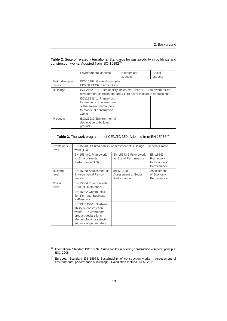**Table 2.** Suite of related International Standards for sustainability in buildings and construction works[.](#page-20-0) Adopted from ISO 15392<sup>15</sup>.

|                                                                                                                                                                 | Environmental aspects                                                                                                 | Economical<br>aspects | Social<br>aspects |
|-----------------------------------------------------------------------------------------------------------------------------------------------------------------|-----------------------------------------------------------------------------------------------------------------------|-----------------------|-------------------|
| Methodological<br>bases                                                                                                                                         | ISO/15392: General principles<br>ISO/TR 21932: Terminology                                                            |                       |                   |
| ISO 21929-1: Sustainability Indicators - Part 1 - Framework for the<br><b>Buildings</b><br>development of indicators and a core set of indicators for buildings |                                                                                                                       |                       |                   |
|                                                                                                                                                                 | ISO/21931-1: Framework<br>for methods of assessment<br>of the environmental per-<br>formance of construction<br>works |                       |                   |
| Products                                                                                                                                                        | ISO/21930: Environmental<br>declaration of building<br>products                                                       |                       |                   |

#### Table 3[.](#page-20-1) The work programme of CEN/TC 350. Adopted from EN 15978<sup>16</sup>.

| Framework<br>level       | EN 15643–1 Sustainability Assessment of Buildings – General Frame-<br>work (TG)                                                                             |                                                   |                                                        |  |
|--------------------------|-------------------------------------------------------------------------------------------------------------------------------------------------------------|---------------------------------------------------|--------------------------------------------------------|--|
|                          | EN 15643-2 Framework<br>for Environmental<br>Performance (TG)                                                                                               | EN 15643-3 Framework<br>for Social Performance    | EN 15643-4<br>Framework<br>for Economic<br>Performance |  |
| <b>Building</b><br>level | EN 15978 Assessment of<br><b>Environmental Perfor-</b><br>mance                                                                                             | prEN 16309<br>Assessment of Social<br>Performance | Assessment<br>of Economic<br>Performance               |  |
| Product<br>level         | EN 15804 Environmental<br><b>Product Declarations</b>                                                                                                       |                                                   |                                                        |  |
|                          | EN 15942 Communica-<br>tion Formats, Business-<br>to-Business                                                                                               |                                                   |                                                        |  |
|                          | CEN/TR 15941 Sustain-<br>ability of construction<br>works - Environmental<br>product declarations -<br>Methodology for selection<br>and use of generic data |                                                   |                                                        |  |

<span id="page-20-0"></span><sup>&</sup>lt;sup>15</sup> International Standard ISO 15392: Sustainability in building construction -General principle. ISO, 2008.

<span id="page-20-1"></span> $16$  European Standard EN 15978: Sustainability of construction works - Assessment of environmental performance of buildings - Calculation method. CEN, 2011.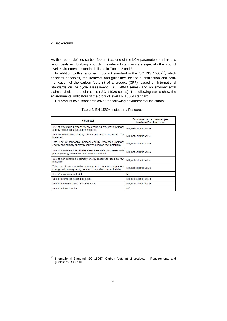As this report defines carbon footprint as one of the LCA parameters and as this report deals with building products, the relevant standards are especially the product level environmental standards listed in Tables 2 and 3.

In addition to this, another important standard is the ISO DIS  $15067^{17}$  $15067^{17}$  $15067^{17}$ , which specifies principles, requirements and guidelines for the quantification and communication of the carbon footprint of a product (CFP), based on International Standards on life cycle assessment (ISO 14040 series) and on environmental claims, labels and declarations (ISO 14020 series). The following tables show the environmental indicators of the product level EN 15804 standard.

EN product level standards cover the following environmental indicators:

| <b>Parameter</b>                                                                                                           | Parameter unit expressed per<br>functional/declared unit |  |
|----------------------------------------------------------------------------------------------------------------------------|----------------------------------------------------------|--|
| Use of renewable primary energy excluding renewable primary<br>energy resources used as raw materials                      | MJ, net calorific value                                  |  |
| Use of renewable primary energy resources used as raw<br>materials                                                         | MJ, net calorific value                                  |  |
| Total use of renewable primary energy resources (primary<br>energy and primary energy resources used as raw materials)     | MJ, net calorific value                                  |  |
| Use of non renewable primary energy excluding non renewable<br>primary energy resources used as raw materials              | MJ, net calorific value                                  |  |
| Use of non renewable primary energy resources used as raw<br>materials                                                     | MJ, net calorific value                                  |  |
| Total use of non renewable primary energy resources (primary<br>energy and primary energy resources used as raw materials) | MJ, net calorific value                                  |  |
| Use of secondary material                                                                                                  | kg                                                       |  |
| Use of renewable secondary fuels                                                                                           | MJ, net calorific value                                  |  |
| Use of non renewable secondary fuels                                                                                       | MJ, net calorific value                                  |  |
| Use of net fresh water                                                                                                     | m <sup>3</sup>                                           |  |

**Table 4.** EN 15804 indicators: Resources.

<span id="page-21-0"></span><sup>17</sup> International Standard ISO 15067: Carbon footprint of products – Requirements and guidelines. ISO, 2012.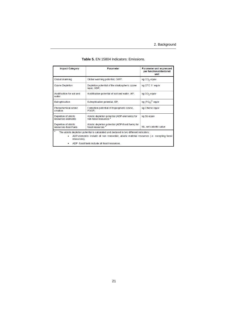| <b>Impact Category</b>                                                                                                                                                                                                                                            | Parameter                                                                                          | Parameter unit expressed<br>per functional/declared<br>unit |  |
|-------------------------------------------------------------------------------------------------------------------------------------------------------------------------------------------------------------------------------------------------------------------|----------------------------------------------------------------------------------------------------|-------------------------------------------------------------|--|
| Global Warming                                                                                                                                                                                                                                                    | Global warming potential, GWP;                                                                     | kg CO <sub>2</sub> equiv                                    |  |
| Ozone Depletion                                                                                                                                                                                                                                                   | Depletion potential of the stratospheric ozone<br>layer, ODP;                                      | kg CFC 11 equiv                                             |  |
| Acidification for soil and<br>water                                                                                                                                                                                                                               | Acidification potential of soil and water, AP;                                                     | kg SO <sub>2</sub> equiv                                    |  |
| Eutrophication                                                                                                                                                                                                                                                    | Eutrophication potential, EP;                                                                      | kg $(POA)3$ equiv                                           |  |
| Photochemical ozone<br>creation                                                                                                                                                                                                                                   | Formation potential of tropospheric ozone<br>kg Ethene equiv<br>POCP:                              |                                                             |  |
| Depletion of abiotic<br>resources-elements                                                                                                                                                                                                                        | Abiotic depletion potential (ADP-elements) for<br>kg Sb equiv<br>non fossil resources <sup>a</sup> |                                                             |  |
| Depletion of abiotic<br>resources-fossil fuels                                                                                                                                                                                                                    | Abiotic depletion potential (ADP-fossil fuels) for<br>fossil resources <sup>a</sup>                | MJ, net calorific value                                     |  |
| a<br>The abiotic depletion potential is calculated and declared in two different indicators:<br>ADP-elements: include all non renewable, abiotic material resources (i.e. excepting fossil<br>٠<br>resources);<br>ADP -fossil fuels include all fossil resources. |                                                                                                    |                                                             |  |

| Table 5. EN 15804 Indicators: Emissions. |  |  |  |
|------------------------------------------|--|--|--|
|------------------------------------------|--|--|--|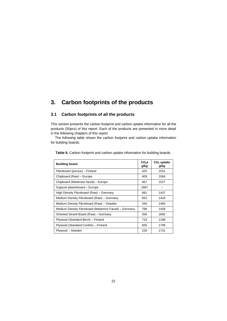## <span id="page-23-0"></span>**3. Carbon footprints of the products**

#### **3.1 Carbon footprints of all the products**

<span id="page-23-1"></span>This section presents the carbon footprint and carbon uptake information for all the products (50pcs) of this report. Each of the products are presented in more detail in the following chapters of this report.

The following table shows the carbon footprint and carbon uptake information for building boards.

| <b>Building board</b>                                | $CO2$ e<br>g/kg | $CO2$ uptake<br>g/kg |
|------------------------------------------------------|-----------------|----------------------|
| Fibreboard (porous) - Finland                        | 425             | 1531                 |
| Chipboard (Raw) - Europe                             | 409             | 1564                 |
| Chipboard (Melamine faced) – Europe                  | 467             | 1527                 |
| Gypsum plasterboard – Europe                         | 1967            |                      |
| High Density Fibreboard (Raw) - Germany              | 661             | 1437                 |
| Medium Density Fibreboard (Raw) - Germany            | 652             | 1418                 |
| Medium Density Fibreboard (Raw) - Sweden             | 340             | 1466                 |
| Medium Density Fibreboard (Melamine Faced) – Germany | 788             | 1458                 |
| Oriented Strand Board (Raw) - Germany                | 208             | 1692                 |
| Plywood (Standard Birch) - Finland                   | 718             | 1188                 |
| Plywood (Standard Conifer) - Finland                 | 605             | 1708                 |
| Plywood - Sweden                                     | 229             | 1731                 |

**Table 6.** Carbon footprint and carbon uptake information for building boards.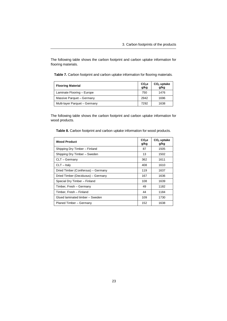The following table shows the carbon footprint and carbon uptake information for flooring materials.

|  |  |  | Table 7. Carbon footprint and carbon uptake information for flooring materials. |  |
|--|--|--|---------------------------------------------------------------------------------|--|
|--|--|--|---------------------------------------------------------------------------------|--|

| <b>Flooring Material</b>      | $CO2$ e<br>g/kg | $CO2$ uptake<br>g/kg |
|-------------------------------|-----------------|----------------------|
| Laminate Flooring - Europe    | 750             | 1476                 |
| Massive Parquet - Germany     | 2942            | 1696                 |
| Multi-layer Parquet - Germany | 7292            | 1638                 |

The following table shows the carbon footprint and carbon uptake information for wood products.

**Table 8.** Carbon footprint and carbon uptake information for wood products.

| <b>Wood Product</b>                 | $CO2$ e<br>g/kg | $CO2$ uptake<br>g/kg |
|-------------------------------------|-----------------|----------------------|
| Shipping Dry Timber - Finland       | 87              | 1505                 |
| Shipping Dry Timber - Sweden        | 13              | 1502                 |
| CLT - Germany                       | 362             | 1611                 |
| $CLT - Italv$                       | 408             | 1610                 |
| Dried Timber (Coniferous) - Germany | 119             | 1637                 |
| Dried Timber (Deciduous) - Germany  | 167             | 1636                 |
| Special Dry Timber - Finland        | 108             | 1639                 |
| Timber, Fresh - Germany             | 49              | 1182                 |
| Timber, Fresh – Finland             | 44              | 1184                 |
| Glued laminated timber - Sweden     | 109             | 1730                 |
| Planed Timber - Germany             | 152             | 1638                 |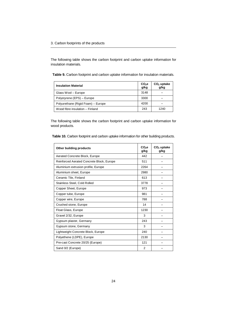The following table shows the carbon footprint and carbon uptake information for insulation materials.

**Table 9.** Carbon footprint and carbon uptake information for insulation materials.

| <b>Insulation Material</b>         | $CO2$ e<br>g/kg | $CO2$ uptake<br>g/kg |
|------------------------------------|-----------------|----------------------|
| Glass Wool - Europe                | 3148            |                      |
| Polystyrene (EPS) - Europe         | 3300            |                      |
| Polyurethane (Rigid Foam) – Europe | 4200            |                      |
| Wood fibre insulation - Finland    | 243             | 1240                 |

The following table shows the carbon footprint and carbon uptake information for wood products.

|  |  |  | Table 10. Carbon footprint and carbon uptake information for other building products. |  |
|--|--|--|---------------------------------------------------------------------------------------|--|
|--|--|--|---------------------------------------------------------------------------------------|--|

| Other building products                   | CO <sub>2</sub> e<br>g/kg | $CO2$ uptake<br>g/kg |
|-------------------------------------------|---------------------------|----------------------|
| Aerated Concrete Block, Europe            | 442                       |                      |
| Reinforced Aerated Concrete Block, Europe | 511                       |                      |
| Aluminium extrusion profile, Europe       | 2264                      |                      |
| Aluminium sheet, Europe                   | 2980                      |                      |
| Ceramic Tile, Finland                     | 613                       |                      |
| Stainless Steel, Cold Rolled              | 3778                      |                      |
| Copper Sheet, Europe                      | 973                       |                      |
| Copper tube, Europe                       | 981                       |                      |
| Copper wire, Europe                       | 788                       |                      |
| Crushed stone, Europe                     | 14                        |                      |
| Float Glass, Europe                       | 1230                      |                      |
| Gravel 2/32, Europe                       | 3                         |                      |
| Gypsum plaster, Germany                   | 243                       |                      |
| Gypsum stone, Germany                     | 3                         |                      |
| Lightweight Concrete Block, Europe        | 240                       |                      |
| Polyethene (LDPE), Europe                 | 2130                      |                      |
| Pre-cast Concrete 20/25 (Europe)          | 121                       |                      |
| Sand 0/2 (Europe)                         | $\mathcal{P}$             |                      |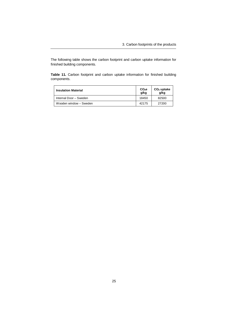The following table shows the carbon footprint and carbon uptake information for finished building components.

**Table 11.** Carbon footprint and carbon uptake information for finished building components.

| <b>Insulation Material</b> | $CO2$ e<br>g/kg | $CO2$ uptake<br>q/kg |
|----------------------------|-----------------|----------------------|
| Internal Door - Sweden     | 18450           | 82500                |
| Wooden window - Sweden     | 42175           | 27200                |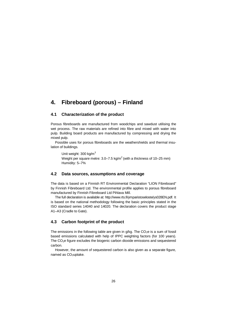## <span id="page-27-0"></span>**4. Fibreboard (porous) – Finland**

#### **4.1 Characterization of the product**

<span id="page-27-1"></span>Porous fibreboards are manufactured from woodchips and sawdust utilising the wet process. The raw materials are refined into fibre and mixed with water into pulp. Building board products are manufactured by compressing and drying the mixed pulp.

Possible uses for porous fibreboards are the weathershields and thermal insulation of buildings.

Unit weight: 300 kg/m<sup>3</sup> Weight per square metre: 3.0–7.5 kg/m<sup>2</sup> (with a thickness of 10–25 mm) Humidity: 5–7%

#### <span id="page-27-2"></span>**4.2 Data sources, assumptions and coverage**

The data is based on a Finnish RT Environmental Declaration "LION Fibreboard" by Finnish Fibreboard Ltd. The environmental profile applies to porous fibreboard manufactured by Finnish Fibreboard Ltd Pihlava Mill.

The full declaration is available at: http://www.rts.fi/ymparistoseloste/ys028EN.pdf. It is based on the national methodology following the basic principles stated in the ISO standard series [14040 and 14020. The declaration covers the product stage](http://www.rts.fi/ymparistoseloste/ys028EN.pdf) A1–A3 (Cradle to Gate).

#### <span id="page-27-3"></span>**4.3 Carbon footprint of the product**

The emissions in the following table are given in  $q/kg$ . The  $CO<sub>2</sub>e$  is a sum of fossil based emissions calculated with help of IPPC weighting factors (for 100 years). The CO2e figure excludes the biogenic carbon dioxide emissions and sequestered carbon.

However, the amount of sequestered carbon is also given as a separate figure, named as CO<sub>2</sub>uptake.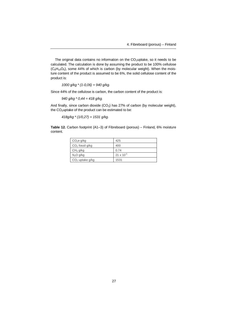The original data contains no information on the  $CO<sub>2</sub>$ uptake, so it needs to be calculated. The calculation is done by assuming the product to be 100% cellulose  $(C_6H_{10}O_5)$ , some 44% of which is carbon (by molecular weight). When the moisture content of the product is assumed to be 6%, the solid cellulose content of the product is:

*1000 g/kg \* (1-0,06) = 940 g/kg.*

Since 44% of the cellulose is carbon, the carbon content of the product is:

*940 g/kg \* 0,44 = 418 g/kg.*

And finally, since carbon dioxide  $(CO_2)$  has 27% of carbon (by molecular weight), the CO<sub>2</sub>uptake of the product can be estimated to be:

*418g/kg \* (1/0,27) = 1531 g/kg.*

**Table 12.** Carbon footprint (A1–3) of Fibreboard (porous) – Finland, 6% moisture content.

| CO <sub>2</sub> e g/kg | 425                 |
|------------------------|---------------------|
| $CO2$ fossil g/kg      | 400                 |
| CH <sub>4</sub> g/kg   | 0.74                |
| $N_2O$ g/kg            | $21 \times 10^{-3}$ |
| $CO2$ uptake g/kg      | 1531                |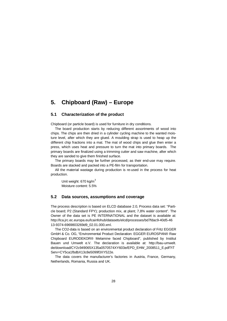## <span id="page-29-0"></span>**5. Chipboard (Raw) – Europe**

#### **5.1 Characterization of the product**

<span id="page-29-1"></span>Chipboard (or particle board) is used for furniture in dry conditions.

The board production starts by reducing different assortments of wood into chips. The chips are then dried in a cylinder cycling machine to the wanted moisture level, after which they are glued. A moulding strap is used to heap up the different chip fractions into a mat. The mat of wood chips and glue then enter a press, which uses heat and pressure to turn the mat into primary boards. The primary boards are finalized using a trimming cutter and saw machine, after which they are sanded to give them finished surface.

The primary boards may be further processed, as their end-use may require. Boards are stacked and packed into a PE-film for transportation.

All the material wastage during production is re-used in the process for heat production.

Unit weight:  $670$  kg/m<sup>3</sup> Moisture content: 5.5%

#### <span id="page-29-2"></span>**5.2 Data sources, assumptions and coverage**

The process description is based on ELCD database 2.0, Process data set: "Particle board; P2 (Standard FPY); production mix, at plant; 7,8% water content". The Owner of the data set is PE INTERNATIONAL and the dataset is available at: [http://lca.jrc.ec.europa.eu/lcainfohub/datasets/elcd/processes/bd7fdac9-40d5-46](http://lca.jrc.ec.europa.eu/lcainfohub/datasets/elcd/processes/bd7fdac9-40d5-4613-9374-6969803269d9_02.01.000.xml) 13-9374-6969803269d9\_02.01.000.xml.

The CO2-data is based on an environmental product declaration of Fritz EGGER GmbH & Co. OG, "Environmental Product Declaration: EGGER EUROSPAN® Raw Chipboard EURODEKOR® Melamine faced Chipboard", published by Institut [Bauen und Umwelt e.V. The declaration is available at: http://bau-umwelt.](http://bau-umwelt.de/download/CY2c949065X135a0570574XY603e/EPD_EHW_2008511_E.pdf?ITServ=CY5ca1fbdbX13c8e5099f3XY522e) de/download/CY2c949065X135a0570574XY603e/EPD\_EHW\_2008511\_E.pdf?IT Serv=CY5ca1fbdbX13c8e5099f3XY522e.

The data covers the manufacturer's factories in Austria, France, Germany, Netherlands, Romania, Russia and UK.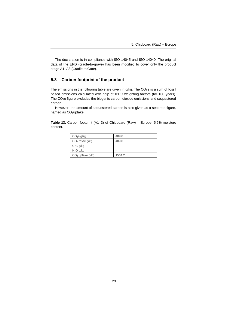The declaration is in compliance with ISO 14045 and ISO 14040. The original data of the EPD (cradle-to-grave) has been modified to cover only the product stage A1–A3 (Cradle to Gate).

#### <span id="page-30-0"></span>**5.3 Carbon footprint of the product**

The emissions in the following table are given in  $g/kg$ . The  $CO<sub>2</sub>e$  is a sum of fossil based emissions calculated with help of IPPC weighting factors (for 100 years). The CO<sub>2</sub>e figure excludes the biogenic carbon dioxide emissions and sequestered carbon.

However, the amount of sequestered carbon is also given as a separate figure, named as CO<sub>2</sub>uptake.

**Table 13.** Carbon footprint (A1–3) of Chipboard (Raw) – Europe, 5.5% moisture content.

| CO <sub>2</sub> e g/kg | 409.0  |
|------------------------|--------|
| $CO2$ fossil g/kg      | 409.0  |
| CH <sub>4</sub> g/kg   |        |
| $N_2O$ g/kg            |        |
| $CO2$ uptake g/kg      | 1564.2 |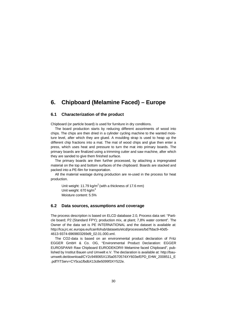## <span id="page-31-0"></span>**6. Chipboard (Melamine Faced) – Europe**

#### **6.1 Characterization of the product**

<span id="page-31-1"></span>Chipboard (or particle board) is used for furniture in dry conditions.

The board production starts by reducing different assortments of wood into chips. The chips are then dried in a cylinder cycling machine to the wanted moisture level, after which they are glued. A moulding strap is used to heap up the different chip fractions into a mat. The mat of wood chips and glue then enter a press, which uses heat and pressure to turn the mat into primary boards. The primary boards are finalized using a trimming cutter and saw machine, after which they are sanded to give them finished surface.

The primary boards are then further processed, by attaching a impregnated material on the top and bottom surfaces of the chipboard. Boards are stacked and packed into a PE-film for transportation.

All the material wastage during production are re-used in the process for heat production.

Unit weight: 11.79 kg/m<sup>2</sup> (with a thickness of 17.6 mm) Unit weight:  $670$  kg/m<sup>3</sup> Moisture content: 5.5%

#### <span id="page-31-2"></span>**6.2 Data sources, assumptions and coverage**

The process description is based on ELCD database 2.0, Process data set: "Particle board; P2 (Standard FPY); production mix, at plant; 7,8% water content". The Owner of the data set is PE INTERNATIONAL and the dataset is available at: [http://lca.jrc.ec.europa.eu/lcainfohub/datasets/elcd/processes/bd7fdac9-40d5-](http://lca.jrc.ec.europa.eu/lcainfohub/datasets/elcd/processes/bd7fdac9-40d5-4613-9374-6969803269d9_02.01.000.xml) [4613-9374-6969803269d9\\_02.01.000.xml.](http://lca.jrc.ec.europa.eu/lcainfohub/datasets/elcd/processes/bd7fdac9-40d5-4613-9374-6969803269d9_02.01.000.xml)

The CO2-data is based on an environmental product declaration of Fritz EGGER GmbH & Co. OG, "Environmental Product Declaration: EGGER EUROSPAN® Raw Chipboard EURODEKOR® Melamine faced Chipboard", publis[hed by Institut Bauen und Umwelt e.V. The declaration is available at: http://bau](http://bau-umwelt.de/download/CY2c949065X135a0570574XY603e/EPD_EHW_2008511_E.pdf?ITServ=CY5ca1fbdbX13c8e5099f3XY522e)umwelt.de/download/CY2c949065X135a0570574XY603e/EPD\_EHW\_2008511\_E .pdf?ITServ=CY5ca1fbdbX13c8e5099f3XY522e.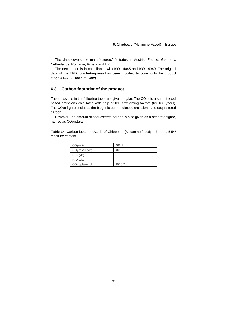The data covers the manufacturers' factories in Austria, France, Germany, Netherlands, Romania, Russia and UK.

The declaration is in compliance with ISO 14045 and ISO 14040. The original data of the EPD (cradle-to-grave) has been modified to cover only the product stage A1–A3 (Cradle to Gate).

#### <span id="page-32-0"></span>**6.3 Carbon footprint of the product**

The emissions in the following table are given in  $g/kg$ . The  $CO<sub>2</sub>e$  is a sum of fossil based emissions calculated with help of IPPC weighting factors (for 100 years). The CO<sub>2</sub>e figure excludes the biogenic carbon dioxide emissions and sequestered carbon.

However, the amount of sequestered carbon is also given as a separate figure, named as CO<sub>2</sub>uptake.

**Table 14.** Carbon footprint (A1–3) of Chipboard (Melamine faced) – Europe, 5.5% moisture content.

| CO <sub>2</sub> e g/kg | 466.5  |
|------------------------|--------|
| $CO2$ fossil g/kg      | 466.5  |
| CH <sub>4</sub> g/kg   |        |
| $N_2O$ g/kg            |        |
| $CO2$ uptake g/kg      | 1526.7 |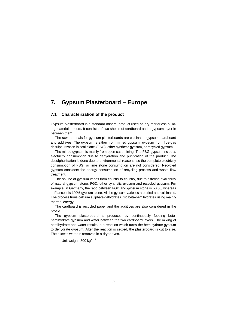## <span id="page-33-0"></span>**7. Gypsum Plasterboard – Europe**

#### **7.1 Characterization of the product**

<span id="page-33-1"></span>Gypsum plasterboard is a standard mineral product used as dry mortarless building material indoors. It consists of two sheets of cardboard and a gypsum layer in between them.

The raw materials for gypsum plasterboards are calcinated gypsum, cardboard and additives. The gypsum is either from mined gypsum, gypsum from flue-gas desulphurization in coal plants (FSG), other synthetic gypsum, or recycled gypsum.

The mined gypsum is mainly from open cast mining. The FSG gypsum includes electricity consumption due to dehydration and purification of the product. The desulphurization is done due to environmental reasons, so the complete electricity consumption of FSG, or lime stone consumption are not considered. Recycled gypsum considers the energy consumption of recycling process and waste flow treatment.

The source of gypsum varies from country to country, due to differing availability of natural gypsum stone, FGD, other synthetic gypsum and recycled gypsum. For example, in Germany, the ratio between FGD and gypsum stone is 50:50, whereas in France it is 100% gypsum stone. All the gypsum varieties are dried and calcinated. The process turns calcium sulphate dehydrates into beta-hemihydrates using mainly thermal energy.

The cardboard is recycled paper and the additives are also considered in the profile.

The gypsum plasterboard is produced by continuously feeding betahemihydrate gypsum and water between the two cardboard layers. The mixing of hemihydrate and water results in a reaction which turns the hemihydrate gypsum to dehydrate gypsum. After the reaction is settled, the plasterboard is cut to size. The excess water is removed in a dryer oven.

Unit weight: 800 kg/m<sup>3</sup>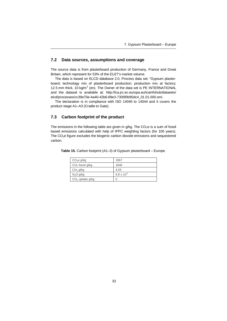#### <span id="page-34-0"></span>**7.2 Data sources, assumptions and coverage**

The source data is from plasterboard production of Germany, France and Great Britain, which represent for 53% of the EU27's market volume.

The data is based on ELCD database 2.0, Process data set: "Gypsum plasterboard; technology mix of plasterboard production; production mix at factory; 12.5 mm thick, 10 kg/m<sup>2</sup> (en). The Owner of the data set is PE INTERNATIONAL [and the dataset is available at: http://lca.jrc.ec.europa.eu/lcainfohub/datasets/](http://lca.jrc.ec.europa.eu/lcainfohub/datasets/elcd/processes/cc39e70e-4a40-42b6-89e3-7305f0b95dc4_01.01.000.xml) elcd/processes/cc39e70e-4a40-42b6-89e3-7305f0b95dc4\_01.01.000.xml.

The declaration is in compliance with ISO 14040 to 14044 and it covers the product stage A1–A3 (Cradle to Gate).

#### <span id="page-34-1"></span>**7.3 Carbon footprint of the product**

The emissions in the following table are given in  $q/kg$ . The  $CO<sub>2</sub>e$  is a sum of fossil based emissions calculated with help of IPPC weighting factors (for 100 years). The  $CO<sub>2</sub>e$  figure excludes the biogenic carbon dioxide emissions and sequestered carbon.

| CO <sub>2</sub> e g/kg | 1967                 |
|------------------------|----------------------|
| $CO2$ fossil g/kg      | 1846                 |
| CH <sub>4</sub> g/kg   | 4.03                 |
| N <sub>2</sub> O g/kg  | $6.8 \times 10^{-2}$ |
| $CO2$ uptake g/kg      | 0                    |

**Table 15.** Carbon footprint (A1–3) of Gypsum plasterboard – Europe.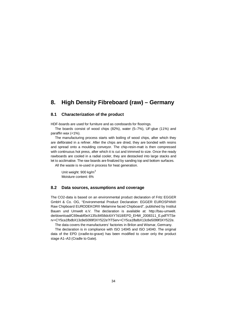## <span id="page-35-0"></span>**8. High Density Fibreboard (raw) – Germany**

#### **8.1 Characterization of the product**

<span id="page-35-1"></span>HDF-boards are used for furniture and as coreboards for floorings.

The boards consist of wood chips (82%), water (5–7%), UF-glue (11%) and paraffin wax (<1%).

The manufacturing process starts with boiling of wood chips, after which they are defibrated in a refiner. After the chips are dried, they are bonded with resins and spread onto a moulding conveyor. The chip-resin-matt is then compressed with continuous hot press, after which it is cut and trimmed to size. Once the ready rawboards are cooled in a radial cooler, they are destacked into large stacks and let to acclimatise. The raw boards are finalized by sanding top and bottom surfaces.

All the waste is re-used in process for heat generation.

Unit weight:  $900$  kg/m<sup>3</sup> Moisture content: 6%

#### <span id="page-35-2"></span>**8.2 Data sources, assumptions and coverage**

The CO2-data is based on an environmental product declaration of Fritz EGGER GmbH & Co. OG, "Environmental Product Declaration: EGGER EUROSPAN® Raw Chipboard EURODEKOR® Melamine faced Chipboard", published by Institut [Bauen und Umwelt e.V. The declaration is available at: http://bau-umwelt.](http://bau-umwelt.de/download/C69eabf0eX135c8458dc6XY7d18/EPD_EHW_2008311_E.pdf?ITServ=CY5ca1fbdbX13c8e5099f3XY522e?ITServ=CY5ca1fbdbX13c8e5099f3XY522e) de/download/C69eabf0eX135c8458dc6XY7d18/EPD\_EHW\_2008311\_E.pdf?ITSe rv=CY5ca1fbdbX13c8e5099f3XY522e?ITServ=CY5ca1fbdbX13c8e5099f3XY522e.

The data covers the manufacturers' factories in Brilon and Wismar, Germany.

The declaration is in compliance with ISO 14045 and ISO 14040. The original data of the EPD (cradle-to-grave) has been modified to cover only the product stage A1–A3 (Cradle to Gate).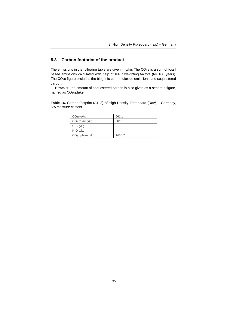## **8.3 Carbon footprint of the product**

The emissions in the following table are given in  $g/kg$ . The  $CO<sub>2</sub>e$  is a sum of fossil based emissions calculated with help of IPPC weighting factors (for 100 years). The CO2e figure excludes the biogenic carbon dioxide emissions and sequestered carbon.

However, the amount of sequestered carbon is also given as a separate figure, named as CO<sub>2</sub>uptake.

**Table 16.** Carbon footprint (A1–3) of High Density Fibreboard (Raw) – Germany, 6% moisture content.

| CO <sub>2</sub> e g/kg | 661.1  |
|------------------------|--------|
| $CO2$ fossil g/kg      | 661.1  |
| CH <sub>4</sub> g/kg   |        |
| $N_2O$ g/kg            |        |
| $CO2$ uptake g/kg      | 1436.7 |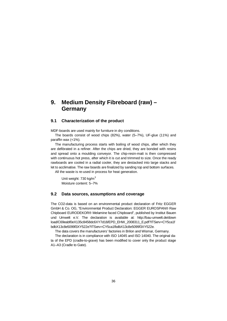# **9. Medium Density Fibreboard (raw) – Germany**

### **9.1 Characterization of the product**

MDF-boards are used mainly for furniture in dry conditions.

The boards consist of wood chips (82%), water (5–7%), UF-glue (11%) and paraffin wax (<1%).

The manufacturing process starts with boiling of wood chips, after which they are defibrated in a refiner. After the chips are dried, they are bonded with resins and spread onto a moulding conveyor. The chip-resin-matt is then compressed with continuous hot press, after which it is cut and trimmed to size. Once the ready rawboards are cooled in a radial cooler, they are destacked into large stacks and let to acclimatise. The raw boards are finalized by sanding top and bottom surfaces.

All the waste is re-used in process for heat generation.

Unit weight: 730 kg/m<sup>3</sup> Moisture content: 5–7%

#### **9.2 Data sources, assumptions and coverage**

The CO2-data is based on an environmental product declaration of Fritz EGGER GmbH & Co. OG, "Environmental Product Declaration: EGGER EUROSPAN® Raw Chipboard EURODEKOR® Melamine faced Chipboard", published by Institut Bauen [und Umwelt e.V. The declaration is available at: http://bau-umwelt.de/down](at: http://bau-umwelt.de/download/C69eabf0eX135c8458dc6XY7d18/EPD_EHW_2008311_E.pdf?ITServ=CY5ca1fbdbX13c8e5099f3XY522e?ITServ=CY5ca1fbdbX13c8e5099f3XY522e) load/C69eabf0eX135c8458dc6XY7d18/EPD\_EHW\_2008311\_E.pdf?ITServ=CY5ca1f bdbX13c8e5099f3XY522e?ITServ=CY5ca1fbdbX13c8e5099f3XY522e.

The data covers the manufacturers' factories in Brilon and Wismar, Germany.

The declaration is in compliance with ISO 14045 and ISO 14040. The original data of the EPD (cradle-to-grave) has been modified to cover only the product stage A1–A3 (Cradle to Gate).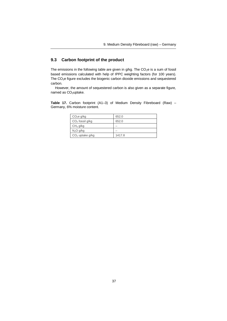## **9.3 Carbon footprint of the product**

The emissions in the following table are given in  $g/kg$ . The CO<sub>2</sub>e is a sum of fossil based emissions calculated with help of IPPC weighting factors (for 100 years). The CO2e figure excludes the biogenic carbon dioxide emissions and sequestered carbon.

However, the amount of sequestered carbon is also given as a separate figure, named as CO<sub>2</sub>uptake.

**Table 17.** Carbon footprint (A1–3) of Medium Density Fibreboard (Raw) – Germany, 6% moisture content.

| CO <sub>2</sub> e g/kg | 652.0  |
|------------------------|--------|
| $CO2$ fossil g/kg      | 652.0  |
| CH <sub>4</sub> g/kg   |        |
| N <sub>2</sub> O g/kg  |        |
| $CO2$ uptake g/kg      | 1417.8 |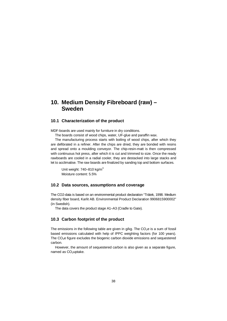# **10. Medium Density Fibreboard (raw) – Sweden**

### **10.1 Characterization of the product**

MDF-boards are used mainly for furniture in dry conditions.

The boards consist of wood chips, water, UF-glue and paraffin wax.

The manufacturing process starts with boiling of wood chips, after which they are defibrated in a refiner. After the chips are dried, they are bonded with resins and spread onto a moulding conveyor. The chip-resin-matt is then compressed with continuous hot press, after which it is cut and trimmed to size. Once the ready rawboards are cooled in a radial cooler, they are destacked into large stacks and let to acclimatise. The raw boards are finalized by sanding top and bottom surfaces.

Unit weight:  $740-810$  kg/m<sup>3</sup> Moisture content: 5.5%

### **10.2 Data sources, assumptions and coverage**

The CO2-data is based on an environmental product declaration "Trätek, 1998. Medium density fiber board, Karlit AB. Environmental Product Declaration 9906815900002" (in Swedish).

The data covers the product stage A1–A3 (Cradle to Gate).

## **10.3 Carbon footprint of the product**

The emissions in the following table are given in  $g/kg$ . The  $CO<sub>2</sub>e$  is a sum of fossil based emissions calculated with help of IPPC weighting factors (for 100 years). The CO2e figure excludes the biogenic carbon dioxide emissions and sequestered carbon.

However, the amount of sequestered carbon is also given as a separate figure, named as CO<sub>2</sub>uptake.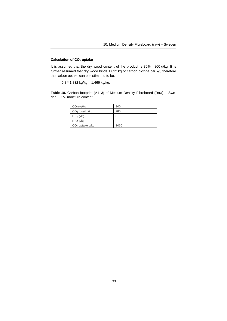#### **Calculation of CO2 uptake**

It is assumed that the dry wood content of the product is  $80\% = 800$  g/kg. It is further assumed that dry wood binds 1.832 kg of carbon dioxide per kg, therefore the carbon uptake can be estimated to be:

 $0.8 * 1.832$  kg/kg = 1.466 kg/kg.

**Table 18.** Carbon footprint (A1–3) of Medium Density Fibreboard (Raw) – Sweden, 5.5% moisture content.

| CO <sub>2</sub> e g/kg | 340  |
|------------------------|------|
| $CO2$ fossil g/kg      | 265  |
| CH <sub>4</sub> g/kg   | 3    |
| $N_2O$ g/kg            |      |
| $CO2$ uptake g/kg      | 1466 |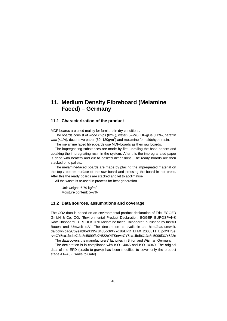# **11. Medium Density Fibreboard (Melamine Faced) – Germany**

#### **11.1 Characterization of the product**

MDF-boards are used mainly for furniture in dry conditions.

The boards consist of wood chips (82%), water (5–7%), UF-glue (11%), paraffin wax (<1%), decorative paper (60–120g/m<sup>2</sup>) and melamine formaldehyde resin.

The melamine faced fibreboards use MDF-boards as their raw boards.

The impregnating substances are made by first unrolling the base papers and uptaking the impregnating resin in the system. After this the impregranated paper is dried with heaters and cut to desired dimensions. The ready boards are then stacked onto pallets.

The melamine-faced boards are made by placing the impregnated material on the top / bottom surface of the raw board and pressing the board in hot press. After this the ready boards are stacked and let to acclimatise.

All the waste is re-used in process for heat generation.

Unit weight:  $6,79$  kg/m<sup>2</sup> Moisture content: 5–7%

#### **11.2 Data sources, assumptions and coverage**

The CO2-data is based on an environmental product declaration of Fritz EGGER GmbH & Co. OG, "Environmental Product Declaration: EGGER EUROSPAN® Raw Chipboard EURODEKOR® Melamine faced Chipboard", published by Institut [Bauen und Umwelt e.V. The declaration is available at: http://bau-umwelt.](http://bau-umwelt.de/download/C69eabf0eX135c8458dc6XY7d18/EPD_EHW_2008311_E.pdf?ITServ=CY5ca1fbdbX13c8e5099f3XY522e?ITServ=CY5ca1fbdbX13c8e5099f3XY522e) de/download/C69eabf0eX135c8458dc6XY7d18/EPD\_EHW\_2008311\_E.pdf?ITSe rv=CY5ca1fbdbX13c8e5099f3XY522e?ITServ=CY5ca1fbdbX13c8e5099f3XY522e

The data covers the manufacturers' factories in Brilon and Wismar, Germany.

The declaration is in compliance with ISO 14045 and ISO 14040. The original data of the EPD (cradle-to-grave) has been modified to cover only the product stage A1–A3 (Cradle to Gate).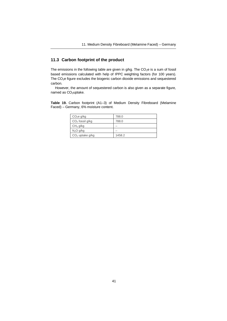## **11.3 Carbon footprint of the product**

The emissions in the following table are given in  $g/kg$ . The  $CO<sub>2</sub>e$  is a sum of fossil based emissions calculated with help of IPPC weighting factors (for 100 years). The CO2e figure excludes the biogenic carbon dioxide emissions and sequestered carbon.

However, the amount of sequestered carbon is also given as a separate figure, named as CO<sub>2</sub>uptake.

**Table 19.** Carbon footprint (A1–3) of Medium Density Fibreboard (Melamine Faced) – Germany, 6% moisture content.

| CO <sub>2</sub> e g/kg | 788.0  |
|------------------------|--------|
| $CO2$ fossil g/kg      | 788.0  |
| CH <sub>4</sub> g/kg   |        |
| N <sub>2</sub> O g/kg  |        |
| $CO2$ uptake g/kg      | 1458.2 |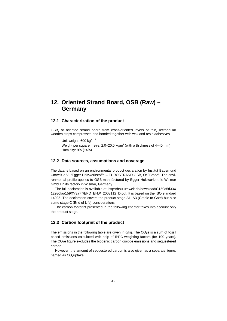# **12. Oriented Strand Board, OSB (Raw) – Germany**

### **12.1 Characterization of the product**

OSB, or oriented strand board from cross-oriented layers of thin, rectangular wooden strips compressed and bonded together with wax and resin adhesives.

Unit weight: 600 kg/m<sup>3</sup> Weight per square metre: 2.0–20.0 kg/m $^2$  (with a thickness of 4–40 mm) Humidity: 9% (±4%)

#### **12.2 Data sources, assumptions and coverage**

The data is based on an environmental product declaration by Institut Bauen und Umwelt e.V. "Egger Holzwerkstoffe – EUROSTRAND OSB, OS´Brace". The environmental profile applies to OSB manufactured by Egger Holzwerkstoffe Wismar GmbH in its factory in Wismar, Germany.

The full declaration is available at: http://bau-umwelt.de/download/C150a5d33X [12e80faa159XY3a77/EPD\\_EHW\\_2008112\\_D.pdf. It is based on the ISO standard](http://bau-umwelt.de/download/C150a5d33X12e80faa159XY3a77/EPD_EHW_2008112_D.pdf. It is based on the ISO standard 14025) 14025. The declaration covers the product stage A1–A3 (Cradle to Gate) but also some stage C (End of Life) considerations.

The carbon footprint presented in the following chapter takes into account only the product stage.

## **12.3 Carbon footprint of the product**

The emissions in the following table are given in  $q/kg$ . The  $CO<sub>2</sub>e$  is a sum of fossil based emissions calculated with help of IPPC weighting factors (for 100 years). The  $CO<sub>2</sub>e$  figure excludes the biogenic carbon dioxide emissions and sequestered carbon.

However, the amount of sequestered carbon is also given as a separate figure. named as CO<sub>2</sub>uptake.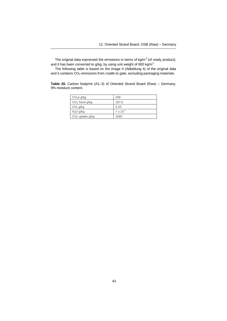The original data expressed the emissions in terms of kg/m $^3$  (of ready product), and it has been converted to g/kg, by using unit weight of 600 kg/m<sup>3</sup>.

The following table is based on the image 4 (Abbildung 4) of the original data and it contains CO<sub>2</sub>-emissions from cradle to gate, excluding packaging materials.

**Table 20.** Carbon footprint (A1–3) of Oriented Strand Board (Raw) – Germany, 9% moisture content.

| CO <sub>2</sub> e g/kg | 208                |
|------------------------|--------------------|
| $CO2$ fossil g/kg      | 197.6              |
| CH <sub>4</sub> g/kg   | 0.33               |
| $N_2O$ g/kg            | $7 \times 10^{-3}$ |
| $CO2$ uptake g/kg      | 1692               |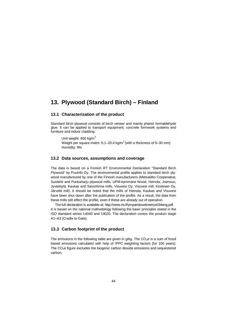# **13. Plywood (Standard Birch) – Finland**

### **13.1 Characterization of the product**

Standard birch plywood consists of birch veneer and mainly phenol formaldehyde glue. It can be applied to transport equipment, concrete formwork systems and furniture and indoor cladding.

Unit weight: 660 kg/m<sup>3</sup> Weight per square metre: 6.1–20.4 kg/m<sup>2</sup> (with a thickness of 9–30 mm) Humidity: 9%

#### **13.2 Data sources, assumptions and coverage**

The data is based on a Finnish RT Environmental Declaration "Standard Birch Plywood" by Puuinfo Oy. The environmental profile applies to standard birch plywood manufactured by one of the Finnish manufacturers (Metsaliitto Cooperative, Suolahti and Punkaharju plywood mills, UPM-kymmene Wood, Heinola, Joensuu, Jyväskylä, Kaukas and Savonlinna mills, Visuvesi Oy, Visuvesi mill, Koskisen Oy, Järvelä mill). It should be noted that the mills of Heinola, Kaukas and Visuvesi have been shut down after the publication of the profile. As a result, the data from these mills still effect the profile, even if these are already out of operation.

The full declaration is available at: http://www.rts.fi/ymparistoseloste/ys034eng.pdf. It is based on the national methodology following the basic principles stated in the [ISO standard series 14040 and 14020. The declaration covers the product stage](http://www.rts.fi/ymparistoseloste/ys034eng.pdf) A1–A3 (Cradle to Gate).

## **13.3 Carbon footprint of the product**

The emissions in the following table are given in  $g/kg$ . The  $CO<sub>2</sub>e$  is a sum of fossil based emissions calculated with help of IPPC weighting factors (for 100 years). The CO<sub>2</sub>e figure excludes the biogenic carbon dioxide emissions and sequestered carbon.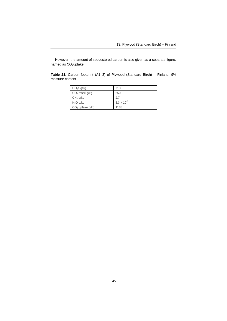However, the amount of sequestered carbon is also given as a separate figure, named as CO<sub>2</sub>uptake.

**Table 21.** Carbon footprint (A1–3) of Plywood (Standard Birch) – Finland, 9% moisture content.

| CO <sub>2</sub> e g/kg | 718                  |
|------------------------|----------------------|
| $CO2$ fossil g/kg      | 650                  |
| CH <sub>4</sub> g/kg   | 2.7                  |
| $N_2O$ g/kg            | $3.3 \times 10^{-3}$ |
| $CO2$ uptake g/kg      | 1188                 |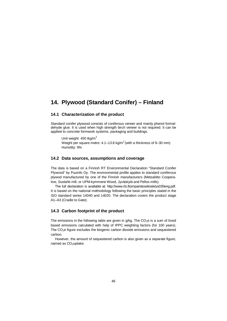# **14. Plywood (Standard Conifer) – Finland**

## **14.1 Characterization of the product**

Standard conifer plywood consists of coniferous veneer and mainly phenol formaldehyde glue. It is used when high strength birch veneer is not required. It can be applied to concrete formwork systems, packaging and buildings.

Unit weight:  $450$  tkg/m<sup>3</sup> Weight per square metre: 4.1–13.8 kg/m<sup>2</sup> (with a thickness of 9–30 mm) Humidity: 9%

### **14.2 Data sources, assumptions and coverage**

The data is based on a Finnish RT Environmental Declaration "Standard Conifer Plywood" by Puuinfo Oy. The environmental profile applies to standard coniferous plywod manufactured by one of the Finnish manufacturers (Metsaliitto Cooperative, Suolahti mill, or UPM-kymmene Wood, Jyväskylä and Pellos mills).

The full declaration is available at: http://www.rts.fi/ymparistoseloste/ys035eng.pdf. It is based on the national methodology following the basic principles stated in the [ISO standard series 14040 and 14020. The declaration covers the product stage](http://www.rts.fi/ymparistoseloste/ys035eng.pdf) A1–A3 (Cradle to Gate).

### **14.3 Carbon footprint of the product**

The emissions in the following table are given in  $q/kg$ . The  $CO<sub>2</sub>e$  is a sum of fossil based emissions calculated with help of IPPC weighting factors (for 100 years). The CO2e figure excludes the biogenic carbon dioxide emissions and sequestered carbon.

However, the amount of sequestered carbon is also given as a separate figure, named as CO<sub>2</sub>uptake.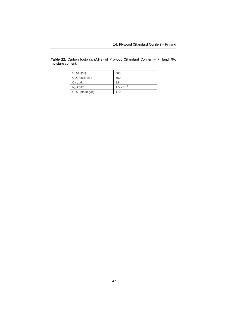| CO <sub>2</sub> e g/kg | 605                  |
|------------------------|----------------------|
| $CO2$ fossil g/kg      | 560                  |
| CH <sub>4</sub> g/kg   | 1.8                  |
| $N_2O$ g/kg            | $1.5 \times 10^{-3}$ |
| $CO2$ uptake g/kg      | 1708                 |

**Table 22.** Carbon footprint (A1-3) of Plywood (Standard Conifer) – Finland, 9% moisture content.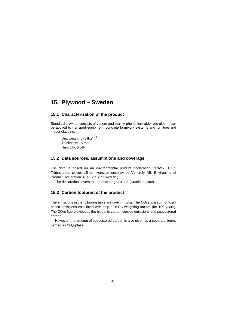# **15. Plywood – Sweden**

## **15.1 Characterization of the product**

Standard plywood consists of veneer and mainly phenol formaldehyde glue. It can be applied to transport equipment, concrete formwork systems and furniture and indoor cladding.

Unit weight: 575 tkg/m<sup>3</sup> Thickness: 15 mm Humidity: 5.5%

### **15.2 Data sources, assumptions and coverage**

The data is based on an environmental product declaration: "Trätek, 1997. Träbaserade skivor, 15 mm konstruktionsplywood Vänerply AB, Environmental Product Declaration 9709079". (In Swedish.)

The declaration covers the product stage A1–A3 (Cradle to Gate).

## **15.3 Carbon footprint of the product**

The emissions in the following table are given in  $g/kg$ . The  $CO<sub>2</sub>e$  is a sum of fossil based emissions calculated with help of IPPC weighting factors (for 100 years). The CO2e figure excludes the biogenic carbon dioxide emissions and sequestered carbon.

However, the amount of sequestered carbon is also given as a separate figure, named as CO<sub>2</sub>uptake.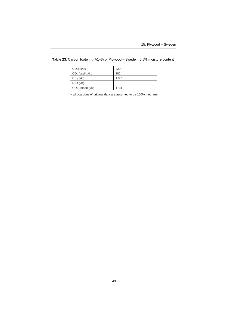| CO <sub>2</sub> e g/kg | 229    |
|------------------------|--------|
| $CO2$ fossil g/kg      | 182    |
| CH <sub>4</sub> g/kg   | $1.9*$ |
| N <sub>2</sub> O g/kg  |        |
| $CO2$ uptake g/kg      | 1731   |

**Table 23.** Carbon footprint (A1–3) of Plywood – Sweden, 5.5% moisture content.

\* Hydrocarbons of original data are assumed to be 100% methane.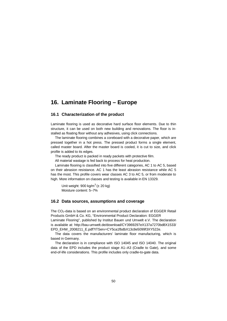# **16. Laminate Flooring – Europe**

### **16.1 Characterization of the product**

Laminate flooring is used as decorative hard surface floor elements. Due to thin structure, it can be used on both new building and renovations. The floor is installed as floating floor without any adhesives, using click connections.

The laminate flooring combines a coreboard with a decorative paper, which are pressed together in a hot press. The pressed product forms a single element, called master board. After the master board is cooled, it is cut to size, and click profile is added to its edges.

The ready product is packed in ready packets with protective film.

All material wastage is fed back to process for heat production.

Laminate flooring is classified into five different categories, AC 1 to AC 5, based on their abrasion resistance. AC 1 has the least abrasion resistance while AC 5 has the most. This profile covers wear classes AC 3 to AC 5, or from moderate to high. More information on classes and testing is available in EN 13329.

Unit weight: 900 kg/m $3$  ( $\pm$  20 kg) Moisture content: 5–7%

### **16.2 Data sources, assumptions and coverage**

The CO2-data is based on an environmental product declaration of EGGER Retail Products GmbH & Co. KG, "Environmental Product Declaration: EGGER Laminate Flooring", published by Institut Bauen und Umwelt e.V. The declaration [is available at: http://bau-umwelt.de/download/CY3969297eX137a7270bd8X1533/](http://bau-umwelt.de/download/CY3969297eX137a7270bd8X1533/EPD_EHW_2008211_E.pdf?ITServ=CY5ca1fbdbX13c8e5099f3XY522e) EPD\_EHW\_2008211\_E.pdf?ITServ=CY5ca1fbdbX13c8e5099f3XY522e.

The data covers the manufacturers' laminate floor manufacturing, which is based in Germany.

The declaration is in compliance with ISO 14045 and ISO 14040. The original data of the EPD includes the product stage A1–A3 (Cradle to Gate), and some end-of-life considerations. This profile includes only cradle-to-gate data.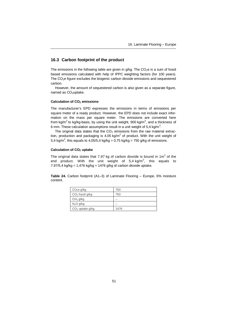## **16.3 Carbon footprint of the product**

The emissions in the following table are given in  $g/kg$ . The CO<sub>2</sub>e is a sum of fossil based emissions calculated with help of IPPC weighting factors (for 100 years). The CO2e figure excludes the biogenic carbon dioxide emissions and sequestered carbon.

However, the amount of sequestered carbon is also given as a separate figure, named as CO<sub>2</sub>uptake.

#### **Calculation of CO2 emissions**

The manufacturer's EPD expresses the emissions in terms of emissions per square meter of a ready product. However, the EPD does not include exact information on the mass per square meter. The emissions are converted here from kg/m<sup>2</sup> to kg/kg-basis, by using the unit weight, 900 kg/m<sup>3</sup>, and a thickness of 6 mm. These calculation assumptions result in a unit weight of 5,4 kg/m<sup>2</sup>.

The original data states that the  $CO<sub>2</sub>$  emissions from the raw material extraction, production and packaging is 4.05 kg/m<sup>2</sup> of product. With the unit weight of 5,4 kg/m<sup>2</sup>, this equals to 4,05/5,4 kg/kg = 0,75 kg/kg = 750 g/kg of emissions.

#### **Calculation of CO2 uptake**

The original data states that 7,97 kg of carbon dioxide is bound in 1m<sup>2</sup> of the end product. With the unit weight of 5,4 kg/m<sup>2</sup>, this equals to 7.97/5,4 kg/kg = 1,476 kg/kg = 1476 g/kg of carbon dioxide uptake.

**Table 24.** Carbon footprint (A1–3) of Laminate Flooring – Europe, 6% moisture content.

| CO <sub>2</sub> e g/kg | 750  |
|------------------------|------|
| $CO2$ fossil g/kg      | 750  |
| CH <sub>4</sub> g/kg   |      |
| N <sub>2</sub> O g/kg  |      |
| $CO2$ uptake g/kg      | 1476 |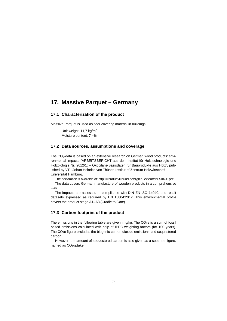# **17. Massive Parquet – Germany**

### **17.1 Characterization of the product**

Massive Parquet is used as floor covering material in buildings.

Unit weight: 11.7 kg/m<sup>2</sup> Moisture content: 7,4%

### **17.2 Data sources, assumptions and coverage**

The  $CO<sub>2</sub>$ -data is based on an extensive research on German wood products' environmental impacts "ARBEITSBERICHT aus dem Institut für Holztechnologie und Holzbiologie Nr. 2012/1: – Ökobilanz-Basisdaten für Bauprodukte aus Holz", published by VTI, Johan Heinrich von Thünen Institut of Zentrum Holzwirtschaft Universität Hamburg.

The declaration is available at: http://literatur.vti.bund.de/digbib\_extern/dn050490.pdf.

[The data covers German manufacture of wooden products in a comprehensive](http://literatur.vti.bund.de/digbib_extern/dn050490.pdf) way.

The impacts are assessed in compliance with DIN EN ISO 14040, and result datasets expressed as required by EN 15804:2012. This environmental profile covers the product stage A1–A3 (Cradle to Gate).

### **17.3 Carbon footprint of the product**

The emissions in the following table are given in  $q/kg$ . The  $CO<sub>2</sub>e$  is a sum of fossil based emissions calculated with help of IPPC weighting factors (for 100 years). The  $CO<sub>2</sub>e$  figure excludes the biogenic carbon dioxide emissions and sequestered carbon.

However, the amount of sequestered carbon is also given as a separate figure, named as CO<sub>2</sub>uptake.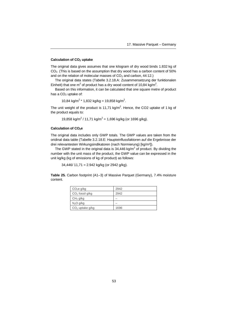### **Calculation of CO2 uptake**

The original data gives assumes that one kilogram of dry wood binds 1.832 kg of  $CO<sub>2</sub>$ . (This is based on the assumption that dry wood has a carbon content of 50%) and on the relation of molecular masses of  $CO<sub>2</sub>$  and carbon, 44:12.)

The original data states (Tabelle 3.2.18.A: Zusammensetzung der funktionalen Einheit) that one m<sup>2</sup> of product has a dry wood content of 10,84 kg/m<sup>2</sup>.

Based on this information, it can be calculated that one square metre of product has a  $CO<sub>2</sub>$  uptake of:

10,84 kg/m<sup>2</sup> \* 1,832 kg/kg = 19,858 kg/m<sup>2</sup>.

The unit weight of the product is 11,71 kg/m<sup>2</sup>. Hence, the CO2 uptake of 1 kg of the product equals to:

19,858 kg/m<sup>2</sup> / 11,71 kg/m<sup>2</sup> = 1,696 kg/kg (or 1696 g/kg).

#### **Calculation of CO2e**

The original data includes only GWP totals. The GWP values are taken from the oridinal data table (Tabelle 3.2.18.E: Haupteinflussfaktoren auf die Ergebnisse der drei relevantesten Wirkungsindikatoren (nach Normierung) [kg/m²]).

The GWP stated in the original data is 34,446 kg/m<sup>2</sup> of product. By dividing the number with the unit mass of the product, the GWP value can be expressed in the unit kg/kg (kg of emissions of kg of product) as follows:

 $34,446/11,71 = 2.942$  kg/kg (or 2942 g/kg).

**Table 25.** Carbon footprint (A1–3) of Massive Parquet (Germany), 7.4% moisture content.

| CO <sub>2</sub> e g/kg | 2942 |
|------------------------|------|
| $CO2$ fossil g/kg      | 2942 |
| CH <sub>4</sub> g/kg   |      |
| N <sub>2</sub> O g/kg  |      |
| $CO2$ uptake g/kg      | 1696 |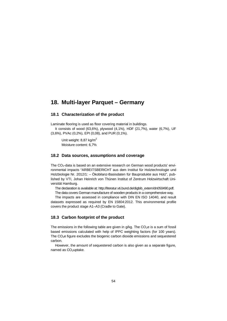## **18. Multi-layer Parquet – Germany**

### **18.1 Characterization of the product**

Laminate flooring is used as floor covering material in buildings.

It consists of wood (63,6%), plywood (4,1%), HDF (21,7%), water (6,7%), UF (3,6%), PVAc (0,2%), EPI (0,08), and PUR (0,1%).

Unit weight: 8.87 kg/m<sup>2</sup> Moisture content: 6,7%

### **18.2 Data sources, assumptions and coverage**

The  $CO<sub>2</sub>$ -data is based on an extensive research on German wood products' environmental impacts "ARBEITSBERICHT aus dem Institut für Holztechnologie und Holzbiologie Nr. 2012/1: – Ökobilanz-Basisdaten für Bauprodukte aus Holz", published by VTI, Johan Heinrich von Thünen Institut of Zentrum Holzwirtschaft Universität Hamburg.

The declaration is available at: http://literatur.vti.bund.de/digbib\_extern/dn050490.pdf.

The data covers German manufacture of wooden products in a comprehensive way.

[The impacts are assessed in compliance with DIN EN ISO 14040, and result](http://literatur.vti.bund.de/digbib_extern/dn050490.pdf) datasets expressed as required by EN 15804:2012. This environmental profile covers the product stage A1–A3 (Cradle to Gate).

#### **18.3 Carbon footprint of the product**

The emissions in the following table are given in  $g/kg$ . The  $CO<sub>2</sub>e$  is a sum of fossil based emissions calculated with help of IPPC weighting factors (for 100 years). The  $CO<sub>2</sub>e$  figure excludes the biogenic carbon dioxide emissions and sequestered carbon.

However, the amount of sequestered carbon is also given as a separate figure. named as CO<sub>2</sub>uptake.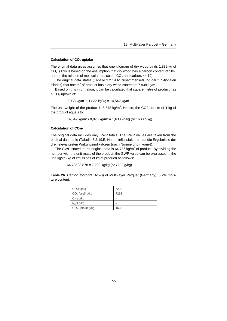#### **Calculation of CO2 uptake**

The original data gives assumes that one kilogram of dry wood binds 1.832 kg of  $CO<sub>2</sub>$ . (This is based on the assumption that dry wood has a carbon content of 50%) and on the relation of molecular masses of  $CO<sub>2</sub>$  and carbon, 44:12)

The original data states (Tabelle 3.2.19.A: Zusammensetzung der funktionalen Einheit) that one m<sup>2</sup> of product has a dry wood content of 7.938 kg/m<sup>2</sup>.

Based on this information, it can be calculated that square metre of product has a  $CO<sub>2</sub>$  uptake of:

7,938 kg/m<sup>2</sup> \* 1,832 kg/kg = 14,542 kg/m<sup>2</sup>.

The unit weight of the product is 8,878 kg/m<sup>2</sup>. Hence, the CO2 uptake of 1 kg of the product equals to:

14,542 kg/m<sup>2</sup> / 8,878 kg/m<sup>2</sup> = 1,638 kg/kg (or 1638 g/kg).

#### **Calculation of CO2e**

The original data includes only GWP totals. The GWP values are taken from the oridinal data table (Tabelle 3.2.19.E: Haupteinflussfaktoren auf die Ergebnisse der drei relevantesten Wirkungsindikatoren (nach Normierung) [kg/m²]).

The GWP stated in the original data is 64,736 kg/m<sup>2</sup> of product. By dividing the number with the unit mass of the product, the GWP value can be expressed in the unit kg/kg (kg of emissions of kg of product) as follows:

64,736/ 8,878 = 7,292 kg/kg (or 7292 g/kg).

**Table 26.** Carbon footprint (A1–3) of Multi-layer Parquet (Germany), 6.7% moisture content.

| CO <sub>2</sub> e g/kg | 7292 |
|------------------------|------|
| $CO2$ fossil g/kg      | 7292 |
| CH <sub>4</sub> g/kg   |      |
| N <sub>2</sub> O g/kg  |      |
| $CO2$ uptake g/kg      | 1638 |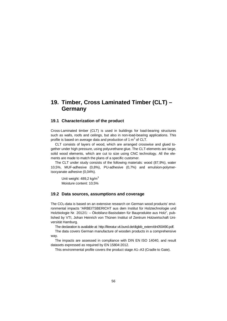# **19. Timber, Cross Laminated Timber (CLT) – Germany**

#### **19.1 Characterization of the product**

Cross-Laminated timber (CLT) is used in buildings for load-bearing structures such as walls, roofs and ceilings, but also in non-load-bearing applications. This profile is based on average data and production of 1  $\textsf{m}^{3}$  of CLT.

CLT consists of layers of wood, which are arranged crosswise and glued together under high pressure, using polyurethane glue. The CLT-elements are large, solid wood elements, which are cut to size using CNC technology. All the elements are made to match the plans of a specific customer.

The CLT under study consists of the following materials: wood (87,9%), water 10,5%, MUF-adhesive (0,8%), PU-adhesive (0,7%) and emulsion-polymerisocyanate adhesive (0,04%).

Unit weight:  $489,2$  kg/m<sup>3</sup> Moisture content: 10,5%

#### **19.2 Data sources, assumptions and coverage**

The CO2-data is based on an extensive research on German wood products' environmental impacts "ARBEITSBERICHT aus dem Institut für Holztechnologie und Holzbiologie Nr. 2012/1: – Ökobilanz-Basisdaten für Bauprodukte aus Holz", published by VTI, Johan Heinrich von Thünen Institut of Zentrum Holzwirtschaft Universität Hamburg.

The declaration is available at: http://literatur.vti.bund.de/digbib\_extern/dn050490.pdf.

[The data covers German manufacture of wooden products in a comprehensive](http://literatur.vti.bund.de/digbib_extern/dn050490.pdf) way.

The impacts are assessed in compliance with DIN EN ISO 14040, and result datasets expressed as required by EN 15804:2012.

This environmental profile covers the product stage A1–A3 (Cradle to Gate).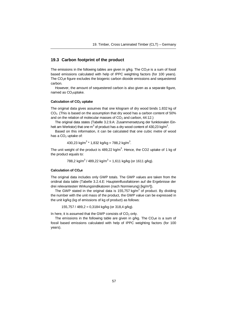## **19.3 Carbon footprint of the product**

The emissions in the following tables are given in  $a/ka$ . The CO<sub>2</sub>e is a sum of fossil based emissions calculated with help of IPPC weighting factors (for 100 years). The CO2e figure excludes the biogenic carbon dioxide emissions and sequestered carbon.

However, the amount of sequestered carbon is also given as a separate figure, named as CO<sub>2</sub>uptake.

#### **Calculation of CO2 uptake**

The original data gives assumes that one kilogram of dry wood binds 1.832 kg of CO2. (This is based on the assumption that dry wood has a carbon content of 50% and on the relation of molecular masses of  $CO<sub>2</sub>$  and carbon, 44:12.)

The original data states (Tabelle 3.2.9.A: Zusammensetzung der funktionalen Einheit am Werkstor) that one m<sup>3</sup> of product has a dry wood content of 430,23 kg/m<sup>3</sup>.

Based on this information, it can be calculated that one cubic metre of wood has a  $CO<sub>2</sub>$  uptake of:

430,23 kg/m<sup>3</sup> \* 1,832 kg/kg = 788,2 kg/m<sup>3</sup> .

The unit weight of the product is 489,22 kg/m<sup>3</sup>. Hence, the CO2 uptake of 1 kg of the product equals to:

788,2 kg/m $3$  / 489,22 kg/m $3$  = 1,611 kg/kg (or 1611 g/kg).

#### **Calculation of CO2e**

The original data includes only GWP totals. The GWP values are taken from the oridinal data table (Tabelle 3.2.4.E: Haupteinflussfaktoren auf die Ergebnisse der drei relevantesten Wirkungsindikatoren (nach Normierung) [kg/m<sup>3</sup>]).

The GWP stated in the original data is 155,757 kg/m<sup>3</sup> of product. By dividing the number with the unit mass of the product, the GWP value can be expressed in the unit kg/kg (kg of emissions of kg of product) as follows:

155,757 / 489,2 = 0,3184 kg/kg (or 318,4 g/kg).

In here, it is assumed that the GWP consists of  $CO<sub>2</sub>$  only.

The emissions in the following table are given in  $a/ka$ . The CO<sub>2</sub>e is a sum of fossil based emissions calculated with help of IPPC weighting factors (for 100 years).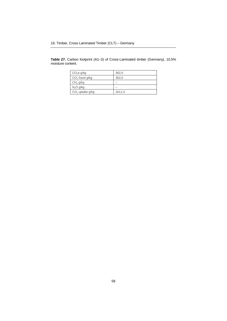**Table 27.** Carbon footprint (A1–3) of Cross-Laminated timber (Germany), 10.5% moisture content.

| CO <sub>2</sub> e g/kg | 362,0  |
|------------------------|--------|
| $CO2$ fossil g/kg      | 362.0  |
| CH <sub>4</sub> g/kg   |        |
| $N_2O$ g/kg            |        |
| $CO2$ uptake g/kg      | 1611,0 |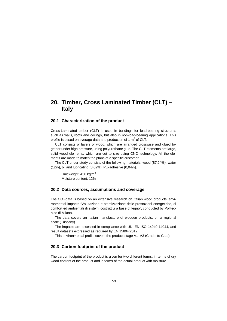# **20. Timber, Cross Laminated Timber (CLT) – Italy**

#### **20.1 Characterization of the product**

Cross-Laminated timber (CLT) is used in buildings for load-bearing structures such as walls, roofs and ceilings, but also in non-load-bearing applications. This profile is based on average data and production of 1  $\textsf{m}^{3}$  of CLT.

CLT consists of layers of wood, which are arranged crosswise and glued together under high pressure, using polyurethane glue. The CLT-elements are large, solid wood elements, which are cut to size using CNC technology. All the elements are made to match the plans of a specific customer.

The CLT under study consists of the following materials: wood (87,94%), water (12%), oil and lubricating (0,02%), PU-adhesive (0,04%).

Unit weight: 450 kg/m<sup>3</sup> Moisture content: 12%

### **20.2 Data sources, assumptions and coverage**

The CO2-data is based on an extensive research on Italian wood products' environmental impacts "Valutazione e ottimizzazione delle prestazioni energetiche, di comfort ed ambientali di sistemi costruttivi a base di legno", conducted by Politecnico di Milano.

The data covers an Italian manufacture of wooden products, on a regional scale (Tuscany).

The impacts are assessed in compliance with UNI EN ISO 14040-14044, and result datasets expressed as required by EN 15804:2012.

This environmental profile covers the product stage A1–A3 (Cradle to Gate).

### **20.3 Carbon footprint of the product**

The carbon footprint of the product is given for two different forms; in terms of dry wood content of the product and in terms of the actual product with moisture.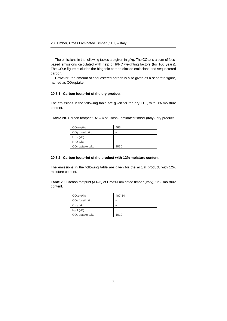The emissions in the following tables are given in  $g/kg$ . The  $CO<sub>2</sub>e$  is a sum of fossil based emissions calculated with help of IPPC weighting factors (for 100 years). The CO<sub>2</sub>e figure excludes the biogenic carbon dioxide emissions and sequestered carbon.

However, the amount of sequestered carbon is also given as a separate figure, named as CO<sub>2</sub>uptake.

#### **20.3.1 Carbon footprint of the dry product**

The emissions in the following table are given for the dry CLT, with 0% moisture content.

| Table 28. Carbon footprint (A1-3) of Cross-Laminated timber (Italy), dry product. |  |
|-----------------------------------------------------------------------------------|--|
|                                                                                   |  |

| CO <sub>2</sub> e g/kg | 463  |
|------------------------|------|
| $CO2$ fossil g/kg      |      |
| CH <sub>4</sub> g/kg   |      |
| N <sub>2</sub> O g/kg  |      |
| $CO2$ uptake g/kg      | 1830 |

#### **20.3.2 Carbon footprint of the product with 12% moisture content**

The emissions in the following table are given for the actual product, with 12% moisture content.

**Table 29.** Carbon footprint (A1–3) of Cross-Laminated timber (Italy), 12% moisture content.

| CO <sub>2</sub> e g/kg | 407.44 |
|------------------------|--------|
| $CO2$ fossil g/kg      |        |
| CH <sub>4</sub> g/kg   |        |
| N <sub>2</sub> O g/kg  |        |
| $CO2$ uptake g/kg      | 1610   |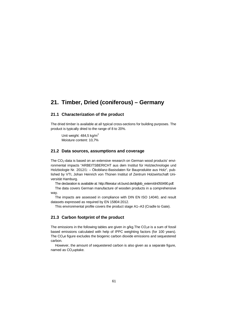# **21. Timber, Dried (coniferous) – Germany**

### **21.1 Characterization of the product**

The dried timber is available at all typical cross-sections for building purposes. The product is typically dried to the range of 8 to 20%.

Unit weight:  $484.5$  kg/m<sup>2</sup> Moisture content: 10,7%

### **21.2 Data sources, assumptions and coverage**

The CO<sub>2</sub>-data is based on an extensive research on German wood products' environmental impacts "ARBEITSBERICHT aus dem Institut für Holztechnologie und Holzbiologie Nr. 2012/1: – Ökobilanz-Basisdaten für Bauprodukte aus Holz", published by VTI, Johan Heinrich von Thünen Institut of Zentrum Holzwirtschaft Universität Hamburg.

The declaration is available at: http://literatur.vti.bund.de/digbib\_extern/dn050490.pdf.

[The data covers German manufacture of wooden products in a comprehensive](http://literatur.vti.bund.de/digbib_extern/dn050490.pdf) way.

The impacts are assessed in compliance with DIN EN ISO 14040, and result datasets expressed as required by EN 15804:2012.

This environmental profile covers the product stage A1–A3 (Cradle to Gate).

### **21.3 Carbon footprint of the product**

The emissions in the following tables are given in  $q/kg$ . The  $CO<sub>2</sub>e$  is a sum of fossil based emissions calculated with help of IPPC weighting factors (for 100 years). The  $CO<sub>2</sub>e$  figure excludes the biogenic carbon dioxide emissions and sequestered carbon.

However, the amount of sequestered carbon is also given as a separate figure. named as CO<sub>2</sub>uptake.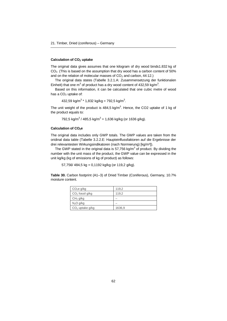#### **Calculation of CO2 uptake**

The original data gives assumes that one kilogram of dry wood binds1.832 kg of  $CO<sub>2</sub>$ . (This is based on the assumption that dry wood has a carbon content of 50%) and on the relation of molecular masses of  $CO<sub>2</sub>$  and carbon, 44:12.)

The original data states (Tabelle 3.2.1.A: Zusammensetzung der funktionalen Einheit) that one m<sup>3</sup> of product has a dry wood content of 432,59 kg/m<sup>3</sup>.

Based on this information, it can be calculated that one cubic metre of wood has a  $CO<sub>2</sub>$  uptake of:

432,59 kg/m $3*$  1,832 kg/kg = 792,5 kg/m $^3$ .

The unit weight of the product is 484,5 kg/m<sup>3</sup>. Hence, the CO2 uptake of 1 kg of the product equals to:

792,5 kg/m $^3$  / 485,5 kg/m $^3$  = 1,636 kg/kg (or 1636 g/kg).

#### **Calculation of CO2e**

The original data includes only GWP totals. The GWP values are taken from the oridinal data table (Tabelle 3.2.2.E: Haupteinflussfaktoren auf die Ergebnisse der drei relevantesten Wirkungsindikatoren (nach Normierung) [kg/m<sup>3</sup>]).

The GWP stated in the original data is 57,756 kg/m<sup>3</sup> of product. By dividing the number with the unit mass of the product, the GWP value can be expressed in the unit kg/kg (kg of emissions of kg of product) as follows:

57,756/ 484,5 kg = 0,1192 kg/kg (or 119,2 g/kg).

**Table 30.** Carbon footprint (A1–3) of Dried Timber (Coniferous), Germany, 10.7% moisture content.

| CO <sub>2</sub> e g/kg | 119,2  |
|------------------------|--------|
| $CO2$ fossil g/kg      | 119.2  |
| CH <sub>4</sub> g/kg   |        |
| N <sub>2</sub> O g/kg  |        |
| $CO2$ uptake g/kg      | 1636,9 |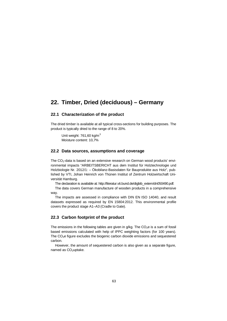# **22. Timber, Dried (deciduous) – Germany**

### **22.1 Characterization of the product**

The dried timber is available at all typical cross-sections for building purposes. The product is typically dried to the range of 8 to 20%.

Unit weight:  $761,60$  kg/m<sup>3</sup> Moisture content: 10,7%

### **22.2 Data sources, assumptions and coverage**

The CO<sub>2</sub>-data is based on an extensive research on German wood products' environmental impacts "ARBEITSBERICHT aus dem Institut für Holztechnologie und Holzbiologie Nr. 2012/1: – Ökobilanz-Basisdaten für Bauprodukte aus Holz", published by VTI, Johan Heinrich von Thünen Institut of Zentrum Holzwirtschaft Universität Hamburg.

The declaration is available at: http://literatur.vti.bund.de/digbib\_extern/dn050490.pdf.

[The data covers German manufacture of wooden products in a comprehensive](http://literatur.vti.bund.de/digbib_extern/dn050490.pdf) way.

The impacts are assessed in compliance with DIN EN ISO 14040, and result datasets expressed as required by EN 15804:2012. This environmental profile covers the product stage A1–A3 (Cradle to Gate).

#### **22.3 Carbon footprint of the product**

The emissions in the following tables are given in  $q/kg$ . The  $CO<sub>2</sub>e$  is a sum of fossil based emissions calculated with help of IPPC weighting factors (for 100 years). The  $CO<sub>2</sub>e$  figure excludes the biogenic carbon dioxide emissions and sequestered carbon.

However, the amount of sequestered carbon is also given as a separate figure. named as CO<sub>2</sub>uptake.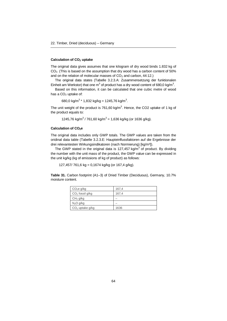#### **Calculation of CO2 uptake**

The original data gives assumes that one kilogram of dry wood binds 1.832 kg of  $CO<sub>2</sub>$ . (This is based on the assumption that dry wood has a carbon content of 50%) and on the relation of molecular masses of  $CO<sub>2</sub>$  and carbon, 44:12.)

The original data states (Tabelle 3.2.3.A: Zusammensetzung der funktionalen Einheit am Werkstor) that one m<sup>3</sup> of product has a dry wood content of 680,0 kg/m<sup>3</sup>.

Based on this information, it can be calculated that one cubic metre of wood has a  $CO<sub>2</sub>$  uptake of:

680,0 kg/m $^3$  \* 1,832 kg/kg = 1245,76 kg/m $^3$ .

The unit weight of the product is 761,60 kg/m<sup>3</sup>. Hence, the CO2 uptake of 1 kg of the product equals to:

1245,76 kg/m<sup>3</sup> / 761,60 kg/m<sup>3</sup> = 1,636 kg/kg (or 1636 g/kg).

#### **Calculation of CO2e**

The original data includes only GWP totals. The GWP values are taken from the oridinal data table (Tabelle 3.2.3.E: Haupteinflussfaktoren auf die Ergebnisse der drei relevantesten Wirkungsindikatoren (nach Normierung) [kg/m<sup>3</sup>]).

The GWP stated in the original data is 127,457 kg/m<sup>3</sup> of product. By dividing the number with the unit mass of the product, the GWP value can be expressed in the unit kg/kg (kg of emissions of kg of product) as follows:

127,457/ 761,6 kg = 0,1674 kg/kg (or 167,4 g/kg).

**Table 31.** Carbon footprint (A1–3) of Dried Timber (Deciduous), Germany, 10.7% moisture content.

| CO <sub>2</sub> e g/kg | 167,4 |
|------------------------|-------|
| $CO2$ fossil g/kg      | 167.4 |
| CH <sub>4</sub> g/kg   |       |
| N <sub>2</sub> O g/kg  |       |
| $CO2$ uptake g/kg      | 1636  |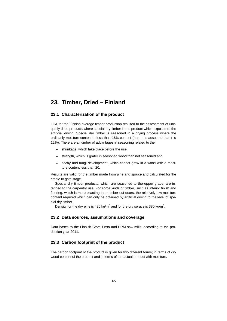# **23. Timber, Dried – Finland**

## **23.1 Characterization of the product**

LCA for the Finnish average timber production resulted to the assessment of unequally dried products where special dry timber is the product which exposed to the artificial drying. Special dry timber is seasoned in a drying process where the ordinarily moisture content is less than 16% content (here it is assumed that it is 12%). There are a number of advantages in seasoning related to the:

- shrinkage, which take place before the use,
- strength, which is grater in seasoned wood than not seasoned and
- decay and fungi development, which cannot grow in a wood with a moisture content less than 20.

Results are valid for the timber made from pine and spruce and calculated for the cradle to gate stage.

Special dry timber products, which are seasoned to the upper grade, are intended to the carpentry use. For some kinds of timber, such as interior finish and flooring, which is more exacting than timber out-doors, the relatively low moisture content required which can only be obtained by artificial drying to the level of special dry timber.

Density for the dry pine is 420 kg/m<sup>3</sup> and for the dry spruce is 380 kg/m<sup>3</sup>.

### **23.2 Data sources, assumptions and coverage**

Data bases to the Finnish Stora Enso and UPM saw mills, according to the production year 2011.

## **23.3 Carbon footprint of the product**

The carbon footprint of the product is given for two different forms; in terms of dry wood content of the product and in terms of the actual product with moisture.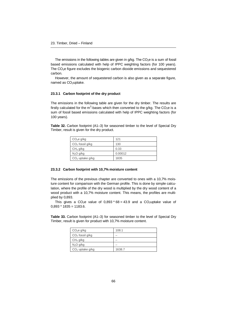The emissions in the following tables are given in  $g/kg$ . The  $CO<sub>2</sub>e$  is a sum of fossil based emissions calculated with help of IPPC weighting factors (for 100 years). The CO<sub>2</sub>e figure excludes the biogenic carbon dioxide emissions and sequestered carbon.

However, the amount of sequestered carbon is also given as a separate figure, named as CO<sub>2</sub>uptake.

#### **23.3.1 Carbon footprint of the dry product**

The emissions in the following table are given for the dry timber. The results are firstly calculated for the m<sup>3</sup>-bases which then converted to the g/kg. The CO<sub>2</sub>e is a sum of fossil based emissions calculated with help of IPPC weighting factors (for 100 years).

**Table 32.** Carbon footprint (A1–3) for seasoned timber to the level of Special Dry Timber, result is given for the dry product.

| CO <sub>2</sub> e g/kg | 121     |
|------------------------|---------|
| $CO2$ fossil g/kg      | 130     |
| CH <sub>4</sub> g/kg   | 0.33    |
| N <sub>2</sub> O g/kg  | 0.00012 |
| $CO2$ uptake g/kg      | 1835    |

#### **23.3.2 Carbon footprint with 10,7% moisture content**

The emissions of the previous chapter are converted to ones with a 10,7% moisture content for comparison with the German profile. This is done by simple calculation, where the profile of the dry wood is multiplied by the dry wood content of a wood product with a 10,7% moisture content. This means, the profiles are multiplied by 0,893.

This gives a CO<sub>2</sub>e value of 0,893  $*$  68 = 43.9 and a CO<sub>2</sub>uptake value of  $0.893 * 1835 = 1183.6$ .

**Table 33.** Carbon footprint (A1–3) for seasoned timber to the level of Special Dry Timber, result is given for product with 10,7% moisture content.

| CO <sub>2</sub> e g/kg | 108.1  |
|------------------------|--------|
| $CO2$ fossil g/kg      |        |
| CH <sub>4</sub> g/kg   |        |
| $N_2O$ g/kg            |        |
| $CO2$ uptake g/kg      | 1638.7 |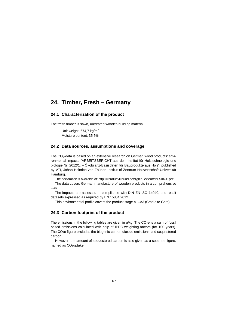# **24. Timber, Fresh – Germany**

## **24.1 Characterization of the product**

The fresh timber is sawn, untreated wooden building material.

Unit weight:  $674.7$  kg/m<sup>3</sup> Moisture content: 35,5%

### **24.2 Data sources, assumptions and coverage**

The  $CO<sub>2</sub>$ -data is based on an extensive research on German wood products' environmental impacts "ARBEITSBERICHT aus dem Institut für Holztechnologie und biologie Nr. 2012/1: – Ökobilanz-Basisdaten für Bauprodukte aus Holz", published by VTI, Johan Heinrich von Thünen Institut of Zentrum Holzwirtschaft Universität Hamburg.

The declaration is available at: http://literatur.vti.bund.de/digbib\_extern/dn050490.pdf.

[The data covers German manufacture of wooden products in a comprehensive](http://literatur.vti.bund.de/digbib_extern/dn050490.pdf) way.

The impacts are assessed in compliance with DIN EN ISO 14040, and result datasets expressed as required by EN 15804:2012.

This environmental profile covers the product stage A1–A3 (Cradle to Gate).

### **24.3 Carbon footprint of the product**

The emissions in the following tables are given in  $q/\text{kg}$ . The CO<sub>2</sub>e is a sum of fossil based emissions calculated with help of IPPC weighting factors (for 100 years). The  $CO<sub>2</sub>e$  figure excludes the biogenic carbon dioxide emissions and sequestered carbon.

However, the amount of sequestered carbon is also given as a separate figure, named as CO<sub>2</sub>uptake.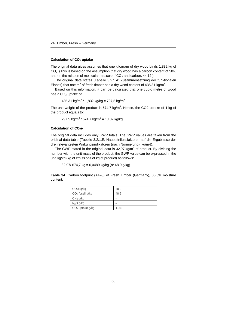#### **Calculation of CO2 uptake**

The original data gives assumes that one kilogram of dry wood binds 1.832 kg of  $CO<sub>2</sub>$ . (This is based on the assumption that dry wood has a carbon content of 50%) and on the relation of molecular masses of  $CO<sub>2</sub>$  and carbon, 44:12.)

The original data states (Tabelle 3.2.1.A: Zusammensetzung der funktionalen Einheit) that one m<sup>3</sup> of fresh timber has a dry wood content of 435,31 kg/m<sup>3</sup>.

Based on this information, it can be calculated that one cubic metre of wood has a  $CO<sub>2</sub>$  uptake of:

435,31 kg/m $3*$  1,832 kg/kg = 797,5 kg/m $3*$ .

The unit weight of the product is 674,7 kg/m<sup>3</sup>. Hence, the CO2 uptake of 1 kg of the product equals to:

797,5 kg/m $^3$  / 674,7 kg/m $^3$  = 1,182 kg/kg.

#### **Calculation of CO2e**

The original data includes only GWP totals. The GWP values are taken from the oridinal data table (Tabelle 3.2.1.E: Haupteinflussfaktoren auf die Ergebnisse der drei relevantesten Wirkungsindikatoren (nach Normierung) [kg/m<sup>3</sup>]).

The GWP stated in the original data is 32,97 kg/m<sup>3</sup> of product. By dividing the number with the unit mass of the product, the GWP value can be expressed in the unit kg/kg (kg of emissions of kg of product) as follows:

 $32,97/$  674,7 kg = 0,0489 kg/kg (or 48,9 g/kg).

**Table 34.** Carbon footprint (A1–3) of Fresh Timber (Germany), 35,5% moisture content.

| CO <sub>2</sub> e g/kg | 48.9 |
|------------------------|------|
| $CO2$ fossil g/kg      | 48.9 |
| CH <sub>4</sub> g/kg   |      |
| N <sub>2</sub> O g/kg  |      |
| $CO2$ uptake g/kg      | 1182 |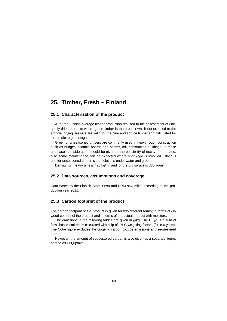# **25. Timber, Fresh – Finland**

### **25.1 Characterization of the product**

LCA for the Finnish average timber production resulted to the assessment of unequally dried products where green timber is the product which not exposed to the artificial drying. Results are valid for the pine and spruce timber and calculated for the cradle to gate stage.

Green or unseasoned timbers are commonly used in heavy rough construction such as bridges, scaffold boards and beams, mill constructed buildings. In these use cases consideration should be given to the possibility of decay, if untreated, also some maintenance can be expected where shrinkage is involved. Obvious use for unseasoned timber is the solutions under water and ground.

Density for the dry pine is 420 kg/m<sup>3</sup> and for the dry spruce is 380 kg/m<sup>3</sup>.

#### **25.2 Data sources, assumptions and coverage**

Data bases to the Finnish Stora Enso and UPM saw mills, according to the production year 2011.

#### **25.3 Carbon footprint of the product**

The carbon footprint of the product is given for two different forms; in terms of dry wood content of the product and in terms of the actual product with moisture.

The emissions in the following tables are given in  $g/kg$ . The CO<sub>2</sub>e is a sum of fossil based emissions calculated with help of IPPC weighting factors (for 100 years). The  $CO<sub>2</sub>e$  figure excludes the biogenic carbon dioxide emissions and sequestered carbon.

However, the amount of sequestered carbon is also given as a separate figure, named as  $CO<sub>2</sub>$ uptake.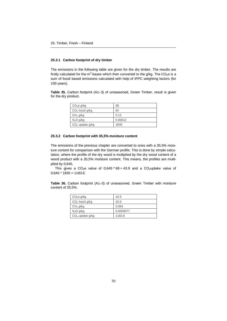#### **25.3.1 Carbon footprint of dry timber**

The emissions in the following table are given for the dry timber. The results are firstly calculated for the m<sup>3</sup>-bases which then converted to the g/kg. The CO<sub>2</sub>e is a sum of fossil based emissions calculated with help of IPPC weighting factors (for 100 years).

**Table 35.** Carbon footprint (A1–3) of unseasoned, Green Timber, result is given for the dry product.

| CO <sub>2</sub> e g/kg | 68      |
|------------------------|---------|
| $CO2$ fossil g/kg      | 64      |
| CH <sub>4</sub> g/kg   | 0.13    |
| N <sub>2</sub> O g/kg  | 0.00012 |
| $CO2$ uptake g/kg      | 1835    |

#### **25.3.2 Carbon footprint with 35,5% moisture content**

The emissions of the previous chapter are converted to ones with a 35,5% moisture content for comparison with the German profile. This is done by simple calculation, where the profile of the dry wood is multiplied by the dry wood content of a wood product with a 35,5% moisture content. This means, the profiles are multiplied by 0,645.

This gives a CO<sub>2</sub>e value of 0,645  $*$  68 = 43.9 and a CO<sub>2</sub>uptake value of  $0,645 * 1835 = 1183.6$ .

**Table 36.** Carbon footprint (A1–3) of unseasoned, Green Timber with moisture content of 35,5%.

| CO <sub>2</sub> e g/kg | 43.9      |
|------------------------|-----------|
| $CO2$ fossil g/kg      | 43.9      |
| CH <sub>4</sub> g/kg   | 0.084     |
| $N_2O$ g/kg            | 0.0000077 |
| $CO2$ uptake g/kg      | 1183.6    |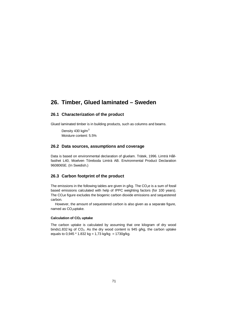## **26. Timber, Glued laminated – Sweden**

### **26.1 Characterization of the product**

Glued laminated timber is in building products, such as columns and beams.

Density 430 kg/m<sup>3</sup> Moisture content: 5.5%

### **26.2 Data sources, assumptions and coverage**

Data is based on environmental declaration of gluelam. Trätek, 1996. Limträ Hållfasthet L40, Moelven Töreboda Limträ AB. Environmental Product Declaration 9608065E. (In Swedish.)

### **26.3 Carbon footprint of the product**

The emissions in the following tables are given in  $g/kg$ . The CO<sub>2</sub>e is a sum of fossil based emissions calculated with help of IPPC weighting factors (for 100 years). The CO2e figure excludes the biogenic carbon dioxide emissions and sequestered carbon.

However, the amount of sequestered carbon is also given as a separate figure, named as CO<sub>2</sub>uptake.

#### **Calculation of CO2 uptake**

The carbon uptake is calculated by assuming that one kilogram of dry wood binds1.832 kg of  $CO<sub>2</sub>$ . As the dry wood content is 945 g/kg, the carbon uptake equals to  $0,945 * 1.832$  kg = 1,73 kg/kg = 1730g/kg.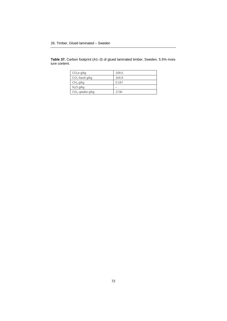**Table 37.** Carbon footprint (A1–3) of glued laminated timber, Sweden, 5.5% moisture content.

| CO <sub>2</sub> e g/kg | 109.0 |
|------------------------|-------|
| $CO2$ fossil g/kg      | 104.9 |
| CH <sub>4</sub> g/kg   | 0.167 |
| $N_2O$ g/kg            |       |
| $CO2$ uptake g/kg      | 1730  |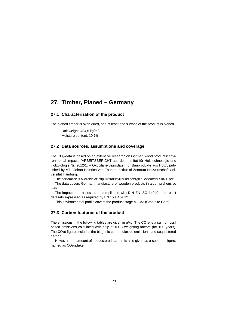## **27. Timber, Planed – Germany**

## **27.1 Characterization of the product**

The planed timber is oven dried, and at least one surface of the product is planed.

Unit weight:  $484.5$  kg/m<sup>2</sup> Moisture content: 10,7%

### **27.2 Data sources, assumptions and coverage**

The  $CO<sub>2</sub>$ -data is based on an extensive research on German wood products' environmental impacts "ARBEITSBERICHT aus dem Institut für Holztechnologie und Holzbiologie Nr. 2012/1: – Ökobilanz-Basisdaten für Bauprodukte aus Holz", published by VTI, Johan Heinrich von Thünen Institut of Zentrum Holzwirtschaft Universität Hamburg.

[The declaration is available at: http://literatur.vti.bund.de/digbib\\_extern/dn050490.pdf.](http://literatur.vti.bund.de/digbib_extern/dn050490.pdf)

The data covers German manufacture of wooden products in a comprehensive way.

The impacts are assessed in compliance with DIN EN ISO 14040, and result datasets expressed as required by EN 15804:2012.

This environmental profile covers the product stage A1–A3 (Cradle to Gate).

### **27.3 Carbon footprint of the product**

The emissions in the following tables are given in  $q/\text{kg}$ . The CO<sub>2</sub>e is a sum of fossil based emissions calculated with help of IPPC weighting factors (for 100 years). The  $CO<sub>2</sub>e$  figure excludes the biogenic carbon dioxide emissions and sequestered carbon.

However, the amount of sequestered carbon is also given as a separate figure, named as CO<sub>2</sub>uptake.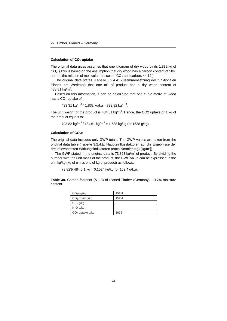#### **Calculation of CO2 uptake**

The original data gives assumes that one kilogram of dry wood binds 1.832 kg of  $CO<sub>2</sub>$ . (This is based on the assumption that dry wood has a carbon content of 50%) and on the relation of molecular masses of  $CO<sub>2</sub>$  and carbon, 44:12.)

The original data states (Tabelle 3.2.4.A: Zusammensetzung der funktionalen Einheit am Werkstor) that one  $m<sup>3</sup>$  of product has a dry wood content of 433,31 kg/m $^3$ .

Based on this information, it can be calculated that one cubic metre of wood has a  $CO<sub>2</sub>$  uptake of:

433,31 kg/m $^3$  \* 1,832 kg/kg = 793,82 kg/m $^3$ .

The unit weight of the product is 484,51 kg/m<sup>3</sup>. Hence, the CO2 uptake of 1 kg of the product equals to:

793,82 kg/m $^3$  / 484,51 kg/m $^3$  = 1,638 kg/kg (or 1638 g/kg).

#### **Calculation of CO2e**

The original data includes only GWP totals. The GWP values are taken from the oridinal data table (Tabelle 3.2.4.E: Haupteinflussfaktoren auf die Ergebnisse der drei relevantesten Wirkungsindikatoren (nach Normierung) [kg/m<sup>3</sup>]).

The GWP stated in the original data is 73,823 kg/m<sup>3</sup> of product. By dividing the number with the unit mass of the product, the GWP value can be expressed in the unit kg/kg (kg of emissions of kg of product) as follows:

73,823/ 484,5 1 kg = 0,1524 kg/kg (or 152,4 g/kg).

**Table 38.** Carbon footprint (A1–3) of Planed Timber (Germany), 10.7% moisture content.

| CO <sub>2</sub> e g/kg | 152,4 |
|------------------------|-------|
| $CO2$ fossil g/kg      | 152,4 |
| CH <sub>4</sub> g/kg   |       |
| N <sub>2</sub> O g/kg  |       |
| $CO2$ uptake g/kg      | 1638  |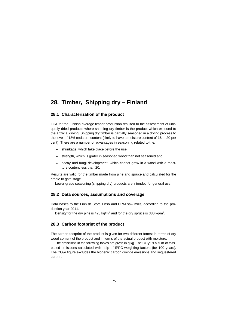# **28. Timber, Shipping dry – Finland**

## **28.1 Characterization of the product**

LCA for the Finnish average timber production resulted to the assessment of unequally dried products where shipping dry timber is the product which exposed to the artificial drying. Shipping dry timber is partially seasoned in a drying process to the level of 18% moisture content (likely to have a moisture content of 16 to 20 per cent). There are a number of advantages in seasoning related to the:

- shrinkage, which take place before the use,
- strength, which is grater in seasoned wood than not seasoned and
- decay and fungi development, which cannot grow in a wood with a moisture content less than 20.

Results are valid for the timber made from pine and spruce and calculated for the cradle to gate stage.

Lower grade seasoning (shipping dry) products are intended for general use.

### **28.2 Data sources, assumptions and coverage**

Data bases to the Finnish Stora Enso and UPM saw mills, according to the production year 2011.

Density for the dry pine is 420 kg/m<sup>3</sup> and for the dry spruce is 380 kg/m<sup>3</sup>.

## **28.3 Carbon footprint of the product**

The carbon footprint of the product is given for two different forms; in terms of dry wood content of the product and in terms of the actual product with moisture.

The emissions in the following tables are given in  $q/kq$ . The  $CO<sub>2</sub>e$  is a sum of fossil based emissions calculated with help of IPPC weighting factors (for 100 years). The CO<sub>2</sub>e figure excludes the biogenic carbon dioxide emissions and sequestered carbon.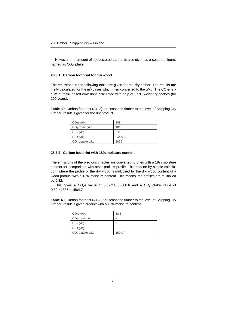However, the amount of sequestered carbon is also given as a separate figure, named as  $CO<sub>2</sub>$ uptake.

#### **28.3.1 Carbon footprint for dry wood**

The emissions in the following table are given for the dry timber. The results are firstly calculated for the m<sup>3</sup>-bases which then converted to the g/kg. The CO<sub>2</sub>e is a sum of fossil based emissions calculated with help of IPPC weighting factors (for 100 years).

**Table 39.** Carbon footprint (A1–3) for seasoned timber to the level of Shipping Dry Timber, result is given for the dry product.

| CO <sub>2</sub> e g/kg | 108     |
|------------------------|---------|
| $CO2$ fossil g/kg      | 101     |
| CH <sub>4</sub> g/kg   | 0.25    |
| $N_2O$ g/kg            | 0.00012 |
| $CO2$ uptake g/kg      | 1835    |

#### **28.3.2 Carbon footprint with 18% moisture content**

The emissions of the previous chapter are converted to ones with a 18% moisture content for comparison with other profiles profile. This is done by simple calculation, where the profile of the dry wood is multiplied by the dry wood content of a wood product with a 18% moisture content. This means, the profiles are multiplied by 0,82.

This gives a CO<sub>2</sub>e value of 0,82  $*$  108 = 88.6 and a CO<sub>2</sub>uptake value of  $0.82 * 1835 = 1504.7$ .

**Table 40.** Carbon footprint (A1–3) for seasoned timber to the level of Shipping Dry Timber, result is given product with a 18% moisture content.

| CO <sub>2</sub> e g/kg | 88.6   |
|------------------------|--------|
| $CO2$ fossil g/kg      |        |
| CH <sub>4</sub> g/kg   |        |
| N <sub>2</sub> O g/kg  |        |
| $CO2$ uptake g/kg      | 1504.7 |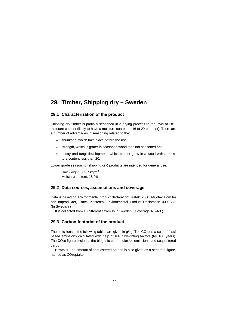# **29. Timber, Shipping dry – Sweden**

## **29.1 Characterization of the product**

Shipping dry timber is partially seasoned in a drying process to the level of 18% moisture content (likely to have a moisture content of 16 to 20 per cent). There are a number of advantages in seasoning related to the:

- shrinkage, which take place before the use,
- strength, which is grater in seasoned wood than not seasoned and
- decay and fungi development, which cannot grow in a wood with a moisture content less than 20.

Lower grade seasoning (shipping dry) products are intended for general use.

Unit weight:  $502.7$  kg/m<sup>3</sup> Moisture content: 18,0%

### **29.2 Data sources, assumptions and coverage**

Data is based on environmental product declaration: Trätek, 2000. Miljöfakta om trä och träprodukter, Trätek Kontenta. Environmental Product Declaration 0009032. (In Swedish.)

It is collected from 15 different sawmills in Sweden. (Coverage A1–A3.)

### **29.3 Carbon footprint of the product**

The emissions in the following tables are given in  $q/kg$ . The  $CO<sub>2</sub>$ e is a sum of fossil based emissions calculated with help of IPPC weighting factors (for 100 years). The  $CO<sub>2</sub>e$  figure excludes the biogenic carbon dioxide emissions and sequestered carbon.

However, the amount of sequestered carbon is also given as a separate figure, named as CO<sub>2</sub>uptake.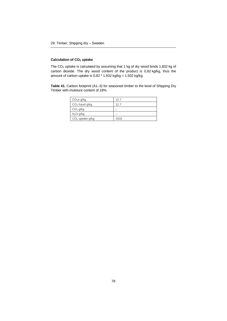### **Calculation of CO2 uptake**

The  $CO<sub>2</sub>$  uptake is calculated by assuming that 1 kg of dry wood binds 1,832 kg of carbon dioxide. The dry wood content of the product is 0,82 kg/kg, thus the amount of carbon uptake is  $0.82 * 1.832$  kg/kg =  $1.502$  kg/kg.

**Table 41.** Carbon footprint (A1–3) for seasoned timber to the level of Shipping Dry Timber with moisture content of 18%.

| CO <sub>2</sub> e g/kg | 12.7 |
|------------------------|------|
| $CO2$ fossil g/kg      | 12.7 |
| CH <sub>4</sub> g/kg   |      |
| $N_2O$ g/kg            |      |
| $CO2$ uptake g/kg      | 1502 |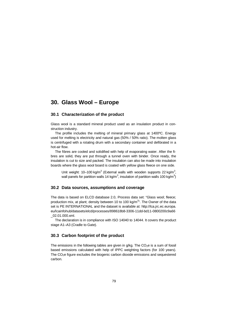## **30. Glass Wool – Europe**

### **30.1 Characterization of the product**

Glass wool is a standard mineral product used as an insulation product in construction industry.

The profile includes the melting of mineral primary glass at 1400ºC. Energy used for melting is electricity and natural gas (50% / 50% ratio). The molten glass is centrifuged with a rotating drum with a secondary container and defibrated in a hot-air flow.

The fibres are cooled and solidified with help of evaporating water. After the fibres are solid, they are put through a tunnel oven with binder. Once ready, the insulation is cut to size and packed. The insulation can also be made into insulation boards where the glass wool board is coated with yellow glass fleece on one side.

Unit weight: 10–100 kg/m<sup>3</sup> (External walls with wooden supports 22 kg/m<sup>3</sup>, wall panels for partition walls 14 kg/m<sup>3</sup>, insulation of partition walls 100 kg/m<sup>3</sup>)

### **30.2 Data sources, assumptions and coverage**

The data is based on ELCD database 2.0, Process data set: "Glass wool; fleece; production mix, at plant; density between 10 to 100 kg/m<sup>3</sup>". The Owner of the data [set is PE INTERNATIONAL and the dataset is available at: http://lca.jrc.ec.europa.](http://lca.jrc.ec.europa.eu/lcainfohub/datasets/elcd/processes/898618b8-3306-11dd-bd11-0800200c9a66_02.01.000.xml) eu/lcainfohub/datasets/elcd/processes/898618b8-3306-11dd-bd11-0800200c9a66 \_02.01.000.xml.

The declaration is in compliance with ISO 14040 to 14044. It covers the product stage A1–A3 (Cradle to Gate).

## **30.3 Carbon footprint of the product**

The emissions in the following tables are given in  $a/ka$ . The  $CO<sub>2</sub>e$  is a sum of fossil based emissions calculated with help of IPPC weighting factors (for 100 years). The CO2e figure excludes the biogenic carbon dioxide emissions and sequestered carbon.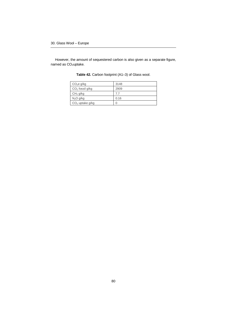However, the amount of sequestered carbon is also given as a separate figure, named as CO<sub>2</sub>uptake.

| CO <sub>2</sub> e g/kg | 3148 |
|------------------------|------|
| $CO2$ fossil g/kg      | 2909 |
| CH <sub>4</sub> g/kg   | 7.7  |
| N <sub>2</sub> O g/kg  | 0.16 |
| $CO2$ uptake g/kg      |      |

**Table 42.** Carbon footprint (A1–3) of Glass wool.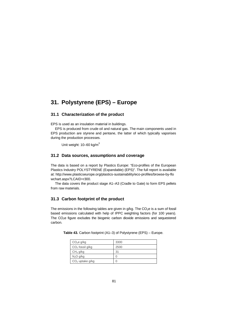# **31. Polystyrene (EPS) – Europe**

## **31.1 Characterization of the product**

EPS is used as an insulation material in buildings.

EPS is produced from crude oil and natural gas. The main components used in EPS production are styrene and pentane, the latter of which typically vaporises during the production processes.

Unit weight: 10–60 kg/m<sup>3</sup>

### **31.2 Data sources, assumptions and coverage**

The data is based on a report by Plastics Europe: "Eco-profiles of the European Plastics Industry POLYSTYRENE (Expandable) (EPS)". The full report is available [at: http://www.plasticseurope.org/plastics-sustainability/eco-profiles/browse-by-flo](http://www.plasticseurope.org/plastics-sustainability/eco-profiles/browse-by-flowchart.aspx?LCAID=r300) wchart.aspx?LCAID=r300.

The data covers the product stage A1–A3 (Cradle to Gate) to form EPS pellets from raw materials.

## **31.3 Carbon footprint of the product**

The emissions in the following tables are given in  $g/kg$ . The  $CO<sub>2</sub>e$  is a sum of fossil based emissions calculated with help of IPPC weighting factors (for 100 years). The CO<sub>2</sub>e figure excludes the biogenic carbon dioxide emissions and sequestered carbon.

| CO <sub>2</sub> e g/kg | 3300 |
|------------------------|------|
| $CO2$ fossil g/kg      | 2500 |
| CH <sub>4</sub> g/kg   | 31   |
| N <sub>2</sub> O g/kg  |      |
| $CO2$ uptake g/kg      |      |

**Table 43.** Carbon footprint (A1–3) of Polystyrene (EPS) – Europe.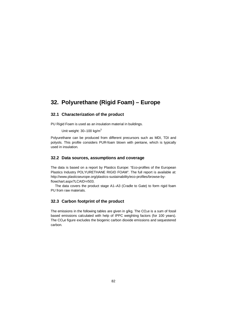# **32. Polyurethane (Rigid Foam) – Europe**

## **32.1 Characterization of the product**

PU Rigid Foam is used as an insulation material in buildings.

Unit weight:  $30-100$  kg/m<sup>3</sup>

Polyurethane can be produced from different precursors such as MDI, TDI and polyols. This profile considers PUR-foam blown with pentane, which is typically used in insulation.

## **32.2 Data sources, assumptions and coverage**

The data is based on a report by Plastics Europe: "Eco-profiles of the European Plastics Industry POLYURETHANE RIGID FOAM". The full report is available at: [http://www.plasticseurope.org/plastics-sustainability/eco-profiles/browse-by](http://www.plasticseurope.org/plastics-sustainability/eco-profiles/browse-by-flowchart.aspx?LCAID=r503)flowchart.aspx?LCAID=r503.

The data covers the product stage A1–A3 (Cradle to Gate) to form rigid foam PU from raw materials.

## **32.3 Carbon footprint of the product**

The emissions in the following tables are given in  $g/kg$ . The  $CO<sub>2</sub>e$  is a sum of fossil based emissions calculated with help of IPPC weighting factors (for 100 years). The CO2e figure excludes the biogenic carbon dioxide emissions and sequestered carbon.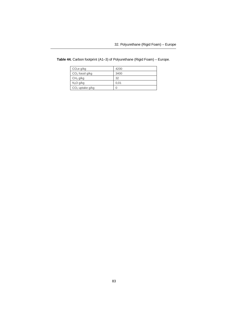| CO <sub>2</sub> e g/kg | 4200 |
|------------------------|------|
| $CO2$ fossil g/kg      | 3400 |
| CH <sub>4</sub> g/kg   | 32   |
| N <sub>2</sub> O g/kg  | 0.01 |
| $CO2$ uptake g/kg      |      |

**Table 44.** Carbon footprint (A1–3) of Polyurethane (Rigid Foam) – Europe.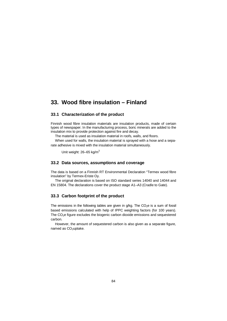## **33. Wood fibre insulation – Finland**

#### **33.1 Characterization of the product**

Finnish wood fibre insulation materials are insulation products, made of certain types of newspaper. In the manufacturing process, boric minerals are added to the insulation mix to provide protection against fire and decay.

The material is used as insulation material in roofs, walls, and floors.

When used for walls, the insulation material is sprayed with a hose and a separate adhesive is mixed with the insulation material simultaneously.

Unit weight: 26-65 kg/m<sup>3</sup>

#### **33.2 Data sources, assumptions and coverage**

The data is based on a Finnish RT Environmental Declaration "Termex wood fibre insulation" by Termex-Eriste Oy.

The original declaration is based on ISO standard series 14040 and 14044 and EN 15804. The declarations cover the product stage A1–A3 (Cradle to Gate).

#### **33.3 Carbon footprint of the product**

The emissions in the following tables are given in  $q/kq$ . The  $CO<sub>2</sub>e$  is a sum of fossil based emissions calculated with help of IPPC weighting factors (for 100 years). The  $CO<sub>2</sub>e$  figure excludes the biogenic carbon dioxide emissions and sequestered carbon.

However, the amount of sequestered carbon is also given as a separate figure, named as CO<sub>2</sub>uptake.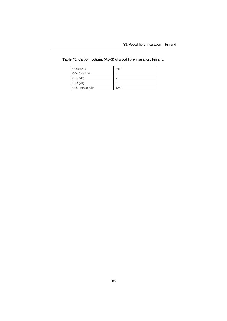| CO <sub>2</sub> e g/kg | 243  |
|------------------------|------|
| $CO2$ fossil g/kg      |      |
| CH <sub>4</sub> g/kg   |      |
| N <sub>2</sub> O g/kg  |      |
| $CO2$ uptake g/kg      | 1240 |

**Table 45.** Carbon footprint (A1–3) of wood fibre insulation, Finland.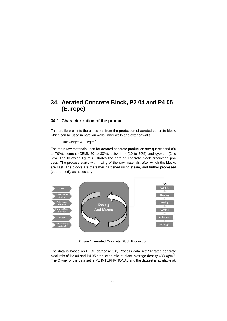# **34. Aerated Concrete Block, P2 04 and P4 05 (Europe)**

## **34.1 Characterization of the product**

This profile presents the emissions from the production of aerated concrete block, which can be used in partition walls, inner walls and exterior walls.

Unit weight:  $433$  kg/m<sup>3</sup>

The main raw materials used for aerated concrete production are: quartz sand (60 to 70%), cement (CEMI, 20 to 30%), quick lime (10 to 20%) and gypsum (2 to 5%). The following figure illustrates the aerated concrete block production process. The process starts with mixing of the raw materials, after which the blocks are cast. The blocks are thereafter hardened using steam, and further processed (cut, rubbed), as necessary.



**Figure 1.** Aerated Concrete Block Production.

The data is based on ELCD database 3.0, Process data set: "Aerated concrete block;mix of P2 04 and P4 05;production mix, at plant; average density 433 kg/m<sup>3</sup>". The Owner of the data set is PE INTERNATIONAL and the dataset is available at: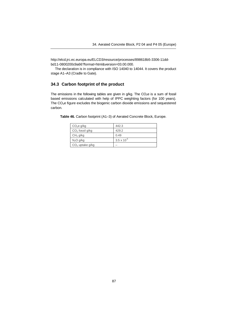http://elcd.jrc.ec.europa.eu/ELCD3/resource/processes/898618b5-3306-11ddbd11-0800200c9a66?format=html&version=03.00.000.

[The declaration is in compliance with ISO 14040 to 14044. It covers the produc](http://elcd.jrc.ec.europa.eu/ELCD3/resource/processes/898618b5-3306-11dd-bd11-0800200c9a66?format=html&version=03.00.000)t stage A1–A3 (Cradle to Gate).

## **34.3 Carbon footprint of the product**

The emissions in the following tables are given in  $g/kg$ . The  $CO<sub>2</sub>e$  is a sum of fossil based emissions calculated with help of IPPC weighting factors (for 100 years). The CO2e figure excludes the biogenic carbon dioxide emissions and sequestered carbon.

| CO <sub>2</sub> e g/kg | 442.3                |
|------------------------|----------------------|
| $CO2$ fossil g/kg      | 429.2                |
| CH <sub>4</sub> g/kg   | 0.49                 |
| $N_2O$ g/kg            | $3.5 \times 10^{-6}$ |
| $CO2$ uptake g/kg      |                      |

**Table 46.** Carbon footprint (A1–3) of Aerated Concrete Block, Europe.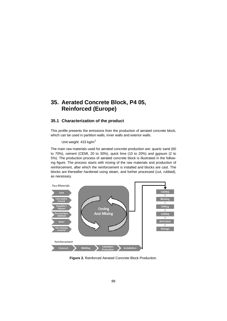# **35. Aerated Concrete Block, P4 05, Reinforced (Europe)**

## **35.1 Characterization of the product**

This profile presents the emissions from the production of aerated concrete block, which can be used in partition walls, inner walls and exterior walls.

Unit weight:  $433$  kg/m<sup>3</sup>

The main raw materials used for aerated concrete production are: quartz sand (60 to 70%), cement (CEMI, 20 to 30%), quick lime (10 to 20%) and gypsum (2 to 5%). The production process of aerated concrete block is illustrated in the following figure. The process starts with mixing of the raw materials and production of reinforcement, after which the reinforcement is installed and blocks are cast. The blocks are thereafter hardened using steam, and further processed (cut, rubbed), as necessary.



**Figure 2.** Reinforced Aerated Concrete Block Production.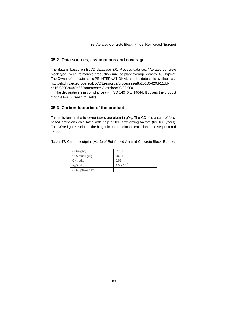## **35.2 Data sources, assumptions and coverage**

The data is based on ELCD database 3.0, Process data set: "Aerated concrete block;type P4 05 reinforced;production mix, at plant;average density 485 kg/m<sup>3</sup>". The Owner of the data set is PE INTERNATIONAL and the dataset is available at: htt[p://elcd.jrc.ec.europa.eu/ELCD3/resource/processes/a8b2c610-429d-11dd](http://elcd.jrc.ec.europa.eu/ELCD3/resource/processes/a8b2c610-429d-11dd-ae16-0800200c9a66?format=html&version=03.00.000)ae16-0800200c9a66?format=html&version=03.00.000.

The declaration is in compliance with ISO 14040 to 14044. It covers the product stage A1–A3 (Cradle to Gate).

## **35.3 Carbon footprint of the product**

The emissions in the following tables are given in  $g/kg$ . The  $CO<sub>2</sub>e$  is a sum of fossil based emissions calculated with help of IPPC weighting factors (for 100 years). The CO2e figure excludes the biogenic carbon dioxide emissions and sequestered carbon.

|  |  |  |  | Table 47. Carbon footprint (A1-3) of Reinforced Aerated Concrete Block, Europe. |  |  |  |  |
|--|--|--|--|---------------------------------------------------------------------------------|--|--|--|--|
|--|--|--|--|---------------------------------------------------------------------------------|--|--|--|--|

| CO <sub>2</sub> e g/kg | 511.3                |
|------------------------|----------------------|
| $CO2$ fossil g/kg      | 495.3                |
| CH <sub>4</sub> g/kg   | 0.59                 |
| $N_2O$ g/kg            | $4.5 \times 10^{-6}$ |
| $CO2$ uptake g/kg      | $\left( \right)$     |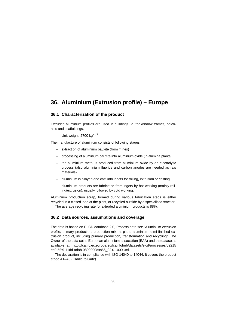# **36. Aluminium (Extrusion profile) – Europe**

### **36.1 Characterization of the product**

Extruded aluminium profiles are used in buildings i.e. for window frames, balconies and scaffoldings.

Unit weight: 2700 kg/m<sup>3</sup>

The manufacture of aluminium consists of following stages:

- $-$  extraction of aluminium bauxite (from mines)
- processing of aluminium bauxite into aluminium oxide (in alumina plants)
- $-$  the aluminium metal is produced from aluminium oxide by an electrolytic process (also aluminium fluoride and carbon anodes are needed as raw materials)
- aluminium is alloyed and cast into ingots for rolling, extrusion or casting
- aluminium products are fabricated from ingots by hot working (mainly rolling/extrusion), usually followed by cold working.

Aluminium production scrap, formed during various fabrication steps is either recycled in a closed loop at the plant, or recycled outside by a specialised smelter.

The average recycling rate for extruded aluminium products is 88%.

### **36.2 Data sources, assumptions and coverage**

The data is based on ELCD database 2.0, Process data set: "Aluminium extrusion profile; primary production; production mix, at plant; aluminium semi-finished extrusion product, including primary production, transformation and recycling". The Owner of the data set is European aluminium association (EAA) and the dataset is [available at: http://lca.jrc.ec.europa.eu/lcainfohub/datasets/elcd/processes/09215](http://lca.jrc.ec.europa.eu/lcainfohub/datasets/elcd/processes/09215eb0-5fc9-11dd-ad8b-0800200c9a66_02.01.000.xml) eb0-5fc9-11dd-ad8b-0800200c9a66\_02.01.000.xml.

The declaration is in compliance with ISO 14040 to 14044. It covers the product stage A1–A3 (Cradle to Gate).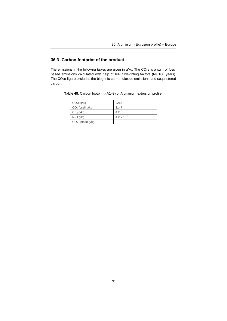## **36.3 Carbon footprint of the product**

The emissions in the following tables are given in  $g/kg$ . The  $CO<sub>2</sub>e$  is a sum of fossil based emissions calculated with help of IPPC weighting factors (for 100 years). The CO2e figure excludes the biogenic carbon dioxide emissions and sequestered carbon.

|  |  |  |  |  | Table 48. Carbon footprint (A1-3) of Aluminium extrusion profile. |  |  |
|--|--|--|--|--|-------------------------------------------------------------------|--|--|
|--|--|--|--|--|-------------------------------------------------------------------|--|--|

| CO <sub>2</sub> e g/kg | 2264                          |
|------------------------|-------------------------------|
| $CO2$ fossil g/kg      | 2147                          |
| CH <sub>4</sub> g/kg   | 4.2                           |
| $N_2O$ g/kg            | 4.2 $\times$ 10 <sup>-2</sup> |
| $CO2$ uptake g/kg      |                               |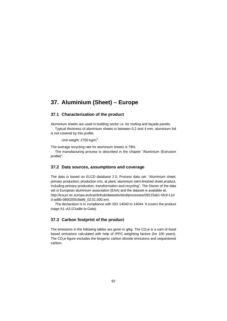# **37. Aluminium (Sheet) – Europe**

### **37.1 Characterization of the product**

Aluminium sheets are used in building sector i.e. for roofing and façade panels.

Typical thickness of aluminium sheets is between 0,2 and 4 mm, aluminium foil is not covered by this profile.

Unit weight: 2700 kg/m<sup>3</sup>

The average recycling rate for aluminium sheets is 79%.

The manufacturing process is described in the chapter "Aluminium (Extrusion profile)".

### **37.2 Data sources, assumptions and coverage**

The data is based on ELCD database 2.0, Process data set: "Aluminium sheet; primary production; production mix, at plant; aluminium semi-finished sheet product, including primary production, transformation and recycling". The Owner of the data set is European aluminium association (EAA) and the dataset is available at: [http://lca.jrc.ec.europa.eu/lcainfohub/datasets/elcd/processes/09215eb1-5fc9-11d](http://lca.jrc.ec.europa.eu/lcainfohub/datasets/elcd/processes/09215eb1-5fc9-11dd-ad8b-0800200c9a66_02.01.000.xml) d-ad8b-0800200c9a66\_02.01.000.xml.

The declaration is in compliance with ISO 14040 to 14044. It covers the product stage A1–A3 (Cradle to Gate).

#### **37.3 Carbon footprint of the product**

The emissions in the following tables are given in  $q/kg$ . The  $CO<sub>2</sub>$ e is a sum of fossil based emissions calculated with help of IPPC weighting factors (for 100 years). The  $CO<sub>2</sub>e$  figure excludes the biogenic carbon dioxide emissions and sequestered carbon.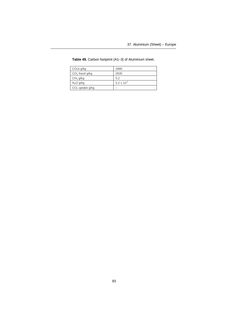| CO <sub>2</sub> e g/kg | 2980            |
|------------------------|-----------------|
| $CO2$ fossil g/kg      | 2835            |
| CH <sub>4</sub> g/kg   | 5.2             |
| N <sub>2</sub> O g/kg  | 5.2 x $10^{-2}$ |
| $CO2$ uptake g/kg      |                 |

### **Table 49.** Carbon footprint (A1–3) of Aluminium sheet.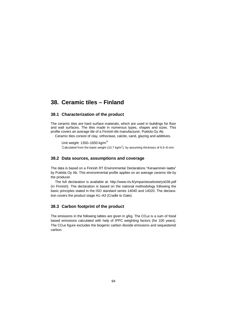## **38. Ceramic tiles – Finland**

### **38.1 Characterization of the product**

The ceramic tiles are hard surface materials, which are used in buildings for floor and wall surfaces. The tiles made in numerous types, shapes and sizes. This profile covers an average tile of a Finnish tile manufacturer, Pukkila Oy Ab.

Ceramic tiles consist of clay, orthoclase, calcite, sand, glazing and additives.

Unit weight: 1350-1650 kg/m<sup>3\*</sup> Calculated from the basis weight (10.7 kg/m<sup>2</sup>), by assuming thickness of 6.5–8 mm.

#### **38.2 Data sources, assumptions and coverage**

The data is based on a Finnish RT Environmental Declarations "Keraaminen laatta" by Pukkila Oy Ab. This environmental profile applies on an average ceramic tile by the producer.

The full declaration is available at: <http://www.rts.fi/ymparistoseloste/ys036.pdf> (in Finnish). The declaration is based on the national methodology following the basic principles stated in the ISO standard series 14040 and 14020. The declaration covers the product stage A1–A3 (Cradle to Gate).

#### **38.3 Carbon footprint of the product**

The emissions in the following tables are given in  $q/\text{kg}$ . The CO<sub>2</sub>e is a sum of fossil based emissions calculated with help of IPPC weighting factors (for 100 years). The  $CO<sub>2</sub>e$  figure excludes the biogenic carbon dioxide emissions and sequestered carbon.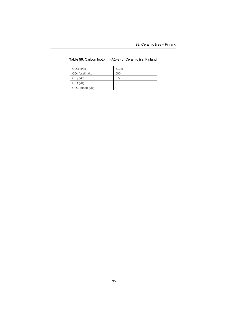| CO <sub>2</sub> e g/kg | 612.5 |
|------------------------|-------|
| $CO2$ fossil g/kg      | 600   |
| CH <sub>4</sub> g/kg   | 0.5   |
| $N_2O$ g/kg            |       |
| $CO2$ uptake g/kg      |       |

**Table 50.** Carbon footprint (A1–3) of Ceramic tile, Finland.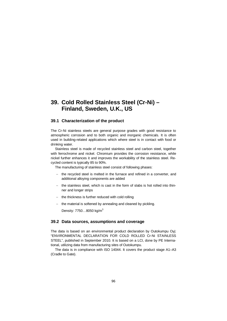# **39. Cold Rolled Stainless Steel (Cr-Ni) – Finland, Sweden, U.K., US**

## **39.1 Characterization of the product**

The Cr-Ni stainless steels are general purpose grades with good resistance to atmospheric corrosion and to both organic and inorganic chemicals. It is often used in building-related applications which where steel is in contact with food or drinking water.

Stainless steel is made of recycled stainless steel and carbon steel, together with ferrochrome and nickel. Chromium provides the corrosion resistance, while nickel further enhances it and improves the workability of the stainless steel. Recycled content is typically 85 to 90%.

The manufacturing of stainless steel consist of following phases:

- the recycled steel is melted in the furnace and refined in a converter, and additional alloying components are added
- $-$  the stainless steel, which is cast in the form of slabs is hot rolled into thinner and longer strips
- $-$  the thickness is further reduced with cold rolling
- $-$  the material is softened by annealing and cleaned by pickling.

Density:  $7750...8050$  kg/m<sup>3</sup>

### **39.2 Data sources, assumptions and coverage**

The data is based on an environmental product declaration by Outokumpu Oyj: "ENVIRONMENTAL DECLARATION FOR COLD ROLLED Cr-Ni STAINLESS STEEL", published in September 2010. It is based on a LCI, done by PE International, utilizing data from manufacturing sites of Outokumpu.

The data is in compliance with ISO 14044. It covers the product stage A1–A3 (Cradle to Gate).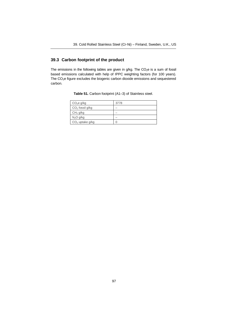## **39.3 Carbon footprint of the product**

The emissions in the following tables are given in  $q/kg$ . The  $CO<sub>2</sub>e$  is a sum of fossil based emissions calculated with help of IPPC weighting factors (for 100 years). The CO2e figure excludes the biogenic carbon dioxide emissions and sequestered carbon.

| CO <sub>2</sub> e g/kg | 3778 |
|------------------------|------|
| $CO2$ fossil g/kg      |      |
| CH <sub>4</sub> g/kg   |      |
| N <sub>2</sub> O g/kg  |      |
| $CO2$ uptake g/kg      |      |

**Table 51.** Carbon footprint (A1–3) of Stainless steel.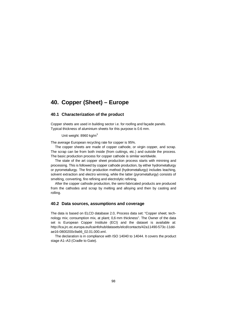## **40. Copper (Sheet) – Europe**

### **40.1 Characterization of the product**

Copper sheets are used in building sector i.e. for roofing and façade panels. Typical thickness of aluminium sheets for this purpose is 0.6 mm.

Unit weight: 8960 kg/m<sup>3</sup>

The average European recycling rate for copper is 95%.

The copper sheets are made of copper cathode, or virgin copper, and scrap. The scrap can be from both inside (from cuttings, etc.) and outside the process. The basic production process for copper cathode is similar worldwide.

The state of the art copper sheet production process starts with minining and processing. This is followed by copper cathode production, by either hydrometallurgy or pyrometallurgy. The first production method (hydrometallurgy) includes leaching, solvent extraction and electro winning, while the latter (pyrometallurgy) consists of smelting, converting, fire refining and electrolytic refining.

After the copper cathode production, the semi-fabricated products are produced from the cathodes and scrap by melting and alloying and then by casting and rolling.

#### **40.2 Data sources, assumptions and coverage**

The data is based on ELCD database 2.0, Process data set: "Copper sheet; technology mix; consumption mix, at plant; 0,6 mm thickness". The Owner of the data [set is European Copper Institute \(ECI\) and the dataset is available a](http://lca.jrc.ec.europa.eu/lcainfohub/datasets/elcd/contacts/42a11490-573c-11dd-ae16-0800200c9a66_02.01.000.xml)t: http://lca.jrc.ec.europa.eu/lcainfohub/datasets/elcd/contacts/42a11490-573c-11ddae16-0800200c9a66\_02.01.000.xml.

The declaration is in compliance with ISO 14040 to 14044. It covers the product stage A1–A3 (Cradle to Gate).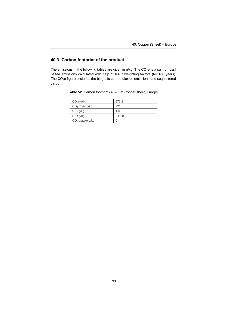## **40.3 Carbon footprint of the product**

The emissions in the following tables are given in  $g/kg$ . The  $CO<sub>2</sub>e$  is a sum of fossil based emissions calculated with help of IPPC weighting factors (for 100 years). The CO2e figure excludes the biogenic carbon dioxide emissions and sequestered carbon.

| CO <sub>2</sub> e g/kg | 973.2              |
|------------------------|--------------------|
| $CO2$ fossil g/kg      | 921                |
| CH <sub>4</sub> g/kg   | 1.8                |
| N <sub>2</sub> O g/kg  | $2 \times 10^{-2}$ |
| $CO2$ uptake g/kg      |                    |

**Table 52.** Carbon footprint (A1–3) of Copper sheet, Europe.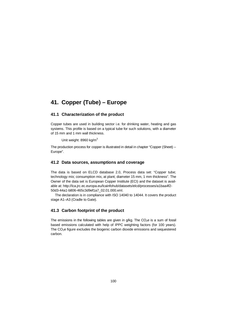# **41. Copper (Tube) – Europe**

## **41.1 Characterization of the product**

Copper tubes are used in building sector i.e. for drinking water, heating and gas systems. This profile is based on a typical tube for such solutions, with a diameter of 15 mm and 1 mm wall thickness.

Unit weight: 8960 kg/ $m<sup>3</sup>$ 

The production process for copper is illustrated in detail in chapter "Copper (Sheet) – Europe".

### **41.2 Data sources, assumptions and coverage**

The data is based on ELCD database 2.0, Process data set: "Copper tube; technology mix; consumption mix, at plant; diameter 15 mm, 1 mm thickness". The Owner of the data set is European Copper Institute (ECI) and the dataset is avail[able at: http://lca.jrc.ec.europa.eu/lcainfohub/datasets/elcd/processes/a1baa4f2-](http://lca.jrc.ec.europa.eu/lcainfohub/datasets/elcd/processes/a1baa4f2-50d3-44a1-b806-465c3d9ef1a7_02.01.000.xml) 50d3-44a1-b806-465c3d9ef1a7\_02.01.000.xml.

The declaration is in compliance with ISO 14040 to 14044. It covers the product stage A1–A3 (Cradle to Gate).

## **41.3 Carbon footprint of the product**

The emissions in the following tables are given in  $g/kg$ . The  $CO<sub>2</sub>e$  is a sum of fossil based emissions calculated with help of IPPC weighting factors (for 100 years). The  $CO<sub>2</sub>e$  figure excludes the biogenic carbon dioxide emissions and sequestered carbon.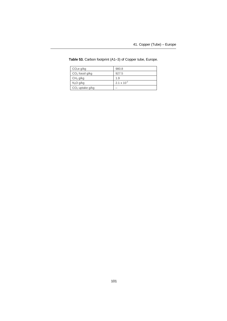| CO <sub>2</sub> e g/kg | 980.8           |
|------------------------|-----------------|
| $CO2$ fossil g/kg      | 927.5           |
| CH <sub>4</sub> g/kg   | 1.9             |
| N <sub>2</sub> O g/kg  | 2.1 x $10^{-2}$ |
| $CO2$ uptake g/kg      |                 |

**Table 53.** Carbon footprint (A1–3) of Copper tube, Europe.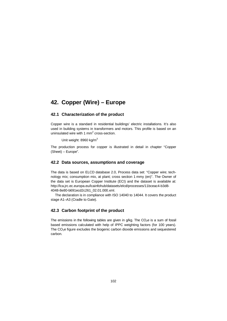# **42. Copper (Wire) – Europe**

## **42.1 Characterization of the product**

Copper wire is a standard in residential buildings' electric installations. It's also used in building systems in transformers and motors. This profile is based on an uninsulated wire with 1  $mm<sup>2</sup>$  cross-section.

Unit weight: 8960 kg/m<sup>3</sup>

The production process for copper is illustrated in detail in chapter "Copper (Sheet) – Europe".

### **42.2 Data sources, assumptions and coverage**

The data is based on ELCD database 2.0, Process data set: "Copper wire; technology mix; consumption mix, at plant; cross section 1 mmy (en)". The Owner of the data set is European Copper Institute (ECI) and the dataset is available at: [http://lca.jrc.ec.europa.eu/lcainfohub/datasets/elcd/processes/11bceac4-b3d8-](http://lca.jrc.ec.europa.eu/lcainfohub/datasets/elcd/processes/11bceac4-b3d8-4048-8e80-b691ecd2c261_02.01.000.xml) [4048-8e80-b691ecd2c261\\_02.01.000.xml.](http://lca.jrc.ec.europa.eu/lcainfohub/datasets/elcd/processes/11bceac4-b3d8-4048-8e80-b691ecd2c261_02.01.000.xml)

The declaration is in compliance with ISO 14040 to 14044. It covers the product stage A1–A3 (Cradle to Gate).

## **42.3 Carbon footprint of the product**

The emissions in the following tables are given in  $g/kg$ . The CO<sub>2</sub>e is a sum of fossil based emissions calculated with help of IPPC weighting factors (for 100 years). The  $CO<sub>2</sub>e$  figure excludes the biogenic carbon dioxide emissions and sequestered carbon.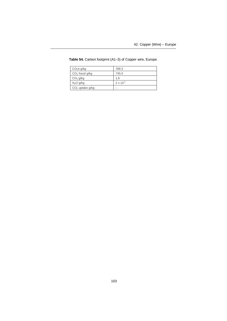| CO <sub>2</sub> e g/kg | 788.3              |
|------------------------|--------------------|
| $CO2$ fossil g/kg      | 745.0              |
| CH <sub>4</sub> g/kg   | 1.6                |
| N <sub>2</sub> O g/kg  | $2 \times 10^{-2}$ |
| $CO2$ uptake g/kg      |                    |

**Table 54.** Carbon footprint (A1–3) of Copper wire, Europe.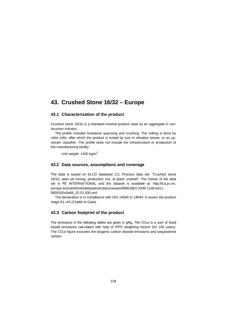# **43. Crushed Stone 16/32 – Europe**

## **43.1 Characterization of the product**

Crushed stone 16/32 is a standard mineral product used as an aggregate in construction industry.

The profile includes limestone quarrying and crushing. The milling is done by roller mills, after which the product is sorted by size in vibration sieves, or an upstream classifier. The profile does not include the infrastructure or production of the manufacturing facility.

Unit weight: 1400 kg/m<sup>3</sup>

#### **43.2 Data sources, assumptions and coverage**

The data is based on ELCD database 2.0, Process data set: "Crushed stone 16/32; open pit mining; production mix, at plant; undried". The Owner of the data [set is PE INTERNATIONAL and the dataset is available at: http://lca.jrc.ec.](http://lca.jrc.ec.europa.eu/lcainfohub/datasets/elcd/processes/898618b3-3306-11dd-bd11-0800200c9a66_02.01.000.xml) europa.eu/lcainfohub/datasets/elcd/processes/898618b3-3306-11dd-bd11- 0800200c9a66\_02.01.000.xml.

The declaration is in compliance with ISO 14040 to 14044. It covers the product stage A1–A3 (Cradle to Gate).

#### **43.3 Carbon footprint of the product**

The emissions in the following tables are given in  $q/\text{kg}$ . The CO<sub>2</sub>e is a sum of fossil based emissions calculated with help of IPPC weighting factors (for 100 years). The  $CO<sub>2</sub>e$  figure excludes the biogenic carbon dioxide emissions and sequestered carbon.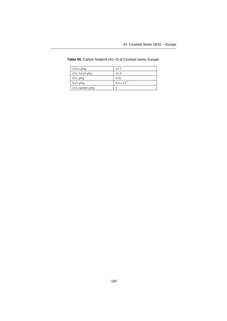| CO <sub>2</sub> e g/kg | 13.7                 |
|------------------------|----------------------|
| $CO2$ fossil g/kg      | 12.9                 |
| CH <sub>4</sub> g/kg   | 0.02                 |
| N <sub>2</sub> O g/kg  | $9.6 \times 10^{-4}$ |
| $CO2$ uptake g/kg      |                      |

**Table 55.** Carbon footprint (A1–3) of Crushed stone, Europe.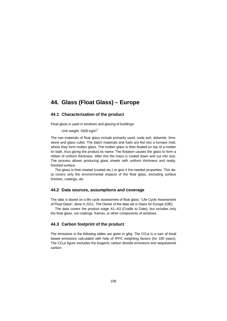# **44. Glass (Float Glass) – Europe**

## **44.1 Characterization of the product**

Float glass is used in windows and glazing of buildings.

Unit weight:  $2500$  kg/m<sup>3</sup>

The raw materials of float glass include primarily sand, soda ash, dolomite, limestone and glass cullet. The batch materials and fuels are fed into a furnace melt, where they form molten glass. The molten glass is then floated on top of a molten tin bath, thus giving the product its name. The flotation causes the glass to form a ribbon of uniform thickness. After this the mass is cooled down and cut into size. The process allows producing glass sheets with uniform thickness and ready, finished surface.

The glass is then treated (coated etc.) to give it the needed properties. This data covers only the environmental impacts of the float glass, excluding surface finishes, coatings, etc.

#### **44.2 Data sources, assumptions and coverage**

The data is based on a life cycle assessment of float glass: "Life Cycle Assessment of Float Glass", done in 2011. The Owner of the data set is Glass for Europe (GfE).

The data covers the product stage A1–A3 (Cradle to Gate), but includes only the float glass, not coatings, frames, or other components of windows.

### **44.3 Carbon footprint of the product**

The emissions in the following tables are given in  $g/kg$ . The  $CO<sub>2</sub>e$  is a sum of fossil based emissions calculated with help of IPPC weighting factors (for 100 years). The  $CO<sub>2</sub>e$  figure excludes the biogenic carbon dioxide emissions and sequestered carbon.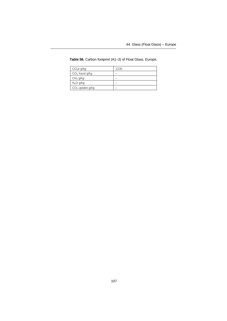| CO <sub>2</sub> e g/kg | 1230 |
|------------------------|------|
| $CO2$ fossil g/kg      |      |
| CH <sub>4</sub> g/kg   |      |
| N <sub>2</sub> O g/kg  |      |
| $CO2$ uptake g/kg      |      |

**Table 56.** Carbon footprint (A1–3) of Float Glass, Europe.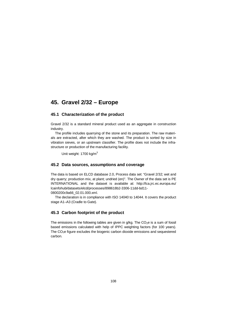## **45. Gravel 2/32 – Europe**

### **45.1 Characterization of the product**

Gravel 2/32 is a standard mineral product used as an aggregate in construction industry.

The profile includes quarrying of the stone and its preparation. The raw materials are extracted, after which they are washed. The product is sorted by size in vibration sieves, or an upstream classifier. The profile does not include the infrastructure or production of the manufacturing facility.

Unit weight: 1700 kg/m<sup>3</sup>

### **45.2 Data sources, assumptions and coverage**

The data is based on ELCD database 2.0, Process data set: "Gravel 2/32; wet and dry quarry; production mix, at plant; undried (en)". The Owner of the data set is PE [INTERNATIONAL and the dataset is available at: http://lca.jrc.ec.europa.eu/](lcainfohub/datasets/elcd/processes/898618b2-3306-11dd-bd11-0800200c9a66_02.01.000.xml) lcainfohub/datasets/elcd/processes/898618b2-3306-11dd-bd11- 0800200c9a66\_02.01.000.xml.

The declaration is in compliance with ISO 14040 to 14044. It covers the product stage A1–A3 (Cradle to Gate).

### **45.3 Carbon footprint of the product**

The emissions in the following tables are given in  $q/\text{kg}$ . The CO<sub>2</sub>e is a sum of fossil based emissions calculated with help of IPPC weighting factors (for 100 years). The  $CO<sub>2</sub>e$  figure excludes the biogenic carbon dioxide emissions and sequestered carbon.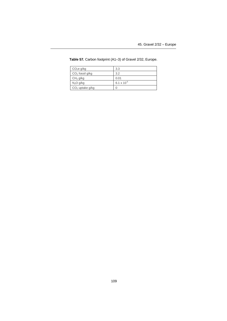| CO <sub>2</sub> e g/kg | 3.3                           |
|------------------------|-------------------------------|
| $CO2$ fossil g/kg      | 3.2                           |
| CH <sub>4</sub> g/kg   | 0.01                          |
| N <sub>2</sub> O g/kg  | 6.1 $\times$ 10 <sup>-5</sup> |
| $CO2$ uptake g/kg      |                               |

**Table 57.** Carbon footprint (A1–3) of Gravel 2/32, Europe.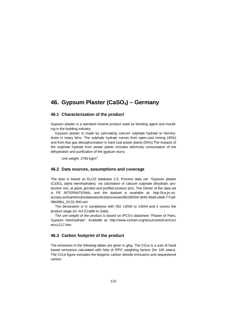# **46. Gypsum Plaster (CaSO4) – Germany**

### **46.1 Characterization of the product**

Gypsum plaster is a standard mineral product used as bonding agent and moulding in the building industry.

Gypsum plaster is made by calcinating calcium sulphate hydrate to hemihydrate in rotary kilns. The sulphate hydrate comes from open-cast mining (45%) and from flue gas desulphurization in hard coal power plants (55%).The impacts of the sulphate hydrate from power plants includes electricity consumption of the dehydration and purification of the gypsum slurry.

Unit weight: 2760 kg/m<sup>3</sup>

### **46.2 Data sources, assumptions and coverage**

The data is based on ELCD database 2.0, Process data set: "Gypsum plaster  $(CaSO<sub>4</sub>$  alpha hemihydrates); via calcination of calcium sulphate dihydrate; production mix, at plant; grinded and purified product (en). The Owner of the data set [is PE INTERNATIONAL and the dataset is available at: http://lca.jrc.ec.](http://lca.jrc.ec.europa.eu/lcainfohub/xdatasets/elcd/processes/8b190559-3845-4ba8-a9a6-77ca998b38b1_02.01.000.xml) europa.eu/lcainfohub/xdatasets/elcd/processes/8b190559-3845-4ba8-a9a6-77ca9 98b38b1\_02.01.000.xml

The declaration is in compliance with ISO 14040 to 14044 and it covers the product stage A1–A3 (Cradle to Gate).

The unit weight of the product is based on IPCS's datasheet "Plaster of Paris, [Gypsum hemihydrate". Available at: http://www.inchem.org/documents/icsc/icsc/](http://www.inchem.org/documents/icsc/icsc/eics1217.htm) eics1217.htm.

### **46.3 Carbon footprint of the product**

The emissions in the following tables are given in  $a/ka$ . The  $CO<sub>2</sub>e$  is a sum of fossil based emissions calculated with help of IPPC weighting factors (for 100 years). The CO2e figure excludes the biogenic carbon dioxide emissions and sequestered carbon.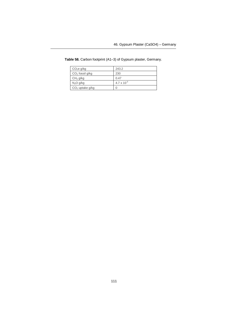| CO <sub>2</sub> e g/kg | 243.2                |
|------------------------|----------------------|
| $CO2$ fossil g/kg      | 230                  |
| CH <sub>4</sub> g/kg   | 0.47                 |
| N <sub>2</sub> O g/kg  | $4.7 \times 10^{-3}$ |
| $CO2$ uptake g/kg      |                      |

**Table 58.** Carbon footprint (A1–3) of Gypsum plaster, Germany.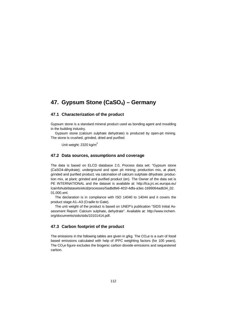# **47. Gypsum Stone (CaSO4) – Germany**

### **47.1 Characterization of the product**

Gypsum stone is a standard mineral product used as bonding agent and moulding in the building industry.

Gypsum stone (calcium sulphate dehydrate) is produced by open-pit mining. The stone is crushed, grinded, dried and purified.

Unit weight:  $2320$  kg/m<sup>3</sup>

### **47.2 Data sources, assumptions and coverage**

The data is based on ELCD database 2.0, Process data set: "Gypsum stone (CaSO4-dihydrate); underground and open pit mining; production mix, at plant; grinded and purified product; via calcination of calcium sulphate dihydrate; production mix, at plant; grinded and purified product (en). The Owner of the data set is [PE INTERNATIONAL and the dataset is available at: http://lca.jrc.ec.europa.eu/](http://lca.jrc.ec.europa.eu/lcainfohub/datasets/elcd/processes/5adbdfe6-401f-4dfa-a3ec-1699064adb34_02.01.000.xml) lcainfohub/datasets/elcd/processes/5adbdfe6-401f-4dfa-a3ec-1699064adb34\_02. 01.000.xml.

The declaration is in compliance with ISO 14040 to 14044 and it covers the product stage A1–A3 (Cradle to Gate).

The unit weight of the product is based on UNEP's publication "SIDS Initial As[sessment Report: Calcium sulphate, dehydrate". Available at: http://www.inchem.](http://www.inchem.org/documents/sids/sids/10101414.pdf) org/documents/sids/sids/10101414.pdf.

### **47.3 Carbon footprint of the product**

The emissions in the following tables are given in  $q/kg$ . The  $CO<sub>2</sub>$ e is a sum of fossil based emissions calculated with help of IPPC weighting factors (for 100 years). The  $CO<sub>2</sub>e$  figure excludes the biogenic carbon dioxide emissions and sequestered carbon.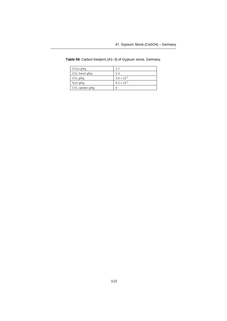| CO <sub>2</sub> e g/kg | 27                            |
|------------------------|-------------------------------|
| $CO2$ fossil g/kg      | 2.4                           |
| CH <sub>4</sub> g/kg   | $3.6 \times 10^{-3}$          |
| N <sub>2</sub> O g/kg  | 6.2 $\times$ 10 <sup>-4</sup> |
| $CO2$ uptake g/kg      |                               |

**Table 59.** Carbon footprint (A1–3) of Gypsum stone, Germany.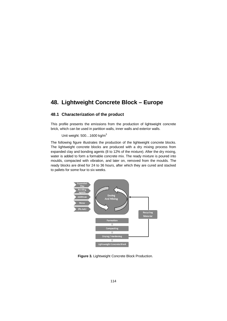# **48. Lightweight Concrete Block – Europe**

### **48.1 Characterization of the product**

This profile presents the emissions from the production of lightweight concrete brick, which can be used in partition walls, inner walls and exterior walls.

Unit weight:  $500...1600$  kg/m<sup>3</sup>

The following figure illustrates the production of the lightweight concrete blocks. The lightweight concrete blocks are produced with a dry mixing process from expanded clay and bonding agents (8 to 12% of the mixture). After the dry mixing, water is added to form a formable concrete mix. The ready mixture is poured into moulds, compacted with vibration, and later on, removed from the moulds. The ready blocks are dried for 24 to 36 hours, after which they are cured and stacked to pallets for some four to six weeks.



**Figure 3.** Lightweight Concrete Block Production.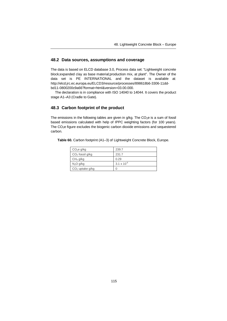### **48.2 Data sources, assumptions and coverage**

The data is based on ELCD database 3.0, Process data set: "Lightweight concrete block;expanded clay as base material;production mix, at plant". The Owner of the data set is PE INTERNATIONAL and the dataset is available at: [http://elcd.jrc.ec.europa.eu/ELCD3/resource/processes/898618b6-3306-11dd](http://elcd.jrc.ec.europa.eu/ELCD3/resource/processes/898618b6-3306-11dd-bd11-0800200c9a66?format=html&version=03.00.000)bd11-0800200c9a66?format=html&version=03.00.000.

The declaration is in compliance with ISO 14040 to 14044. It covers the product stage A1–A3 (Cradle to Gate).

### **48.3 Carbon footprint of the product**

The emissions in the following tables are given in  $g/kg$ . The  $CO<sub>2</sub>e$  is a sum of fossil based emissions calculated with help of IPPC weighting factors (for 100 years). The CO2e figure excludes the biogenic carbon dioxide emissions and sequestered carbon.

| Table 60. Carbon footprint (A1-3) of Lightweight Concrete Block, Europe. |  |  |
|--------------------------------------------------------------------------|--|--|
|--------------------------------------------------------------------------|--|--|

| CO <sub>2</sub> e g/kg | 239.7                |
|------------------------|----------------------|
| $CO2$ fossil g/kg      | 231.7                |
| CH <sub>4</sub> g/kg   | 0.29                 |
| N <sub>2</sub> O g/kg  | $3.1 \times 10^{-6}$ |
| $CO2$ uptake g/kg      |                      |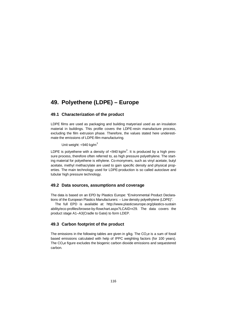# **49. Polyethene (LDPE) – Europe**

### **49.1 Characterization of the product**

LDPE films are used as packaging and building matyeriasl used as an insulation material in buildings. This profile covers the LDPE-resin manufacture process, excluding the film extrusion phase. Therefore, the values stated here underestimate the emissions of LDPE-film manufacturing.

Unit weight:  $<$ 940 kg/m<sup>3</sup>

LDPE is polyethene with a density of <940 kg/m<sup>3</sup>. It is produced by a high pressure process, therefore often referred to, as high pressure polyethylene. The starting material for polyethene is ethylene. Co-monymers, such as vinyl acetate, butyl acetate, methyl methacrylate are used to gain specific density and physical properties. The main technology used for LDPE-production is so called autoclave and tubular high pressure technology.

### **49.2 Data sources, assumptions and coverage**

The data is based on an EPD by Plastics Europe: "Environmental Product Declarations of the European Plastics Manufacturers: – Low density polyethylene (LDPE)".

The full EPD is available at: http://www.plasticseurope.org/plastics-sustain [ability/eco-profiles/browse-by-flowchart.aspx?LCAID=r29. The data covers the](http://www.plasticseurope.org/plastics-sustainability/eco-profiles/browse-by-flowchart.aspx?LCAID=r29) product stage A1–A3(Cradle to Gate) to form LDEP.

### **49.3 Carbon footprint of the product**

The emissions in the following tables are given in  $q/kg$ . The  $CO<sub>2</sub>$ e is a sum of fossil based emissions calculated with help of IPPC weighting factors (for 100 years). The  $CO<sub>2</sub>e$  figure excludes the biogenic carbon dioxide emissions and sequestered carbon.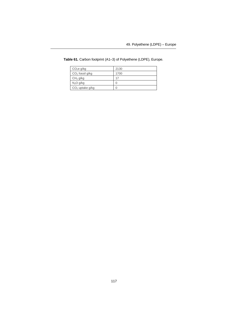| CO <sub>2</sub> e g/kg | 2130 |
|------------------------|------|
| $CO2$ fossil g/kg      | 1700 |
| CH <sub>4</sub> g/kg   | 17   |
| N <sub>2</sub> O g/kg  |      |
| $CO2$ uptake g/kg      |      |

**Table 61.** Carbon footprint (A1–3) of Polyethene (LDPE), Europe.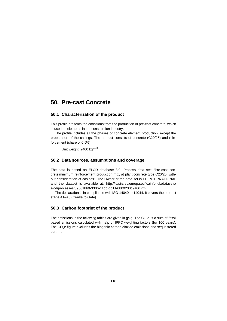## **50. Pre-cast Concrete**

### **50.1 Characterization of the product**

This profile presents the emissions from the production of pre-cast concrete, which is used as elements in the construction industry.

The profile includes all the phases of concrete element production, except the preparation of the casings. The product consists of concrete (C20/25) and reinforcement (share of 0,5%).

Unit weight: 2400 kg/m<sup>3</sup>

### **50.2 Data sources, assumptions and coverage**

The data is based on ELCD database 3.0, Process data set: "Pre-cast concrete;minimum reinforcement;production mix, at plant;concrete type C20/25, without consideration of casings". The Owner of the data set is PE INTERNATIONAL [and the dataset is available at: http://lca.jrc.ec.europa.eu/lcainfohub/datasets/](http://lca.jrc.ec.europa.eu/lcainfohub/datasets/elcd/processes/898618b0-3306-11dd-bd11-0800200c9a66.xml) elcd/processes/898618b0-3306-11dd-bd11-0800200c9a66.xml.

The declaration is in compliance with ISO 14040 to 14044. It covers the product stage A1–A3 (Cradle to Gate).

### **50.3 Carbon footprint of the product**

The emissions in the following tables are given in  $g/kg$ . The  $CO<sub>2</sub>e$  is a sum of fossil based emissions calculated with help of IPPC weighting factors (for 100 years). The  $CO<sub>2</sub>e$  figure excludes the biogenic carbon dioxide emissions and sequestered carbon.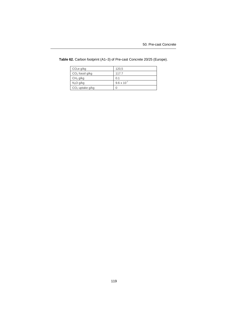| CO <sub>2</sub> e g/kg | 120,5                |
|------------------------|----------------------|
| $CO2$ fossil g/kg      | 117.7                |
| CH <sub>4</sub> g/kg   | 0.1                  |
| N <sub>2</sub> O g/kg  | $9.6 \times 10^{-7}$ |
| $CO2$ uptake g/kg      |                      |

**Table 62.** Carbon footprint (A1–3) of Pre-cast Concrete 20/25 (Europe).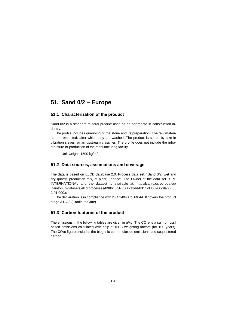## **51. Sand 0/2 – Europe**

### **51.1 Characterization of the product**

Sand 0/2 is a standard mineral product used as an aggregate in construction industry.

The profile includes quarrying of the stone and its preparation. The raw materials are extracted, after which they are washed. The product is sorted by size in vibration sieves, or an upstream classifier. The profile does not include the infrastructure or production of the manufacturing facility.

Unit weight: 1500 kg/m<sup>3</sup>

### **51.2 Data sources, assumptions and coverage**

The data is based on ELCD database 2.0, Process data set: "Sand 0/2; wet and dry quarry; production mix, at plant; undried". The Owner of the data set is PE [INTERNATIONAL and the dataset is available at: http://lca.jrc.ec.europa.eu/](http://lca.jrc.ec.europa.eu/lcainfohub/datasets/elcd/processes/898618b1-3306-11dd-bd11-0800200c9a66_02.01.000.xml) lcainfohub/datasets/elcd/processes/898618b1-3306-11dd-bd11-0800200c9a66\_0 2.01.000.xml.

The declaration is in compliance with ISO 14040 to 14044. It covers the product stage A1–A3 (Cradle to Gate).

### **51.3 Carbon footprint of the product**

The emissions in the following tables are given in  $q/\text{kg}$ . The CO<sub>2</sub>e is a sum of fossil based emissions calculated with help of IPPC weighting factors (for 100 years). The  $CO<sub>2</sub>e$  figure excludes the biogenic carbon dioxide emissions and sequestered carbon.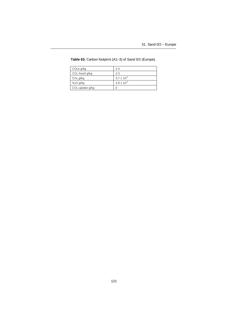| CO <sub>2</sub> e g/kg | 2.4                  |
|------------------------|----------------------|
| $CO2$ fossil g/kg      | 2.3                  |
| CH <sub>4</sub> g/kg   | $3.7 \times 10^{-3}$ |
| $N2O$ g/kg             | $3.8 \times 10^{-5}$ |
| $CO2$ uptake g/kg      |                      |

**Table 63.** Carbon footprint (A1–3) of Sand 0/2 (Europe).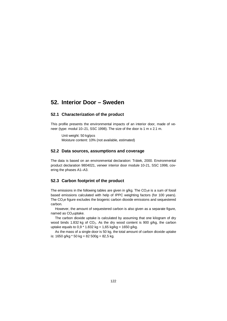### **52. Interior Door – Sweden**

### **52.1 Characterization of the product**

This profile presents the environmental impacts of an interior door, made of veneer (type: modul 10–21, SSC 1998). The size of the door is 1 m x 2.1 m.

Unit weight: 50 kg/pcs Moisture content: 10% (not available, estimated)

### **52.2 Data sources, assumptions and coverage**

The data is based on an environmental declaration: Trätek, 2000. Environmental product declaration 9804021, veneer interior door module 10-21, SSC 1998, covering the phases A1–A3.

### **52.3 Carbon footprint of the product**

The emissions in the following tables are given in  $q/\text{kg}$ . The CO<sub>2</sub>e is a sum of fossil based emissions calculated with help of IPPC weighting factors (for 100 years). The  $CO<sub>2</sub>e$  figure excludes the biogenic carbon dioxide emissions and sequestered carbon.

However, the amount of sequestered carbon is also given as a separate figure, named as CO<sub>2</sub>uptake.

The carbon dioxide uptake is calculated by assuming that one kilogram of dry wood binds 1.832 kg of  $CO<sub>2</sub>$ . As the dry wood content is 900 g/kg, the carbon uptake equals to  $0.9 * 1.832$  kg =  $1.65$  kg/kg =  $1650$  g/kg.

As the mass of a single door is 50 kg, the total amount of carbon dioxide uptake is:  $1650$  g/kg  $*$  50 kg = 82 500g = 82,5 kg.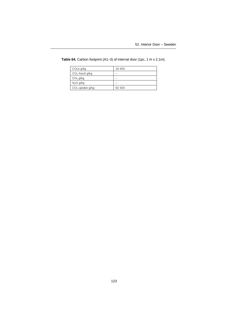| CO <sub>2</sub> e g/kg | 18 450 |
|------------------------|--------|
| $CO2$ fossil g/kg      |        |
| CH <sub>4</sub> g/kg   |        |
| N <sub>2</sub> O g/kg  |        |
| $CO2$ uptake g/kg      | 82 500 |

Table 64. Carbon footprint (A1-3) of internal door (1pc, 1 m x 2,1m).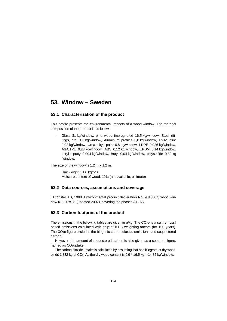## **53. Window – Sweden**

### **53.1 Characterization of the product**

This profile presents the environmental impacts of a wood window. The material composition of the product is as follows:

 Glass 31 kg/window, pine wood impregnated 16,5 kg/window, Steel (fittings, etc) 1,6 kg/window, Aluminum profiles 0,8 kg/window, PVAc glue 0,02 kg/window, Urea alkyd paint 0,8 kg/window, LDPE 0,026 kg/window, ASA/TPE 0,23 kg/window, ABS 0,12 kg/window, EPDM 0,14 kg/window, acrylic putty 0,004 kg/window, Butyl 0,04 kg/window, polysulfide 0,32 kg /window.

The size of the window is  $1.2$  m  $\times$  1.2 m.

Unit weight: 51.6 kg/pcs Moisture content of wood: 10% (not available, estimate)

#### **53.2 Data sources, assumptions and coverage**

Elitfönster AB, 1998. Environmental product declaration No. 9810067, wood window KIFI 12x12. (updated 2002), covering the phases A1–A3.

### **53.3 Carbon footprint of the product**

The emissions in the following tables are given in  $q/\text{kg}$ . The CO<sub>2</sub>e is a sum of fossil based emissions calculated with help of IPPC weighting factors (for 100 years). The  $CO<sub>2</sub>e$  figure excludes the biogenic carbon dioxide emissions and sequestered carbon.

However, the amount of sequestered carbon is also given as a separate figure, named as CO<sub>2</sub>uptake.

The carbon dioxide uptake is calculated by assuming that one kilogram of dry wood binds 1.832 kg of  $CO<sub>2</sub>$ . As the dry wood content is 0,9  $*$  16,5 kg = 14.85 kg/window,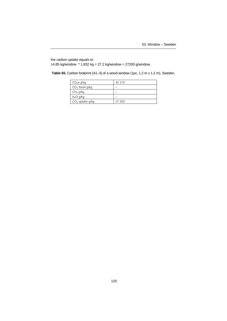the carbon uptake equals to 14.85 kg/window  $*$  1.832 kg = 27.2 kg/window = 27200 g/window.

Table 65. Carbon footprint (A1-3) of a wood window (1pc, 1.2 m x 1.2 m), Sweden.

| CO <sub>2</sub> e g/kg | 42 175 |
|------------------------|--------|
| $CO2$ fossil g/kg      |        |
| CH <sub>4</sub> g/kg   |        |
| N <sub>2</sub> O g/kg  |        |
| $CO2$ uptake g/kg      | 27 200 |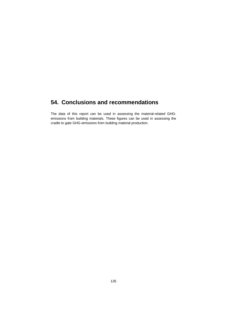# **54. Conclusions and recommendations**

The data of this report can be used in assessing the material-related GHGemissions from building materials. These figures can be used in assessing the cradle to gate GHG-emissions from building material production.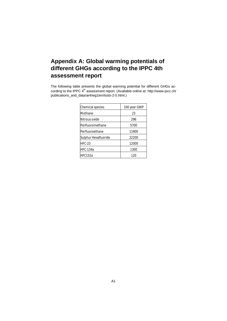# **Appendix A: Global warming potentials of different GHGs according to the IPPC 4th assessment report**

The following table presents the global warming potential for different GHGs according to the IPPC 4<sup>th</sup> [assessment report. \(Available online at: http://www.ipcc.ch/](http://www.ipcc.ch/publications_and_data/ar4/wg1/en/tssts-2-5.html) publications\_and\_data/ar4/wg1/en/tssts-2-5.html.)

| <b>Chemical species</b> | 100 year GWP |
|-------------------------|--------------|
| Methane                 | 23           |
| Nitrous oxide           | 296          |
| Perfluoromethane        | 5700         |
| Perfluoroethane         | 11900        |
| Sulphur Hexafluoride    | 22200        |
| <b>HFC-23</b>           | 12000        |
| <b>HFC-134a</b>         | 1300         |
| HFC152a                 | 120          |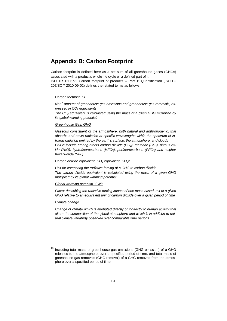# **Appendix B: Carbon Footprint**

Carbon footprint is defined here as a net sum of all greenhouse gases (GHGs) associated with a product's whole life cycle or a defined part of it.

ISO TR 15067-1 Carbon footprint of products – Part 1: Quantification (ISO/TC 207/SC 7 2010-09-02) defines the related terms as follows:

### *Carbon footprint, CF*

*Net[18](#page-130-0) amount of greenhouse gas emissions and greenhouse gas removals, expressed in CO2 equivalents*

*The CO2 equivalent is calculated using the mass of a given GHG multiplied by its global warming potential.*

#### *Greenhouse Gas, GHG*

*Gaseous constituent of the atmosphere, both natural and anthropogenic, that absorbs and emits radiation at specific wavelengths within the spectrum of infrared radiation emitted by the earth's surface, the atmosphere, and clouds GHGs include among others carbon dioxide (CO2), methane (CH4), nitrous oxide (N2O), hydrofluorocarbons (HFCs), perfluorocarbons (PFCs) and sulphur hexafluoride (SF6).*

*Carbon dioxide equivalent, CO2 equivalent, CO2e*

*Unit for comparing the radiative forcing of a GHG to carbon dioxide The carbon dioxide equivalent is calculated using the mass of a given GHG multiplied by its global warming potential.*

#### *Global warming potential, GWP*

*Factor describing the radiative forcing impact of one mass-based unit of a given GHG relative to an equivalent unit of carbon dioxide over a given period of time*

#### *Climate change*

*Change of climate which is attributed directly or indirectly to human activity that alters the composition of the global atmosphere and which is in addition to natural climate variability observed over comparable time periods.*

<span id="page-130-0"></span>Including total mass of greenhouse gas emissions (GHG emission) of a GHG released to the atmosphere, over a specified period of time, and total mass of greenhouse gas removals (GHG removal) of a GHG removed from the atmosphere over a specified period of time.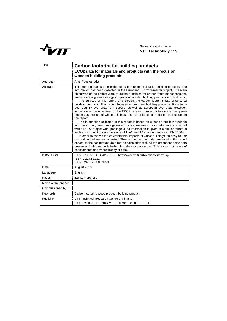

| Title               | <b>Carbon footprint for building products</b><br>ECO2 data for materials and products with the focus on<br>wooden building products                                                                                                                                                                                                                                                                                                                                                                                                                                                                                                                                                                                                                                                                                                                                                                                                                                                                                                                                                                                                                                                                                                                                                                                                                                                                                                                                                                                                                            |
|---------------------|----------------------------------------------------------------------------------------------------------------------------------------------------------------------------------------------------------------------------------------------------------------------------------------------------------------------------------------------------------------------------------------------------------------------------------------------------------------------------------------------------------------------------------------------------------------------------------------------------------------------------------------------------------------------------------------------------------------------------------------------------------------------------------------------------------------------------------------------------------------------------------------------------------------------------------------------------------------------------------------------------------------------------------------------------------------------------------------------------------------------------------------------------------------------------------------------------------------------------------------------------------------------------------------------------------------------------------------------------------------------------------------------------------------------------------------------------------------------------------------------------------------------------------------------------------------|
| Author(s)           | Antti Ruuska (ed.)                                                                                                                                                                                                                                                                                                                                                                                                                                                                                                                                                                                                                                                                                                                                                                                                                                                                                                                                                                                                                                                                                                                                                                                                                                                                                                                                                                                                                                                                                                                                             |
| Abstract            | This report presents a collection of carbon footprint data for building products. The<br>information has been collected in the European ECO2 research project. The main<br>objectives of the project were to define principles for carbon footprint assessment,<br>and to assess greenhouse gas impacts of wooden building products and buildings.<br>The purpose of this report is to present the carbon footprint data of selected<br>building products. This report focuses on wooden building products. It contains<br>both country-level data from Europe, as well as European-level data. However,<br>since one of the objectives of the ECO2 research project is to assess the green-<br>house gas impacts of whole buildings, also other building products are included in<br>the report.<br>The information collected in this report is based on either on publicly available<br>information on greenhouse gases of building materials, or on information collected<br>within ECO2 project work package 3. All information is given in a similar format in<br>such a way that it covers the stages A1, A2 and A3 in accordance with EN 15804.<br>In order to assess the environmental impacts of whole buildings, an easy-to-use<br>calculation tool was also created. The carbon footprint data presented in this report<br>serves as the background data for the calculation tool. All the greenhouse gas data<br>presented in this report is built-in into the calculation tool. This allows both ease of<br>assessments and transparency of data. |
| <b>ISBN, ISSN</b>   | ISBN 978-951-38-8042-2 (URL: http://www.vtt.fi/publications/index.jsp)<br>ISSN-L 2242-1211<br>ISSN 2242-122X (Online)                                                                                                                                                                                                                                                                                                                                                                                                                                                                                                                                                                                                                                                                                                                                                                                                                                                                                                                                                                                                                                                                                                                                                                                                                                                                                                                                                                                                                                          |
| Date                | August 2013                                                                                                                                                                                                                                                                                                                                                                                                                                                                                                                                                                                                                                                                                                                                                                                                                                                                                                                                                                                                                                                                                                                                                                                                                                                                                                                                                                                                                                                                                                                                                    |
| Language            | English                                                                                                                                                                                                                                                                                                                                                                                                                                                                                                                                                                                                                                                                                                                                                                                                                                                                                                                                                                                                                                                                                                                                                                                                                                                                                                                                                                                                                                                                                                                                                        |
| Pages               | $126 p. + app. 2 p.$                                                                                                                                                                                                                                                                                                                                                                                                                                                                                                                                                                                                                                                                                                                                                                                                                                                                                                                                                                                                                                                                                                                                                                                                                                                                                                                                                                                                                                                                                                                                           |
| Name of the project |                                                                                                                                                                                                                                                                                                                                                                                                                                                                                                                                                                                                                                                                                                                                                                                                                                                                                                                                                                                                                                                                                                                                                                                                                                                                                                                                                                                                                                                                                                                                                                |
| Commissioned by     |                                                                                                                                                                                                                                                                                                                                                                                                                                                                                                                                                                                                                                                                                                                                                                                                                                                                                                                                                                                                                                                                                                                                                                                                                                                                                                                                                                                                                                                                                                                                                                |
| Keywords            | Carbon footprint, wood product, building product                                                                                                                                                                                                                                                                                                                                                                                                                                                                                                                                                                                                                                                                                                                                                                                                                                                                                                                                                                                                                                                                                                                                                                                                                                                                                                                                                                                                                                                                                                               |
| Publisher           | VTT Technical Research Centre of Finland<br>P.O. Box 1000, FI-02044 VTT, Finland, Tel. 020 722 111                                                                                                                                                                                                                                                                                                                                                                                                                                                                                                                                                                                                                                                                                                                                                                                                                                                                                                                                                                                                                                                                                                                                                                                                                                                                                                                                                                                                                                                             |